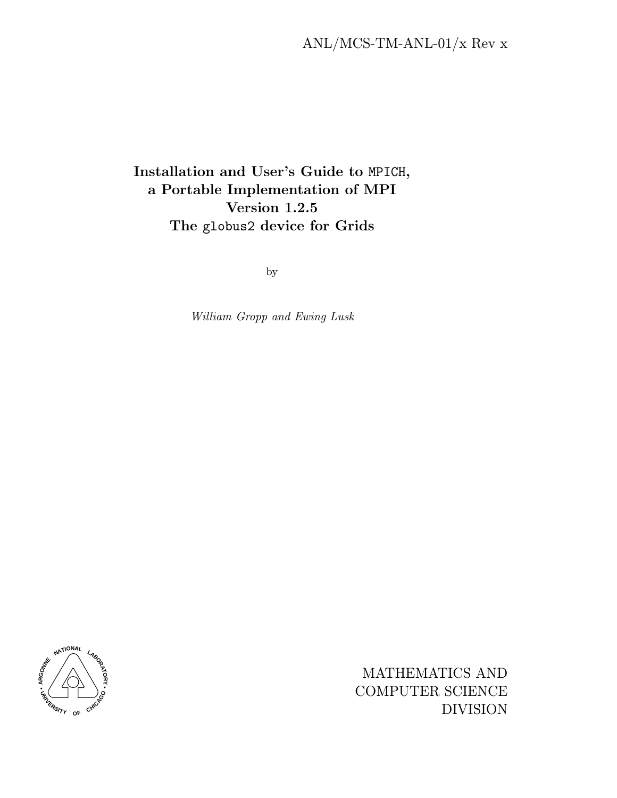# Installation and User's Guide to MPICH, a Portable Implementation of MPI Version 1.2.5 The globus2 device for Grids

by

William Gropp and Ewing Lusk



MATHEMATICS AND COMPUTER SCIENCE DIVISION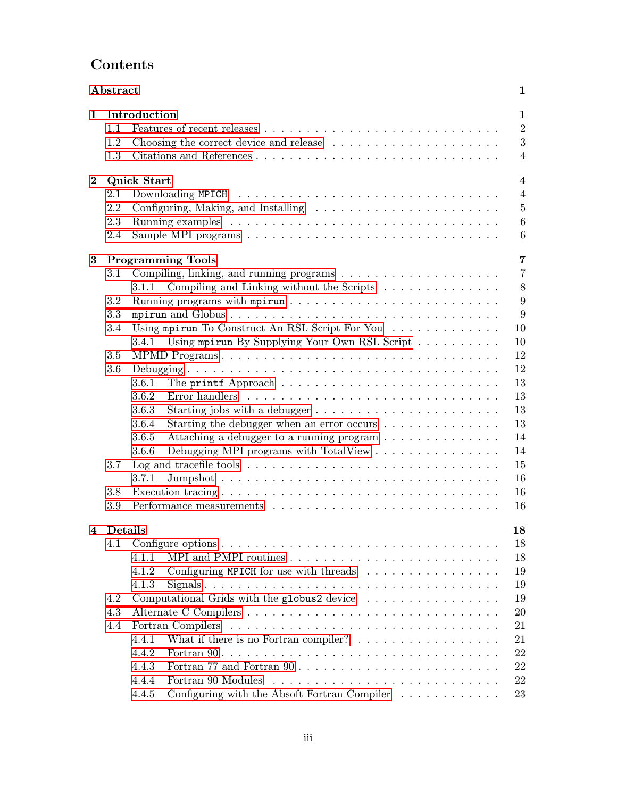# Contents

|              | Abstract           | $\mathbf{1}$                                                                                            |  |  |  |  |  |  |  |  |  |  |  |
|--------------|--------------------|---------------------------------------------------------------------------------------------------------|--|--|--|--|--|--|--|--|--|--|--|
| $\mathbf{1}$ |                    | Introduction                                                                                            |  |  |  |  |  |  |  |  |  |  |  |
|              | 1.1                | $\overline{2}$                                                                                          |  |  |  |  |  |  |  |  |  |  |  |
|              | 1.2                | 3                                                                                                       |  |  |  |  |  |  |  |  |  |  |  |
|              | 1.3                | $\overline{4}$                                                                                          |  |  |  |  |  |  |  |  |  |  |  |
| $\bf{2}$     | <b>Quick Start</b> |                                                                                                         |  |  |  |  |  |  |  |  |  |  |  |
|              | 2.1                | $\overline{4}$                                                                                          |  |  |  |  |  |  |  |  |  |  |  |
|              | 2.2                | $\overline{5}$<br>Configuring, Making, and Installing $\dots \dots \dots \dots \dots \dots \dots \dots$ |  |  |  |  |  |  |  |  |  |  |  |
|              | 2.3                | $\boldsymbol{6}$                                                                                        |  |  |  |  |  |  |  |  |  |  |  |
|              | 2.4                | 6                                                                                                       |  |  |  |  |  |  |  |  |  |  |  |
| 3            |                    | 7<br><b>Programming Tools</b>                                                                           |  |  |  |  |  |  |  |  |  |  |  |
|              | 3.1                | $\overline{7}$                                                                                          |  |  |  |  |  |  |  |  |  |  |  |
|              |                    | 8<br>Compiling and Linking without the Scripts $\ldots \ldots \ldots \ldots \ldots$<br>3.1.1            |  |  |  |  |  |  |  |  |  |  |  |
|              | 3.2                | 9                                                                                                       |  |  |  |  |  |  |  |  |  |  |  |
|              | 3.3                | 9                                                                                                       |  |  |  |  |  |  |  |  |  |  |  |
|              | 3.4                | Using mpirun To Construct An RSL Script For You<br>10                                                   |  |  |  |  |  |  |  |  |  |  |  |
|              |                    | Using mpirun By Supplying Your Own RSL Script<br>10<br>3.4.1                                            |  |  |  |  |  |  |  |  |  |  |  |
|              | 3.5                | 12                                                                                                      |  |  |  |  |  |  |  |  |  |  |  |
|              | 3.6                | 12                                                                                                      |  |  |  |  |  |  |  |  |  |  |  |
|              |                    | 13<br>3.6.1<br>The printf Approach $\ldots \ldots \ldots \ldots \ldots \ldots \ldots \ldots$            |  |  |  |  |  |  |  |  |  |  |  |
|              |                    | 13<br>3.6.2<br>Error handlers $\ldots \ldots \ldots \ldots \ldots \ldots \ldots \ldots \ldots \ldots$   |  |  |  |  |  |  |  |  |  |  |  |
|              |                    | 13<br>3.6.3<br>Starting jobs with a debugger $\dots \dots \dots \dots \dots \dots \dots \dots$          |  |  |  |  |  |  |  |  |  |  |  |
|              |                    | 13<br>3.6.4<br>Starting the debugger when an error occurs $\dots \dots \dots \dots$                     |  |  |  |  |  |  |  |  |  |  |  |
|              |                    | 14<br>Attaching a debugger to a running program<br>3.6.5                                                |  |  |  |  |  |  |  |  |  |  |  |
|              |                    | 14<br>Debugging MPI programs with TotalView $\ldots \ldots \ldots \ldots \ldots$<br>3.6.6               |  |  |  |  |  |  |  |  |  |  |  |
|              | 3.7                | Log and tracefile tools $\dots \dots \dots \dots \dots \dots \dots \dots \dots \dots \dots \dots$<br>15 |  |  |  |  |  |  |  |  |  |  |  |
|              |                    | 16<br>3.7.1                                                                                             |  |  |  |  |  |  |  |  |  |  |  |
|              | 3.8                | 16                                                                                                      |  |  |  |  |  |  |  |  |  |  |  |
|              | 3.9                | 16                                                                                                      |  |  |  |  |  |  |  |  |  |  |  |
|              |                    |                                                                                                         |  |  |  |  |  |  |  |  |  |  |  |
| 4            | <b>Details</b>     | 18                                                                                                      |  |  |  |  |  |  |  |  |  |  |  |
|              | 4.1                | 18                                                                                                      |  |  |  |  |  |  |  |  |  |  |  |
|              |                    | 18<br>4.1.1                                                                                             |  |  |  |  |  |  |  |  |  |  |  |
|              |                    | 19<br>4.1.2<br>Configuring MPICH for use with threads $\ldots \ldots \ldots \ldots \ldots$              |  |  |  |  |  |  |  |  |  |  |  |
|              |                    | 19<br>4.1.3                                                                                             |  |  |  |  |  |  |  |  |  |  |  |
|              | 4.2                | Computational Grids with the globus 2 device $\ldots \ldots \ldots \ldots \ldots$<br>19                 |  |  |  |  |  |  |  |  |  |  |  |
|              | 4.3                | 20                                                                                                      |  |  |  |  |  |  |  |  |  |  |  |
|              | 4.4                | 21<br>Fortran Compilers                                                                                 |  |  |  |  |  |  |  |  |  |  |  |
|              |                    | What if there is no Fortran compiler? $\ldots \ldots \ldots \ldots \ldots$<br>4.4.1<br>21               |  |  |  |  |  |  |  |  |  |  |  |
|              |                    | 22<br>4.4.2                                                                                             |  |  |  |  |  |  |  |  |  |  |  |
|              |                    | 22<br>4.4.3                                                                                             |  |  |  |  |  |  |  |  |  |  |  |
|              |                    | 22<br>Fortran 90 Modules<br>4.4.4                                                                       |  |  |  |  |  |  |  |  |  |  |  |
|              |                    | Configuring with the Absoft Fortran Compiler<br>23<br>4.4.5                                             |  |  |  |  |  |  |  |  |  |  |  |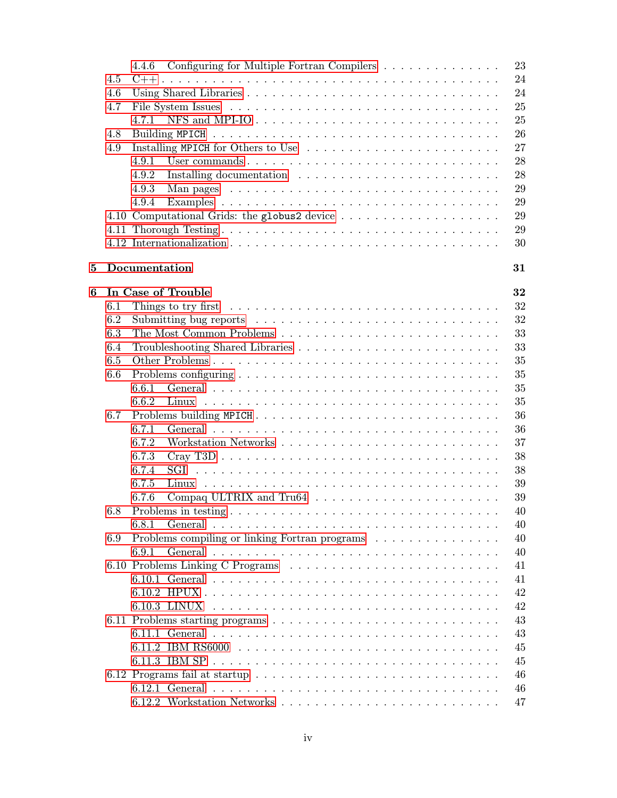|   |     | Configuring for Multiple Fortran Compilers<br>4.4.6                                                |  |  |  |  | 23 |
|---|-----|----------------------------------------------------------------------------------------------------|--|--|--|--|----|
|   | 4.5 |                                                                                                    |  |  |  |  | 24 |
|   | 4.6 |                                                                                                    |  |  |  |  | 24 |
|   | 4.7 |                                                                                                    |  |  |  |  | 25 |
|   |     | NFS and MPI-IO $\ldots \ldots \ldots \ldots \ldots \ldots \ldots \ldots \ldots \ldots$<br>4.7.1    |  |  |  |  | 25 |
|   | 4.8 |                                                                                                    |  |  |  |  | 26 |
|   |     |                                                                                                    |  |  |  |  | 27 |
|   | 4.9 |                                                                                                    |  |  |  |  |    |
|   |     | 4.9.1                                                                                              |  |  |  |  | 28 |
|   |     | 4.9.2                                                                                              |  |  |  |  | 28 |
|   |     | 4.9.3                                                                                              |  |  |  |  | 29 |
|   |     | 4.9.4                                                                                              |  |  |  |  | 29 |
|   |     |                                                                                                    |  |  |  |  | 29 |
|   |     |                                                                                                    |  |  |  |  | 29 |
|   |     |                                                                                                    |  |  |  |  | 30 |
|   |     |                                                                                                    |  |  |  |  |    |
| 5 |     | Documentation                                                                                      |  |  |  |  | 31 |
|   |     |                                                                                                    |  |  |  |  |    |
| 6 |     | In Case of Trouble                                                                                 |  |  |  |  | 32 |
|   | 6.1 | Things to try first $\ldots \ldots \ldots \ldots \ldots \ldots \ldots \ldots \ldots \ldots \ldots$ |  |  |  |  | 32 |
|   | 6.2 |                                                                                                    |  |  |  |  | 32 |
|   | 6.3 |                                                                                                    |  |  |  |  | 33 |
|   | 6.4 |                                                                                                    |  |  |  |  | 33 |
|   | 6.5 |                                                                                                    |  |  |  |  | 35 |
|   | 6.6 |                                                                                                    |  |  |  |  | 35 |
|   |     | 6.6.1                                                                                              |  |  |  |  | 35 |
|   |     | 6.6.2                                                                                              |  |  |  |  | 35 |
|   | 6.7 | Problems building MPICH                                                                            |  |  |  |  | 36 |
|   |     | 6.7.1                                                                                              |  |  |  |  | 36 |
|   |     | 6.7.2                                                                                              |  |  |  |  | 37 |
|   |     |                                                                                                    |  |  |  |  |    |
|   |     | 6.7.3                                                                                              |  |  |  |  | 38 |
|   |     | 6.7.4                                                                                              |  |  |  |  | 38 |
|   |     | 6.7.5                                                                                              |  |  |  |  | 39 |
|   |     | 6.7.6                                                                                              |  |  |  |  | 39 |
|   |     |                                                                                                    |  |  |  |  | 40 |
|   |     | 6.8.1                                                                                              |  |  |  |  | 40 |
|   | 6.9 | Problems compiling or linking Fortran programs                                                     |  |  |  |  | 40 |
|   |     | 6.9.1                                                                                              |  |  |  |  | 40 |
|   |     | 6.10 Problems Linking C Programs                                                                   |  |  |  |  | 41 |
|   |     |                                                                                                    |  |  |  |  | 41 |
|   |     |                                                                                                    |  |  |  |  | 42 |
|   |     |                                                                                                    |  |  |  |  | 42 |
|   |     |                                                                                                    |  |  |  |  | 43 |
|   |     |                                                                                                    |  |  |  |  | 43 |
|   |     |                                                                                                    |  |  |  |  |    |
|   |     |                                                                                                    |  |  |  |  | 45 |
|   |     |                                                                                                    |  |  |  |  | 45 |
|   |     |                                                                                                    |  |  |  |  | 46 |
|   |     |                                                                                                    |  |  |  |  | 46 |
|   |     |                                                                                                    |  |  |  |  | 47 |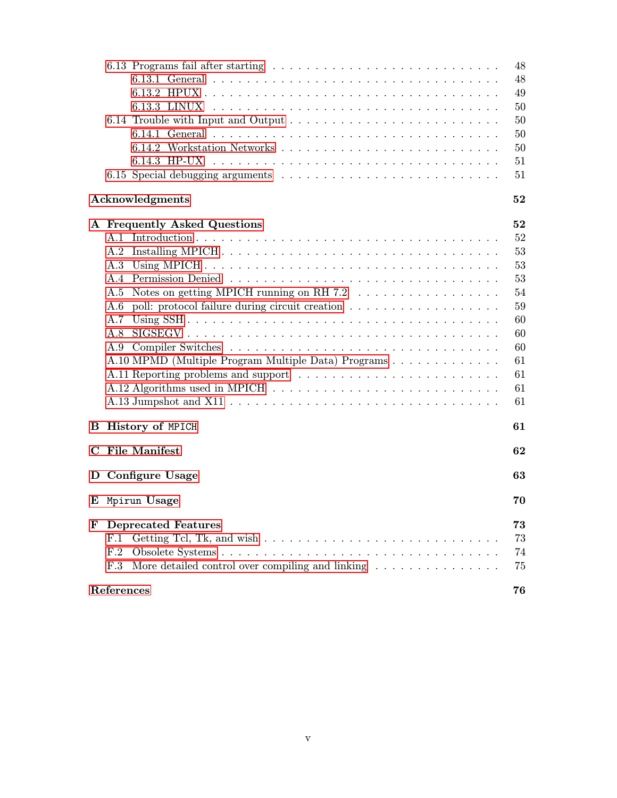|                                                                                         | 48 |
|-----------------------------------------------------------------------------------------|----|
|                                                                                         | 48 |
|                                                                                         | 49 |
|                                                                                         | 50 |
|                                                                                         | 50 |
|                                                                                         |    |
|                                                                                         | 50 |
|                                                                                         | 50 |
|                                                                                         | 51 |
|                                                                                         | 51 |
| Acknowledgments                                                                         | 52 |
| A Frequently Asked Questions                                                            | 52 |
|                                                                                         | 52 |
|                                                                                         | 53 |
| A.3                                                                                     | 53 |
|                                                                                         | 53 |
| Notes on getting MPICH running on RH 7.2 $\ldots \ldots \ldots \ldots \ldots$<br>A.5    | 54 |
| A.6                                                                                     | 59 |
| A.7                                                                                     | 60 |
| A.8                                                                                     | 60 |
|                                                                                         | 60 |
| A.10 MPMD (Multiple Program Multiple Data) Programs                                     | 61 |
|                                                                                         | 61 |
|                                                                                         |    |
|                                                                                         | 61 |
|                                                                                         | 61 |
| <b>History of MPICH</b><br>в                                                            | 61 |
| <b>File Manifest</b><br>$\bf C$                                                         | 62 |
| D Configure Usage                                                                       | 63 |
| E Mpirun Usage                                                                          | 70 |
| F<br><b>Deprecated Features</b>                                                         | 73 |
| F.1                                                                                     | 73 |
| F.2                                                                                     | 74 |
| More detailed control over compiling and linking $\dots \dots \dots \dots \dots$<br>F.3 | 75 |
| References                                                                              | 76 |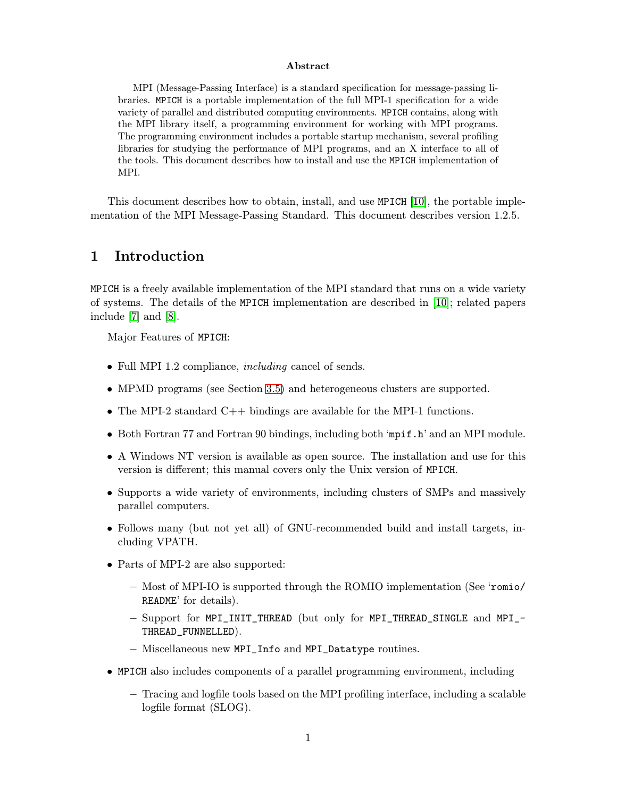#### Abstract

<span id="page-4-0"></span>MPI (Message-Passing Interface) is a standard specification for message-passing libraries. MPICH is a portable implementation of the full MPI-1 specification for a wide variety of parallel and distributed computing environments. MPICH contains, along with the MPI library itself, a programming environment for working with MPI programs. The programming environment includes a portable startup mechanism, several profiling libraries for studying the performance of MPI programs, and an X interface to all of the tools. This document describes how to install and use the MPICH implementation of MPI.

This document describes how to obtain, install, and use MPICH [\[10\]](#page-79-0), the portable implementation of the MPI Message-Passing Standard. This document describes version 1.2.5.

# 1 Introduction

MPICH is a freely available implementation of the MPI standard that runs on a wide variety of systems. The details of the MPICH implementation are described in [\[10\]](#page-79-0); related papers include [\[7\]](#page-79-0) and [\[8\]](#page-79-0).

Major Features of MPICH:

- Full MPI 1.2 compliance, *including* cancel of sends.
- MPMD programs (see Section [3.5\)](#page-15-0) and heterogeneous clusters are supported.
- The MPI-2 standard  $C_{++}$  bindings are available for the MPI-1 functions.
- Both Fortran 77 and Fortran 90 bindings, including both 'mpif.h' and an MPI module.
- A Windows NT version is available as open source. The installation and use for this version is different; this manual covers only the Unix version of MPICH.
- Supports a wide variety of environments, including clusters of SMPs and massively parallel computers.
- Follows many (but not yet all) of GNU-recommended build and install targets, including VPATH.
- Parts of MPI-2 are also supported:
	- Most of MPI-IO is supported through the ROMIO implementation (See 'romio/ README' for details).
	- Support for MPI\_INIT\_THREAD (but only for MPI\_THREAD\_SINGLE and MPI\_- THREAD\_FUNNELLED).
	- Miscellaneous new MPI\_Info and MPI\_Datatype routines.
- MPICH also includes components of a parallel programming environment, including
	- Tracing and logfile tools based on the MPI profiling interface, including a scalable logfile format (SLOG).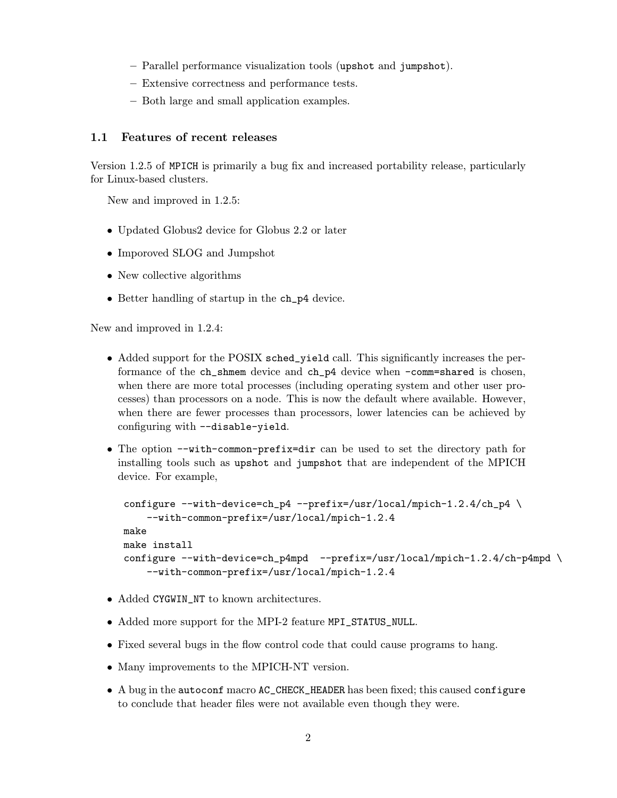- <span id="page-5-0"></span>– Parallel performance visualization tools (upshot and jumpshot).
- Extensive correctness and performance tests.
- Both large and small application examples.

# 1.1 Features of recent releases

Version 1.2.5 of MPICH is primarily a bug fix and increased portability release, particularly for Linux-based clusters.

New and improved in 1.2.5:

- Updated Globus2 device for Globus 2.2 or later
- Imporoved SLOG and Jumpshot
- New collective algorithms
- Better handling of startup in the ch\_p4 device.

New and improved in 1.2.4:

- Added support for the POSIX sched\_yield call. This significantly increases the performance of the ch\_shmem device and ch\_p4 device when -comm=shared is chosen, when there are more total processes (including operating system and other user processes) than processors on a node. This is now the default where available. However, when there are fewer processes than processors, lower latencies can be achieved by configuring with --disable-yield.
- The option --with-common-prefix=dir can be used to set the directory path for installing tools such as upshot and jumpshot that are independent of the MPICH device. For example,

```
configure --with-device=ch_p4 --prefix=/usr/local/mpich-1.2.4/ch_p4 \
    --with-common-prefix=/usr/local/mpich-1.2.4
make
make install
configure --with-device=ch_p4mpd --prefix=/usr/local/mpich-1.2.4/ch-p4mpd \
    --with-common-prefix=/usr/local/mpich-1.2.4
```
- Added CYGWIN\_NT to known architectures.
- Added more support for the MPI-2 feature MPI\_STATUS\_NULL.
- Fixed several bugs in the flow control code that could cause programs to hang.
- Many improvements to the MPICH-NT version.
- A bug in the autoconf macro AC\_CHECK\_HEADER has been fixed; this caused configure to conclude that header files were not available even though they were.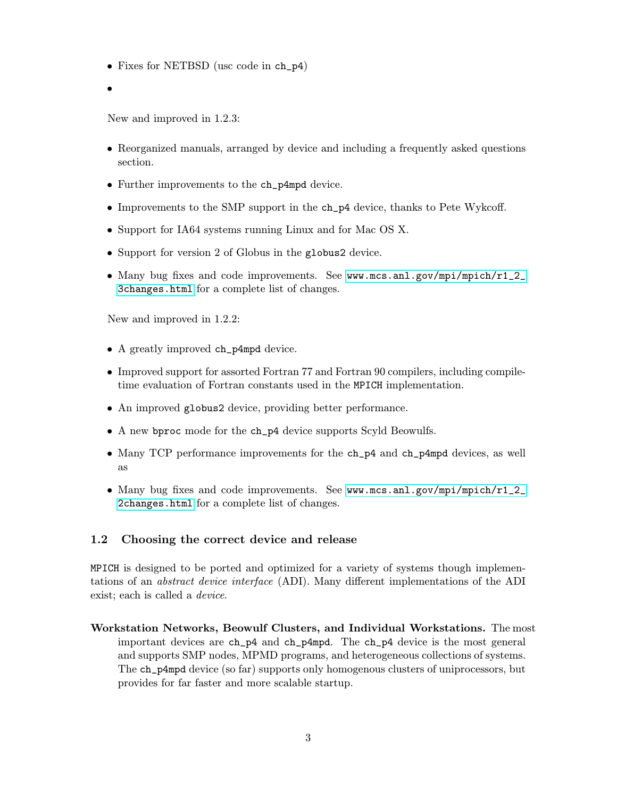- <span id="page-6-0"></span>• Fixes for NETBSD (usc code in ch\_p4)
- •

New and improved in 1.2.3:

- Reorganized manuals, arranged by device and including a frequently asked questions section.
- Further improvements to the ch\_p4mpd device.
- Improvements to the SMP support in the ch\_p4 device, thanks to Pete Wykcoff.
- Support for IA64 systems running Linux and for Mac OS X.
- Support for version 2 of Globus in the globus2 device.
- Many bug fixes and code improvements. See [www.mcs.anl.gov/mpi/mpich/r1\\_2\\_](www.mcs.anl.gov/mpi/mpich/r1_2_3changes.html) [3changes.html](www.mcs.anl.gov/mpi/mpich/r1_2_3changes.html) for a complete list of changes.

New and improved in 1.2.2:

- A greatly improved ch\_p4mpd device.
- Improved support for assorted Fortran 77 and Fortran 90 compilers, including compiletime evaluation of Fortran constants used in the MPICH implementation.
- An improved globus2 device, providing better performance.
- A new bproc mode for the ch\_p4 device supports Scyld Beowulfs.
- Many TCP performance improvements for the ch\_p4 and ch\_p4mpd devices, as well as
- Many bug fixes and code improvements. See [www.mcs.anl.gov/mpi/mpich/r1\\_2\\_](www.mcs.anl.gov/mpi/mpich/r1_2_2changes.html) [2changes.html](www.mcs.anl.gov/mpi/mpich/r1_2_2changes.html) for a complete list of changes.

# 1.2 Choosing the correct device and release

MPICH is designed to be ported and optimized for a variety of systems though implementations of an abstract device interface (ADI). Many different implementations of the ADI exist; each is called a *device*.

Workstation Networks, Beowulf Clusters, and Individual Workstations. The most important devices are ch\_p4 and ch\_p4mpd. The ch\_p4 device is the most general and supports SMP nodes, MPMD programs, and heterogeneous collections of systems. The ch\_p4mpd device (so far) supports only homogenous clusters of uniprocessors, but provides for far faster and more scalable startup.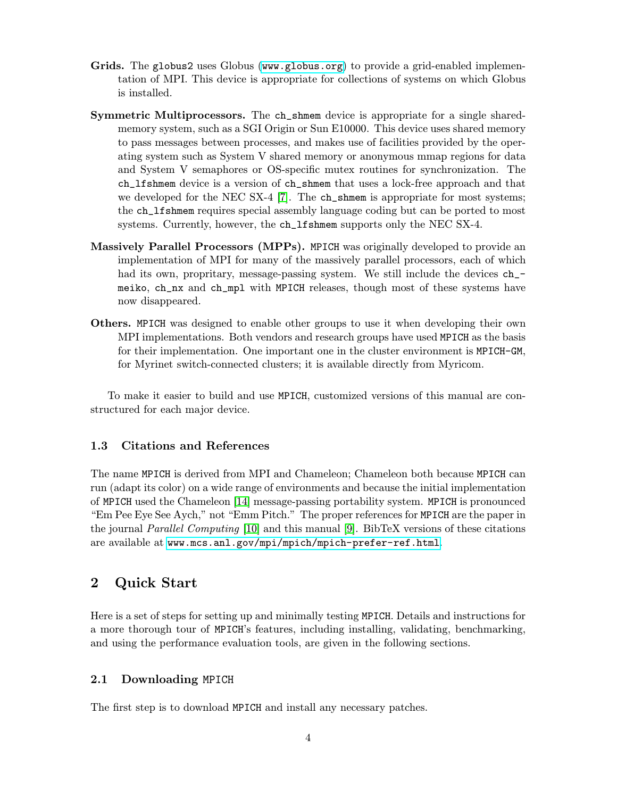- <span id="page-7-0"></span>Grids. The globus2 uses Globus (<www.globus.org>) to provide a grid-enabled implementation of MPI. This device is appropriate for collections of systems on which Globus is installed.
- Symmetric Multiprocessors. The ch\_shmem device is appropriate for a single sharedmemory system, such as a SGI Origin or Sun E10000. This device uses shared memory to pass messages between processes, and makes use of facilities provided by the operating system such as System V shared memory or anonymous mmap regions for data and System V semaphores or OS-specific mutex routines for synchronization. The ch\_lfshmem device is a version of ch\_shmem that uses a lock-free approach and that we developed for the NEC SX-4 [\[7\]](#page-79-0). The ch\_shmem is appropriate for most systems; the ch\_lfshmem requires special assembly language coding but can be ported to most systems. Currently, however, the ch\_lfshmem supports only the NEC SX-4.
- Massively Parallel Processors (MPPs). MPICH was originally developed to provide an implementation of MPI for many of the massively parallel processors, each of which had its own, propritary, message-passing system. We still include the devices  $ch$ meiko, ch\_nx and ch\_mpl with MPICH releases, though most of these systems have now disappeared.
- Others. MPICH was designed to enable other groups to use it when developing their own MPI implementations. Both vendors and research groups have used MPICH as the basis for their implementation. One important one in the cluster environment is MPICH-GM, for Myrinet switch-connected clusters; it is available directly from Myricom.

To make it easier to build and use MPICH, customized versions of this manual are constructured for each major device.

# 1.3 Citations and References

The name MPICH is derived from MPI and Chameleon; Chameleon both because MPICH can run (adapt its color) on a wide range of environments and because the initial implementation of MPICH used the Chameleon [\[14\]](#page-80-0) message-passing portability system. MPICH is pronounced "Em Pee Eye See Aych," not "Emm Pitch." The proper references for MPICH are the paper in the journal Parallel Computing [\[10\]](#page-79-0) and this manual [\[9\]](#page-79-0). BibTeX versions of these citations are available at <www.mcs.anl.gov/mpi/mpich/mpich-prefer-ref.html>.

# 2 Quick Start

Here is a set of steps for setting up and minimally testing MPICH. Details and instructions for a more thorough tour of MPICH's features, including installing, validating, benchmarking, and using the performance evaluation tools, are given in the following sections.

# 2.1 Downloading MPICH

The first step is to download MPICH and install any necessary patches.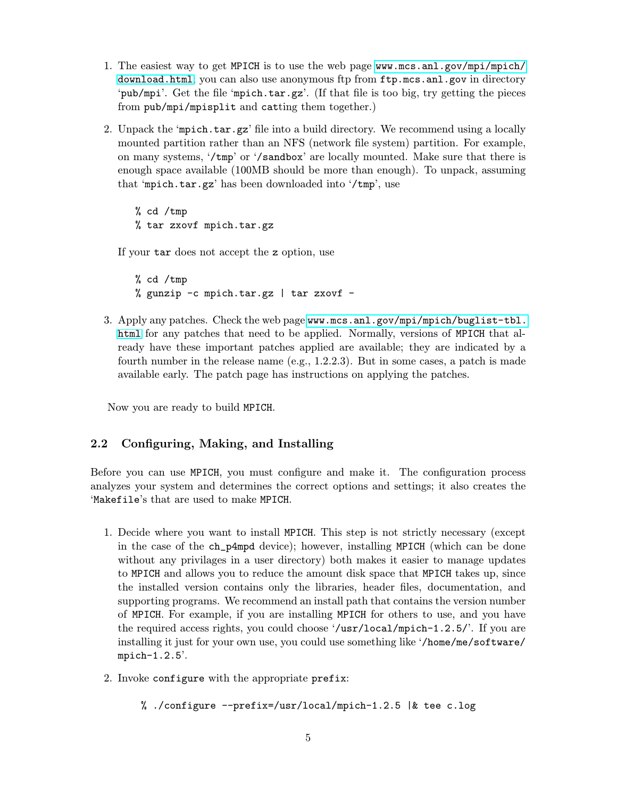- <span id="page-8-0"></span>1. The easiest way to get MPICH is to use the web page [www.mcs.anl.gov/mpi/mpich/](www.mcs.anl.gov/mpi/mpich/download.html) [download.html](www.mcs.anl.gov/mpi/mpich/download.html); you can also use anonymous ftp from ftp.mcs.anl.gov in directory 'pub/mpi'. Get the file 'mpich.tar.gz'. (If that file is too big, try getting the pieces from pub/mpi/mpisplit and catting them together.)
- 2. Unpack the 'mpich.tar.gz' file into a build directory. We recommend using a locally mounted partition rather than an NFS (network file system) partition. For example, on many systems, '/tmp' or '/sandbox' are locally mounted. Make sure that there is enough space available (100MB should be more than enough). To unpack, assuming that 'mpich.tar.gz' has been downloaded into '/tmp', use

% cd /tmp % tar zxovf mpich.tar.gz

If your tar does not accept the z option, use

% cd /tmp % gunzip -c mpich.tar.gz | tar zxovf -

3. Apply any patches. Check the web page [www.mcs.anl.gov/mpi/mpich/buglist-tbl.](www.mcs.anl.gov/mpi/mpich/buglist-tbl.html) [html](www.mcs.anl.gov/mpi/mpich/buglist-tbl.html) for any patches that need to be applied. Normally, versions of MPICH that already have these important patches applied are available; they are indicated by a fourth number in the release name (e.g., 1.2.2.3). But in some cases, a patch is made available early. The patch page has instructions on applying the patches.

Now you are ready to build MPICH.

# 2.2 Configuring, Making, and Installing

Before you can use MPICH, you must configure and make it. The configuration process analyzes your system and determines the correct options and settings; it also creates the 'Makefile's that are used to make MPICH.

- 1. Decide where you want to install MPICH. This step is not strictly necessary (except in the case of the ch\_p4mpd device); however, installing MPICH (which can be done without any privilages in a user directory) both makes it easier to manage updates to MPICH and allows you to reduce the amount disk space that MPICH takes up, since the installed version contains only the libraries, header files, documentation, and supporting programs. We recommend an install path that contains the version number of MPICH. For example, if you are installing MPICH for others to use, and you have the required access rights, you could choose '/usr/local/mpich-1.2.5/'. If you are installing it just for your own use, you could use something like '/home/me/software/ mpich-1.2.5'.
- 2. Invoke configure with the appropriate prefix:

```
% ./configure --prefix=/usr/local/mpich-1.2.5 |& tee c.log
```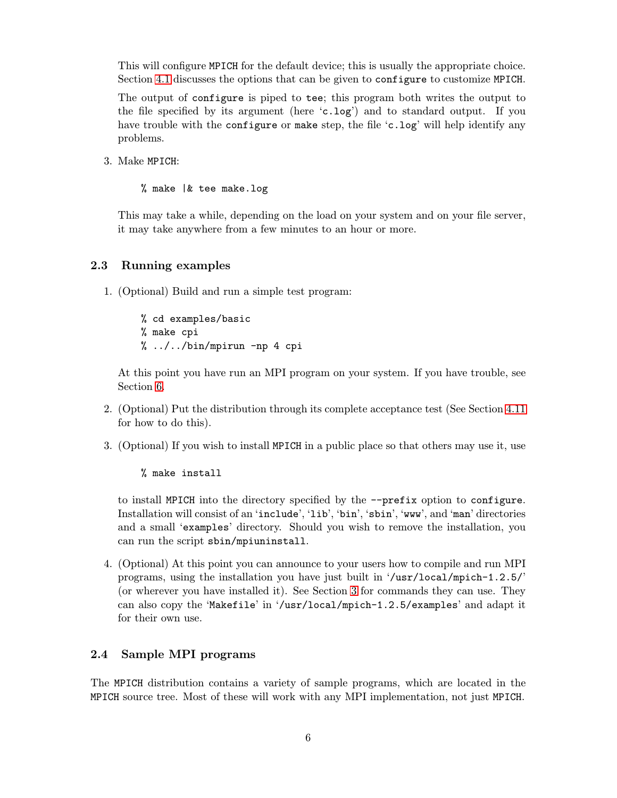<span id="page-9-0"></span>This will configure MPICH for the default device; this is usually the appropriate choice. Section [4.1](#page-21-0) discusses the options that can be given to configure to customize MPICH.

The output of configure is piped to tee; this program both writes the output to the file specified by its argument (here 'c.log') and to standard output. If you have trouble with the configure or make step, the file 'c.log' will help identify any problems.

3. Make MPICH:

% make |& tee make.log

This may take a while, depending on the load on your system and on your file server, it may take anywhere from a few minutes to an hour or more.

# 2.3 Running examples

1. (Optional) Build and run a simple test program:

% cd examples/basic % make cpi % ../../bin/mpirun -np 4 cpi

At this point you have run an MPI program on your system. If you have trouble, see Section [6.](#page-35-0)

- 2. (Optional) Put the distribution through its complete acceptance test (See Section [4.11](#page-32-0) for how to do this).
- 3. (Optional) If you wish to install MPICH in a public place so that others may use it, use

% make install

to install MPICH into the directory specified by the --prefix option to configure. Installation will consist of an 'include', 'lib', 'bin', 'sbin', 'www', and 'man' directories and a small 'examples' directory. Should you wish to remove the installation, you can run the script sbin/mpiuninstall.

4. (Optional) At this point you can announce to your users how to compile and run MPI programs, using the installation you have just built in '/usr/local/mpich-1.2.5/' (or wherever you have installed it). See Section [3](#page-10-0) for commands they can use. They can also copy the 'Makefile' in '/usr/local/mpich-1.2.5/examples' and adapt it for their own use.

# 2.4 Sample MPI programs

The MPICH distribution contains a variety of sample programs, which are located in the MPICH source tree. Most of these will work with any MPI implementation, not just MPICH.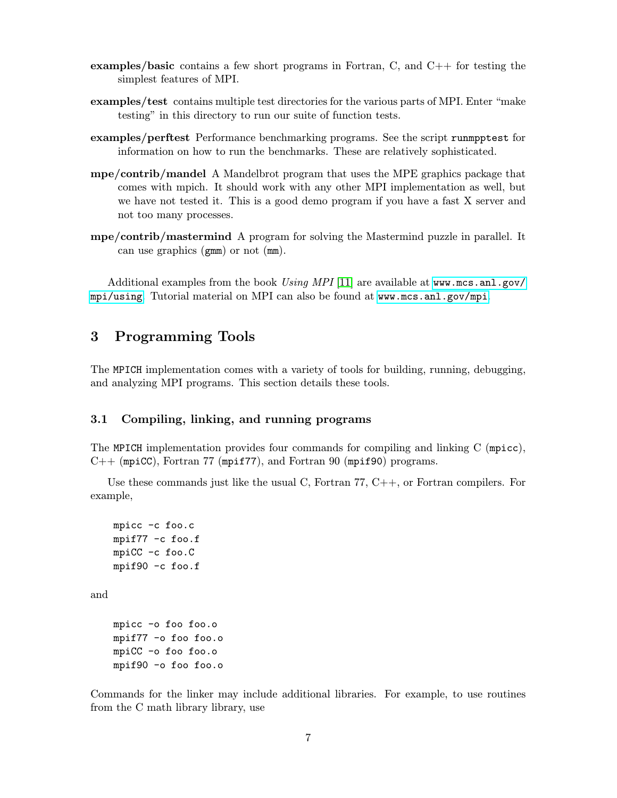- <span id="page-10-0"></span>**examples/basic** contains a few short programs in Fortran,  $C$ , and  $C++$  for testing the simplest features of MPI.
- examples/test contains multiple test directories for the various parts of MPI. Enter "make testing" in this directory to run our suite of function tests.
- examples/perftest Performance benchmarking programs. See the script runmpptest for information on how to run the benchmarks. These are relatively sophisticated.
- mpe/contrib/mandel A Mandelbrot program that uses the MPE graphics package that comes with mpich. It should work with any other MPI implementation as well, but we have not tested it. This is a good demo program if you have a fast X server and not too many processes.
- mpe/contrib/mastermind A program for solving the Mastermind puzzle in parallel. It can use graphics (gmm) or not (mm).

Additional examples from the book Using MPI [\[11\]](#page-79-0) are available at [www.mcs.anl.gov/](www.mcs.anl.gov/mpi/using) [mpi/using](www.mcs.anl.gov/mpi/using). Tutorial material on MPI can also be found at <www.mcs.anl.gov/mpi>.

# 3 Programming Tools

The MPICH implementation comes with a variety of tools for building, running, debugging, and analyzing MPI programs. This section details these tools.

# 3.1 Compiling, linking, and running programs

The MPICH implementation provides four commands for compiling and linking C (mpicc),  $C++$  (mpiCC), Fortran 77 (mpif77), and Fortran 90 (mpif90) programs.

Use these commands just like the usual C, Fortran  $77, C++,$  or Fortran compilers. For example,

```
mpicc -c foo.c
mpif77 -c foo.f
mpiCC -c foo.C
mpif90 -c foo.f
```
and

```
mpicc -o foo foo.o
mpif77 -o foo foo.o
mpiCC -o foo foo.o
mpif90 -o foo foo.o
```
Commands for the linker may include additional libraries. For example, to use routines from the C math library library, use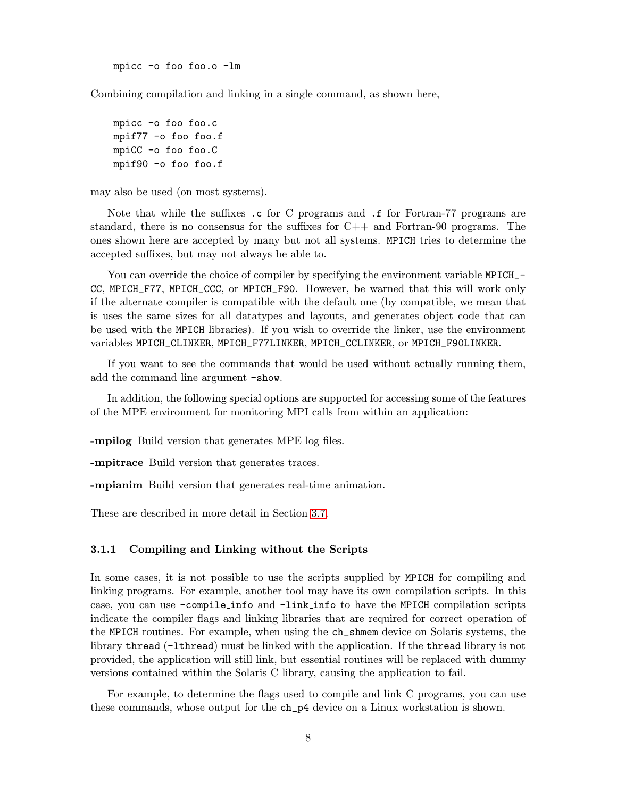mpicc -o foo foo.o -lm

<span id="page-11-0"></span>Combining compilation and linking in a single command, as shown here,

```
mpicc -o foo foo.c
mpif77 -o foo foo.f
mpiCC -o foo foo.C
mpif90 -o foo foo.f
```
may also be used (on most systems).

Note that while the suffixes .c for C programs and .f for Fortran-77 programs are standard, there is no consensus for the suffixes for C++ and Fortran-90 programs. The ones shown here are accepted by many but not all systems. MPICH tries to determine the accepted suffixes, but may not always be able to.

You can override the choice of compiler by specifying the environment variable MPICH\_ $-$ CC, MPICH\_F77, MPICH\_CCC, or MPICH\_F90. However, be warned that this will work only if the alternate compiler is compatible with the default one (by compatible, we mean that is uses the same sizes for all datatypes and layouts, and generates object code that can be used with the MPICH libraries). If you wish to override the linker, use the environment variables MPICH\_CLINKER, MPICH\_F77LINKER, MPICH\_CCLINKER, or MPICH\_F90LINKER.

If you want to see the commands that would be used without actually running them, add the command line argument -show.

In addition, the following special options are supported for accessing some of the features of the MPE environment for monitoring MPI calls from within an application:

-mpilog Build version that generates MPE log files.

-mpitrace Build version that generates traces.

-mpianim Build version that generates real-time animation.

These are described in more detail in Section [3.7.](#page-18-0)

### 3.1.1 Compiling and Linking without the Scripts

In some cases, it is not possible to use the scripts supplied by MPICH for compiling and linking programs. For example, another tool may have its own compilation scripts. In this case, you can use -compile info and -link info to have the MPICH compilation scripts indicate the compiler flags and linking libraries that are required for correct operation of the MPICH routines. For example, when using the ch\_shmem device on Solaris systems, the library thread (-lthread) must be linked with the application. If the thread library is not provided, the application will still link, but essential routines will be replaced with dummy versions contained within the Solaris C library, causing the application to fail.

For example, to determine the flags used to compile and link C programs, you can use these commands, whose output for the ch\_p4 device on a Linux workstation is shown.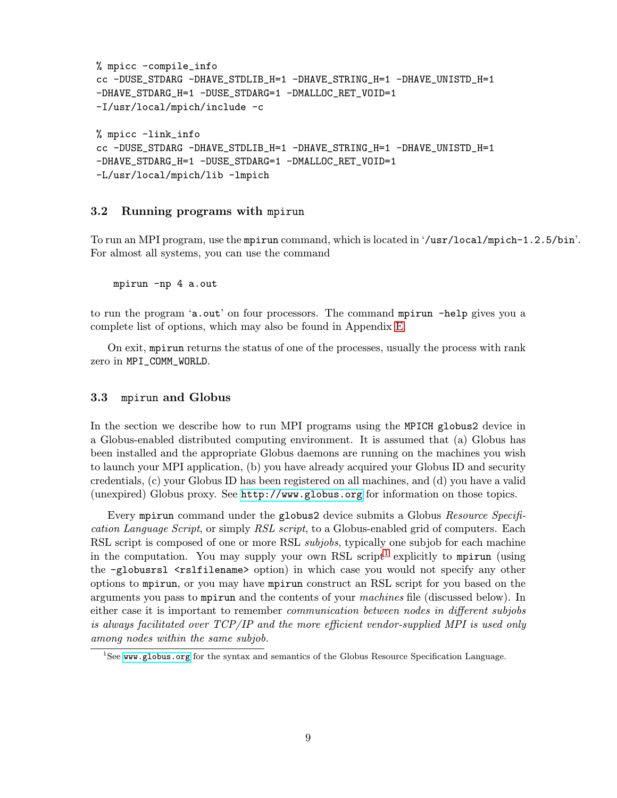```
% mpicc -compile_info
cc -DUSE_STDARG -DHAVE_STDLIB_H=1 -DHAVE_STRING_H=1 -DHAVE_UNISTD_H=1
-DHAVE_STDARG_H=1 -DUSE_STDARG=1 -DMALLOC_RET_VOID=1
-I/usr/local/mpich/include -c
% mpicc -link_info
cc -DUSE_STDARG -DHAVE_STDLIB_H=1 -DHAVE_STRING_H=1 -DHAVE_UNISTD_H=1
-DHAVE_STDARG_H=1 -DUSE_STDARG=1 -DMALLOC_RET_VOID=1
-L/usr/local/mpich/lib -lmpich
```
# 3.2 Running programs with mpirun

To run an MPI program, use the mpirun command, which is located in '/usr/local/mpich-1.2.5/bin'. For almost all systems, you can use the command

mpirun -np 4 a.out

to run the program 'a.out' on four processors. The command mpirun -help gives you a complete list of options, which may also be found in Appendix [E.](#page-73-0)

On exit, mpirun returns the status of one of the processes, usually the process with rank zero in MPI\_COMM\_WORLD.

#### 3.3 mpirun and Globus

In the section we describe how to run MPI programs using the MPICH globus2 device in a Globus-enabled distributed computing environment. It is assumed that (a) Globus has been installed and the appropriate Globus daemons are running on the machines you wish to launch your MPI application, (b) you have already acquired your Globus ID and security credentials, (c) your Globus ID has been registered on all machines, and (d) you have a valid (unexpired) Globus proxy. See <http://www.globus.org> for information on those topics.

Every mpirun command under the globus2 device submits a Globus Resource Specification Language Script, or simply RSL script, to a Globus-enabled grid of computers. Each RSL script is composed of one or more RSL *subjobs*, typically one subjob for each machine in the computation. You may supply your own RSL script<sup>1</sup> explicitly to mpirum (using the -globusrsl <rslfilename> option) in which case you would not specify any other options to mpirun, or you may have mpirun construct an RSL script for you based on the arguments you pass to mpirun and the contents of your machines file (discussed below). In either case it is important to remember communication between nodes in different subjobs is always facilitated over TCP/IP and the more efficient vendor-supplied MPI is used only among nodes within the same subjob.

 $1$ See <www.globus.org> for the syntax and semantics of the Globus Resource Specification Language.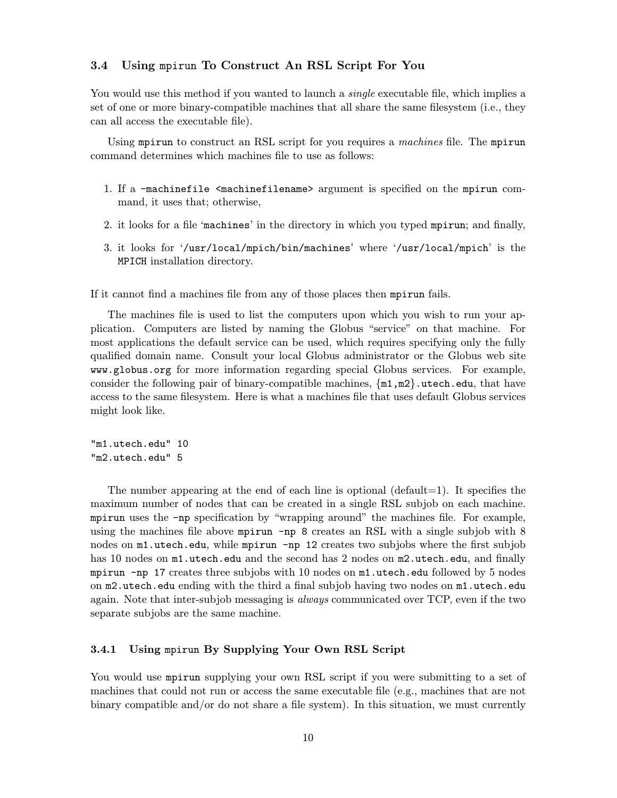# <span id="page-13-0"></span>3.4 Using mpirun To Construct An RSL Script For You

You would use this method if you wanted to launch a *single* executable file, which implies a set of one or more binary-compatible machines that all share the same filesystem (i.e., they can all access the executable file).

Using mpirun to construct an RSL script for you requires a machines file. The mpirun command determines which machines file to use as follows:

- 1. If a -machinefile <machinefilename> argument is specified on the mpirun command, it uses that; otherwise,
- 2. it looks for a file 'machines' in the directory in which you typed mpirun; and finally,
- 3. it looks for '/usr/local/mpich/bin/machines' where '/usr/local/mpich' is the MPICH installation directory.

If it cannot find a machines file from any of those places then mpirun fails.

The machines file is used to list the computers upon which you wish to run your application. Computers are listed by naming the Globus "service" on that machine. For most applications the default service can be used, which requires specifying only the fully qualified domain name. Consult your local Globus administrator or the Globus web site www.globus.org for more information regarding special Globus services. For example, consider the following pair of binary-compatible machines,  $\{\text{m1},\text{m2}\}$ .utech.edu, that have access to the same filesystem. Here is what a machines file that uses default Globus services might look like.

"m1.utech.edu" 10 "m2.utech.edu" 5

The number appearing at the end of each line is optional (default=1). It specifies the maximum number of nodes that can be created in a single RSL subjob on each machine. mpirun uses the -np specification by "wrapping around" the machines file. For example, using the machines file above mpirun -np 8 creates an RSL with a single subjob with 8 nodes on m1.utech.edu, while mpirun -np 12 creates two subjobs where the first subjob has 10 nodes on  $m1.$ utech.edu and the second has 2 nodes on  $m2.$ utech.edu, and finally mpirun -np 17 creates three subjobs with 10 nodes on m1.utech.edu followed by 5 nodes on m2.utech.edu ending with the third a final subjob having two nodes on m1.utech.edu again. Note that inter-subjob messaging is *always* communicated over TCP, even if the two separate subjobs are the same machine.

#### 3.4.1 Using mpirun By Supplying Your Own RSL Script

You would use mpirun supplying your own RSL script if you were submitting to a set of machines that could not run or access the same executable file (e.g., machines that are not binary compatible and/or do not share a file system). In this situation, we must currently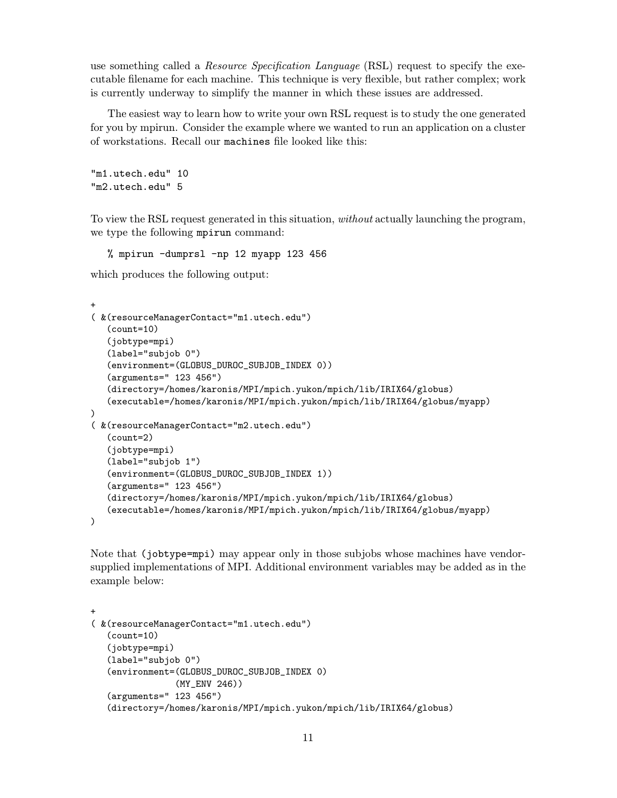use something called a *Resource Specification Language* (RSL) request to specify the executable filename for each machine. This technique is very flexible, but rather complex; work is currently underway to simplify the manner in which these issues are addressed.

The easiest way to learn how to write your own RSL request is to study the one generated for you by mpirun. Consider the example where we wanted to run an application on a cluster of workstations. Recall our machines file looked like this:

```
"m1.utech.edu" 10
"m2.utech.edu" 5
```
To view the RSL request generated in this situation, *without* actually launching the program, we type the following mpirun command:

% mpirun -dumprsl -np 12 myapp 123 456

which produces the following output:

```
+
( &(resourceManagerContact="m1.utech.edu")
   (count=10)
   (jobtype=mpi)
   (label="subjob 0")
   (environment=(GLOBUS_DUROC_SUBJOB_INDEX 0))
   (arguments=" 123 456")
   (directory=/homes/karonis/MPI/mpich.yukon/mpich/lib/IRIX64/globus)
   (executable=/homes/karonis/MPI/mpich.yukon/mpich/lib/IRIX64/globus/myapp)
)
( &(resourceManagerContact="m2.utech.edu")
   (count=2)
   (jobtype=mpi)
   (label="subjob 1")
   (environment=(GLOBUS_DUROC_SUBJOB_INDEX 1))
   (arguments=" 123 456")
   (directory=/homes/karonis/MPI/mpich.yukon/mpich/lib/IRIX64/globus)
   (executable=/homes/karonis/MPI/mpich.yukon/mpich/lib/IRIX64/globus/myapp)
\lambda
```
Note that (jobtype=mpi) may appear only in those subjobs whose machines have vendorsupplied implementations of MPI. Additional environment variables may be added as in the example below:

```
+
( &(resourceManagerContact="m1.utech.edu")
   (count=10)
   (jobtype=mpi)
   (label="subjob 0")
   (environment=(GLOBUS_DUROC_SUBJOB_INDEX 0)
                (MY_ENV 246))
   (arguments=" 123 456")
   (directory=/homes/karonis/MPI/mpich.yukon/mpich/lib/IRIX64/globus)
```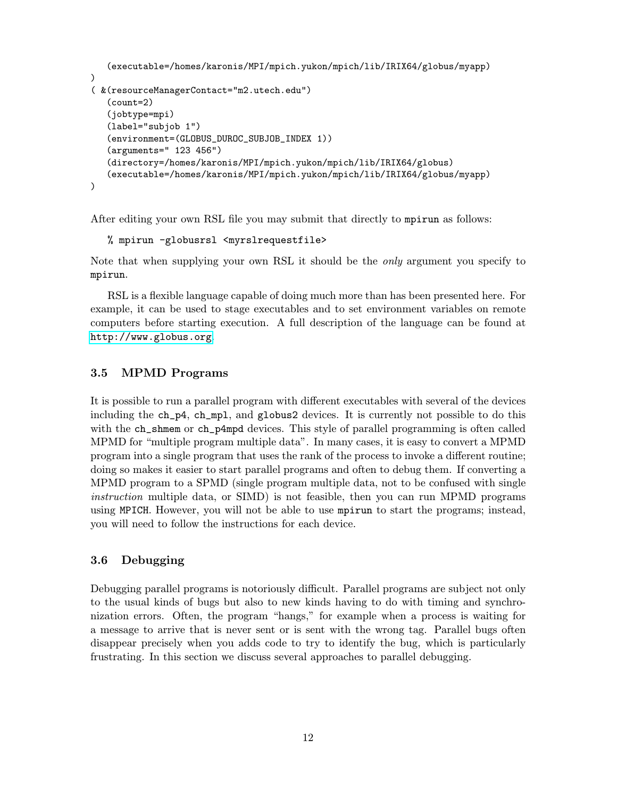```
(executable=/homes/karonis/MPI/mpich.yukon/mpich/lib/IRIX64/globus/myapp)
)
( &(resourceManagerContact="m2.utech.edu")
   (count=2)
   (jobtype=mpi)
   (label="subjob 1")
   (environment=(GLOBUS_DUROC_SUBJOB_INDEX 1))
   (arguments=" 123 456")
   (directory=/homes/karonis/MPI/mpich.yukon/mpich/lib/IRIX64/globus)
   (executable=/homes/karonis/MPI/mpich.yukon/mpich/lib/IRIX64/globus/myapp)
)
```
After editing your own RSL file you may submit that directly to mpirun as follows:

```
% mpirun -globusrsl <myrslrequestfile>
```
Note that when supplying your own RSL it should be the *only* argument you specify to mpirun.

RSL is a flexible language capable of doing much more than has been presented here. For example, it can be used to stage executables and to set environment variables on remote computers before starting execution. A full description of the language can be found at <http://www.globus.org>.

# 3.5 MPMD Programs

It is possible to run a parallel program with different executables with several of the devices including the ch\_p4, ch\_mpl, and globus2 devices. It is currently not possible to do this with the ch\_shmem or ch\_p4mpd devices. This style of parallel programming is often called MPMD for "multiple program multiple data". In many cases, it is easy to convert a MPMD program into a single program that uses the rank of the process to invoke a different routine; doing so makes it easier to start parallel programs and often to debug them. If converting a MPMD program to a SPMD (single program multiple data, not to be confused with single instruction multiple data, or SIMD) is not feasible, then you can run MPMD programs using MPICH. However, you will not be able to use mpirun to start the programs; instead, you will need to follow the instructions for each device.

# 3.6 Debugging

Debugging parallel programs is notoriously difficult. Parallel programs are subject not only to the usual kinds of bugs but also to new kinds having to do with timing and synchronization errors. Often, the program "hangs," for example when a process is waiting for a message to arrive that is never sent or is sent with the wrong tag. Parallel bugs often disappear precisely when you adds code to try to identify the bug, which is particularly frustrating. In this section we discuss several approaches to parallel debugging.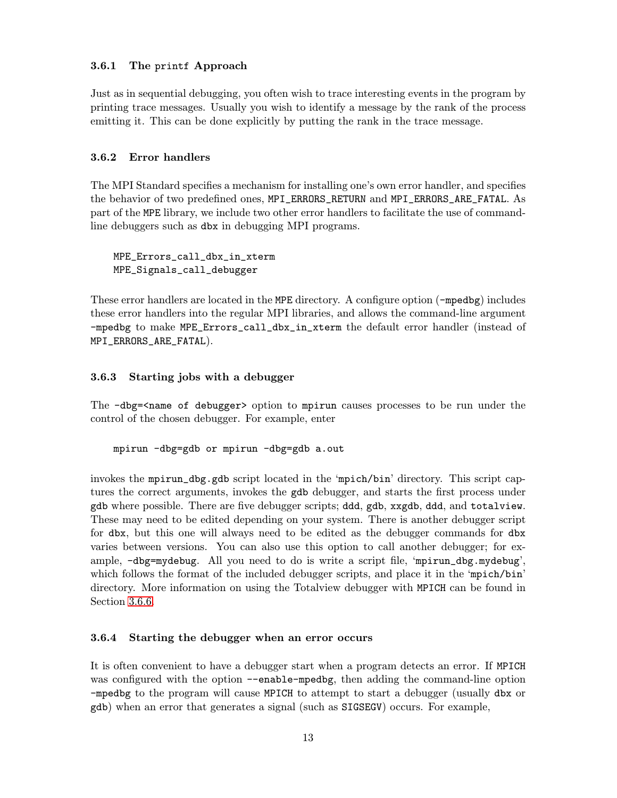# <span id="page-16-0"></span>3.6.1 The printf Approach

Just as in sequential debugging, you often wish to trace interesting events in the program by printing trace messages. Usually you wish to identify a message by the rank of the process emitting it. This can be done explicitly by putting the rank in the trace message.

#### 3.6.2 Error handlers

The MPI Standard specifies a mechanism for installing one's own error handler, and specifies the behavior of two predefined ones, MPI\_ERRORS\_RETURN and MPI\_ERRORS\_ARE\_FATAL. As part of the MPE library, we include two other error handlers to facilitate the use of commandline debuggers such as dbx in debugging MPI programs.

MPE\_Errors\_call\_dbx\_in\_xterm MPE\_Signals\_call\_debugger

These error handlers are located in the MPE directory. A configure option (-mpedbg) includes these error handlers into the regular MPI libraries, and allows the command-line argument -mpedbg to make MPE\_Errors\_call\_dbx\_in\_xterm the default error handler (instead of MPI\_ERRORS\_ARE\_FATAL).

#### 3.6.3 Starting jobs with a debugger

The  $-dbg$ - $\epsilon$  ame of debugger option to mpirun causes processes to be run under the control of the chosen debugger. For example, enter

mpirun -dbg=gdb or mpirun -dbg=gdb a.out

invokes the mpirun\_dbg.gdb script located in the 'mpich/bin' directory. This script captures the correct arguments, invokes the gdb debugger, and starts the first process under gdb where possible. There are five debugger scripts; ddd, gdb, xxgdb, ddd, and totalview. These may need to be edited depending on your system. There is another debugger script for dbx, but this one will always need to be edited as the debugger commands for dbx varies between versions. You can also use this option to call another debugger; for example, -dbg=mydebug. All you need to do is write a script file, 'mpirun\_dbg.mydebug', which follows the format of the included debugger scripts, and place it in the 'mpich/bin' directory. More information on using the Totalview debugger with MPICH can be found in Section [3.6.6.](#page-17-0)

#### 3.6.4 Starting the debugger when an error occurs

It is often convenient to have a debugger start when a program detects an error. If MPICH was configured with the option --enable-mpedbg, then adding the command-line option -mpedbg to the program will cause MPICH to attempt to start a debugger (usually dbx or gdb) when an error that generates a signal (such as SIGSEGV) occurs. For example,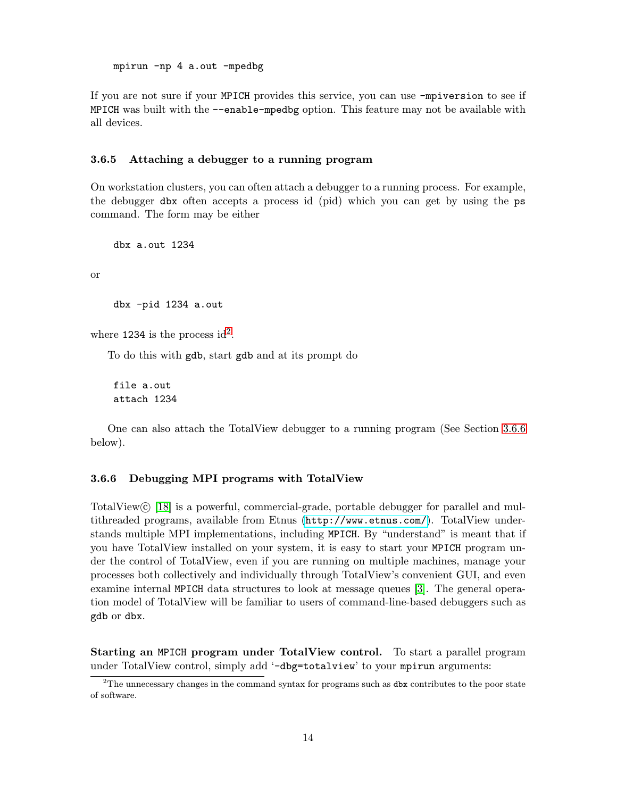<span id="page-17-0"></span>mpirun -np 4 a.out -mpedbg

If you are not sure if your MPICH provides this service, you can use -mpiversion to see if MPICH was built with the --enable-mpedbg option. This feature may not be available with all devices.

#### 3.6.5 Attaching a debugger to a running program

On workstation clusters, you can often attach a debugger to a running process. For example, the debugger dbx often accepts a process id (pid) which you can get by using the ps command. The form may be either

dbx a.out 1234

or

dbx -pid 1234 a.out

where 1234 is the process id<sup>2</sup>.

To do this with gdb, start gdb and at its prompt do

file a.out attach 1234

One can also attach the TotalView debugger to a running program (See Section [3.6.6](#page-18-0) below).

#### 3.6.6 Debugging MPI programs with TotalView

TotalView© [\[18\]](#page-80-0) is a powerful, commercial-grade, portable debugger for parallel and multithreaded programs, available from Etnus (<http://www.etnus.com/>). TotalView understands multiple MPI implementations, including MPICH. By "understand" is meant that if you have TotalView installed on your system, it is easy to start your MPICH program under the control of TotalView, even if you are running on multiple machines, manage your processes both collectively and individually through TotalView's convenient GUI, and even examine internal MPICH data structures to look at message queues [\[3\]](#page-79-0). The general operation model of TotalView will be familiar to users of command-line-based debuggers such as gdb or dbx.

Starting an MPICH program under TotalView control. To start a parallel program under TotalView control, simply add '-dbg=totalview' to your mpirun arguments:

 $2$ The unnecessary changes in the command syntax for programs such as  $\frac{1}{2}$  contributes to the poor state of software.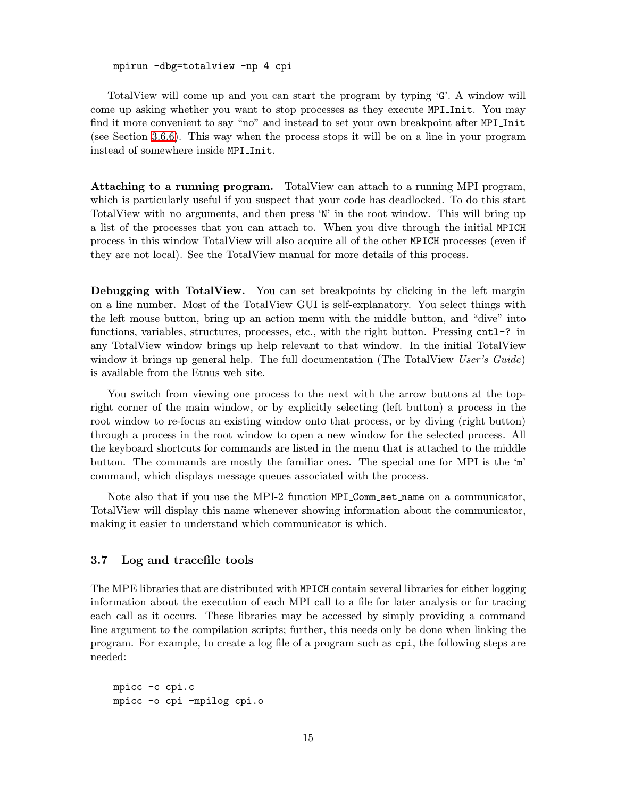#### mpirun -dbg=totalview -np 4 cpi

<span id="page-18-0"></span>TotalView will come up and you can start the program by typing 'G'. A window will come up asking whether you want to stop processes as they execute MPI Init. You may find it more convenient to say "no" and instead to set your own breakpoint after MPI\_Init (see Section 3.6.6). This way when the process stops it will be on a line in your program instead of somewhere inside MPI Init.

Attaching to a running program. TotalView can attach to a running MPI program, which is particularly useful if you suspect that your code has deadlocked. To do this start TotalView with no arguments, and then press 'N' in the root window. This will bring up a list of the processes that you can attach to. When you dive through the initial MPICH process in this window TotalView will also acquire all of the other MPICH processes (even if they are not local). See the TotalView manual for more details of this process.

Debugging with TotalView. You can set breakpoints by clicking in the left margin on a line number. Most of the TotalView GUI is self-explanatory. You select things with the left mouse button, bring up an action menu with the middle button, and "dive" into functions, variables, structures, processes, etc., with the right button. Pressing cntl-? in any TotalView window brings up help relevant to that window. In the initial TotalView window it brings up general help. The full documentation (The TotalView User's Guide) is available from the Etnus web site.

You switch from viewing one process to the next with the arrow buttons at the topright corner of the main window, or by explicitly selecting (left button) a process in the root window to re-focus an existing window onto that process, or by diving (right button) through a process in the root window to open a new window for the selected process. All the keyboard shortcuts for commands are listed in the menu that is attached to the middle button. The commands are mostly the familiar ones. The special one for MPI is the 'm' command, which displays message queues associated with the process.

Note also that if you use the MPI-2 function MPI Comm set name on a communicator, TotalView will display this name whenever showing information about the communicator, making it easier to understand which communicator is which.

#### 3.7 Log and tracefile tools

The MPE libraries that are distributed with MPICH contain several libraries for either logging information about the execution of each MPI call to a file for later analysis or for tracing each call as it occurs. These libraries may be accessed by simply providing a command line argument to the compilation scripts; further, this needs only be done when linking the program. For example, to create a log file of a program such as cpi, the following steps are needed:

mpicc -c cpi.c mpicc -o cpi -mpilog cpi.o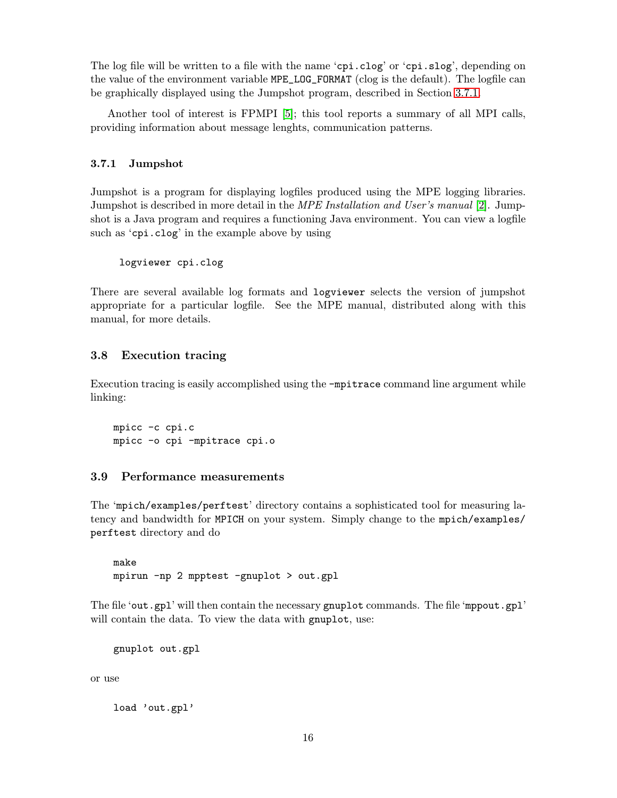<span id="page-19-0"></span>The log file will be written to a file with the name 'cpi.clog' or 'cpi.slog', depending on the value of the environment variable MPE\_LOG\_FORMAT (clog is the default). The logfile can be graphically displayed using the Jumpshot program, described in Section 3.7.1.

Another tool of interest is FPMPI [\[5\]](#page-79-0); this tool reports a summary of all MPI calls, providing information about message lenghts, communication patterns.

# 3.7.1 Jumpshot

Jumpshot is a program for displaying logfiles produced using the MPE logging libraries. Jumpshot is described in more detail in the *MPE Installation and User's manual* [\[2\]](#page-79-0). Jumpshot is a Java program and requires a functioning Java environment. You can view a logfile such as 'cpi.clog' in the example above by using

```
logviewer cpi.clog
```
There are several available log formats and logviewer selects the version of jumpshot appropriate for a particular logfile. See the MPE manual, distributed along with this manual, for more details.

# 3.8 Execution tracing

Execution tracing is easily accomplished using the -mpitrace command line argument while linking:

mpicc -c cpi.c mpicc -o cpi -mpitrace cpi.o

# 3.9 Performance measurements

The 'mpich/examples/perftest' directory contains a sophisticated tool for measuring latency and bandwidth for MPICH on your system. Simply change to the mpich/examples/ perftest directory and do

make mpirun -np 2 mpptest -gnuplot > out.gpl

The file 'out.gpl' will then contain the necessary gnuplot commands. The file 'mppout.gpl' will contain the data. To view the data with gnuplot, use:

gnuplot out.gpl

or use

load 'out.gpl'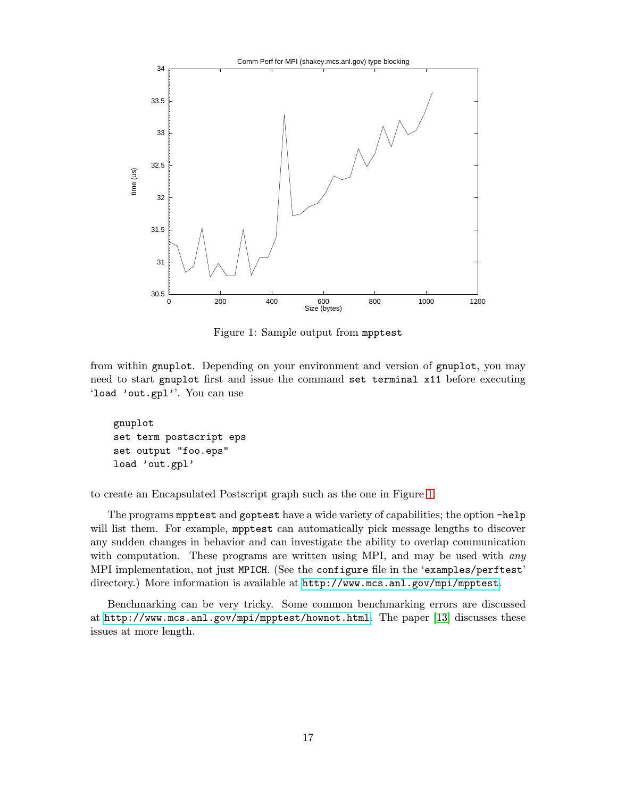

Figure 1: Sample output from mpptest

from within gnuplot. Depending on your environment and version of gnuplot, you may need to start gnuplot first and issue the command set terminal x11 before executing 'load 'out.gpl''. You can use

gnuplot set term postscript eps set output "foo.eps" load 'out.gpl'

to create an Encapsulated Postscript graph such as the one in Figure 1.

The programs mpptest and goptest have a wide variety of capabilities; the option -help will list them. For example, mpptest can automatically pick message lengths to discover any sudden changes in behavior and can investigate the ability to overlap communication with computation. These programs are written using MPI, and may be used with *any* MPI implementation, not just MPICH. (See the configure file in the 'examples/perftest' directory.) More information is available at <http://www.mcs.anl.gov/mpi/mpptest>.

Benchmarking can be very tricky. Some common benchmarking errors are discussed at <http://www.mcs.anl.gov/mpi/mpptest/hownot.html>. The paper [\[13\]](#page-79-0) discusses these issues at more length.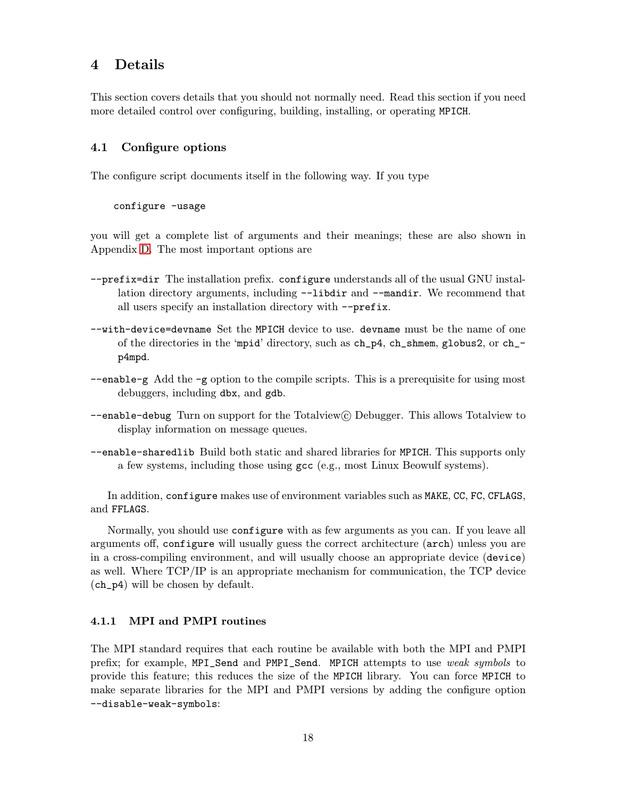# <span id="page-21-0"></span>4 Details

This section covers details that you should not normally need. Read this section if you need more detailed control over configuring, building, installing, or operating MPICH.

# 4.1 Configure options

The configure script documents itself in the following way. If you type

#### configure -usage

you will get a complete list of arguments and their meanings; these are also shown in Appendix [D.](#page-66-0) The most important options are

- --prefix=dir The installation prefix. configure understands all of the usual GNU installation directory arguments, including  $-\text{libdir}$  and  $-\text{mandir}$ . We recommend that all users specify an installation directory with --prefix.
- --with-device=devname Set the MPICH device to use. devname must be the name of one of the directories in the 'mpid' directory, such as ch\_p4, ch\_shmem, globus2, or ch\_ p4mpd.
- $\epsilon$ -enable-g Add the -g option to the compile scripts. This is a prerequisite for using most debuggers, including dbx, and gdb.
- --enable-debug Turn on support for the Totalview© Debugger. This allows Totalview to display information on message queues.
- --enable-sharedlib Build both static and shared libraries for MPICH. This supports only a few systems, including those using gcc (e.g., most Linux Beowulf systems).

In addition, configure makes use of environment variables such as MAKE, CC, FC, CFLAGS, and FFLAGS.

Normally, you should use configure with as few arguments as you can. If you leave all arguments off, configure will usually guess the correct architecture (arch) unless you are in a cross-compiling environment, and will usually choose an appropriate device (device) as well. Where TCP/IP is an appropriate mechanism for communication, the TCP device (ch\_p4) will be chosen by default.

# 4.1.1 MPI and PMPI routines

The MPI standard requires that each routine be available with both the MPI and PMPI prefix; for example, MPI\_Send and PMPI\_Send. MPICH attempts to use weak symbols to provide this feature; this reduces the size of the MPICH library. You can force MPICH to make separate libraries for the MPI and PMPI versions by adding the configure option --disable-weak-symbols: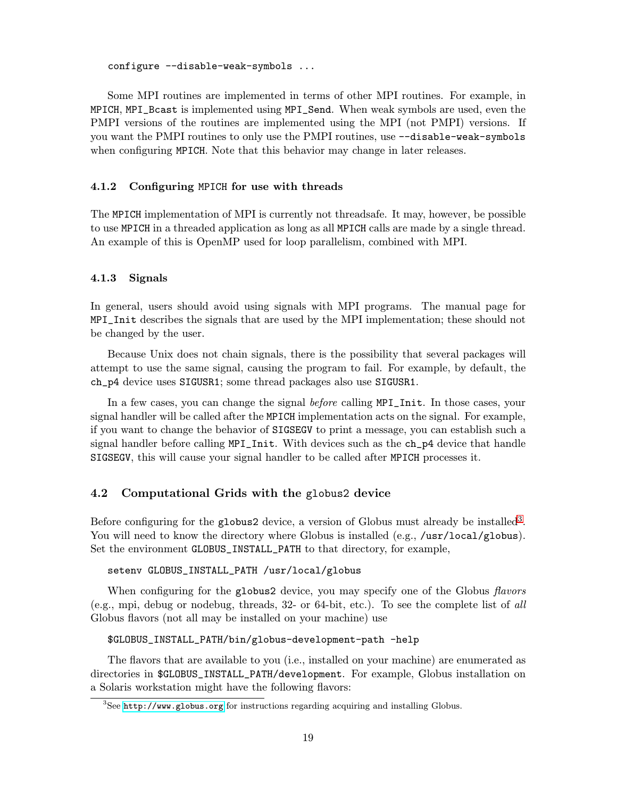<span id="page-22-0"></span>configure --disable-weak-symbols ...

Some MPI routines are implemented in terms of other MPI routines. For example, in MPICH, MPI\_Bcast is implemented using MPI\_Send. When weak symbols are used, even the PMPI versions of the routines are implemented using the MPI (not PMPI) versions. If you want the PMPI routines to only use the PMPI routines, use --disable-weak-symbols when configuring MPICH. Note that this behavior may change in later releases.

#### 4.1.2 Configuring MPICH for use with threads

The MPICH implementation of MPI is currently not threadsafe. It may, however, be possible to use MPICH in a threaded application as long as all MPICH calls are made by a single thread. An example of this is OpenMP used for loop parallelism, combined with MPI.

#### 4.1.3 Signals

In general, users should avoid using signals with MPI programs. The manual page for MPI\_Init describes the signals that are used by the MPI implementation; these should not be changed by the user.

Because Unix does not chain signals, there is the possibility that several packages will attempt to use the same signal, causing the program to fail. For example, by default, the ch\_p4 device uses SIGUSR1; some thread packages also use SIGUSR1.

In a few cases, you can change the signal before calling MPI\_Init. In those cases, your signal handler will be called after the MPICH implementation acts on the signal. For example, if you want to change the behavior of SIGSEGV to print a message, you can establish such a signal handler before calling MPI\_Init. With devices such as the ch\_p4 device that handle SIGSEGV, this will cause your signal handler to be called after MPICH processes it.

# 4.2 Computational Grids with the globus2 device

Before configuring for the globus2 device, a version of Globus must already be installed<sup>3</sup>. You will need to know the directory where Globus is installed (e.g., /usr/local/globus). Set the environment GLOBUS\_INSTALL\_PATH to that directory, for example,

#### setenv GLOBUS\_INSTALL\_PATH /usr/local/globus

When configuring for the globus2 device, you may specify one of the Globus *flavors* (e.g., mpi, debug or nodebug, threads, 32- or 64-bit, etc.). To see the complete list of all Globus flavors (not all may be installed on your machine) use

#### \$GLOBUS\_INSTALL\_PATH/bin/globus-development-path -help

The flavors that are available to you (i.e., installed on your machine) are enumerated as directories in \$GLOBUS\_INSTALL\_PATH/development. For example, Globus installation on a Solaris workstation might have the following flavors:

<sup>&</sup>lt;sup>3</sup>See <http://www.globus.org> for instructions regarding acquiring and installing Globus.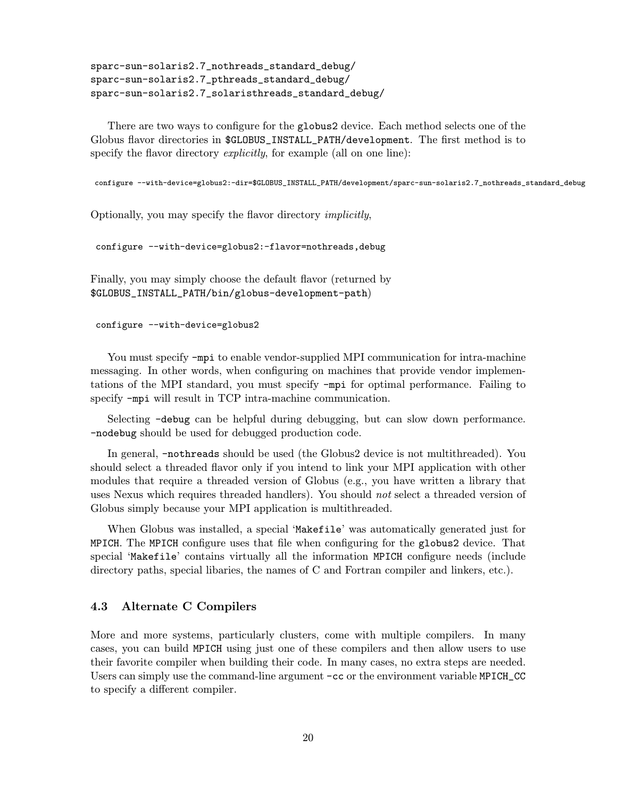```
sparc-sun-solaris2.7_nothreads_standard_debug/
sparc-sun-solaris2.7_pthreads_standard_debug/
sparc-sun-solaris2.7_solaristhreads_standard_debug/
```
There are two ways to configure for the globus2 device. Each method selects one of the Globus flavor directories in \$GLOBUS\_INSTALL\_PATH/development. The first method is to specify the flavor directory *explicitly*, for example (all on one line):

```
configure --with-device=globus2:-dir=$GLOBUS_INSTALL_PATH/development/sparc-sun-solaris2.7_nothreads_standard_debug
```
Optionally, you may specify the flavor directory implicitly,

configure --with-device=globus2:-flavor=nothreads,debug

Finally, you may simply choose the default flavor (returned by \$GLOBUS\_INSTALL\_PATH/bin/globus-development-path)

configure --with-device=globus2

You must specify -mpi to enable vendor-supplied MPI communication for intra-machine messaging. In other words, when configuring on machines that provide vendor implementations of the MPI standard, you must specify -mpi for optimal performance. Failing to specify -mpi will result in TCP intra-machine communication.

Selecting -debug can be helpful during debugging, but can slow down performance. -nodebug should be used for debugged production code.

In general, -nothreads should be used (the Globus2 device is not multithreaded). You should select a threaded flavor only if you intend to link your MPI application with other modules that require a threaded version of Globus (e.g., you have written a library that uses Nexus which requires threaded handlers). You should *not* select a threaded version of Globus simply because your MPI application is multithreaded.

When Globus was installed, a special 'Makefile' was automatically generated just for MPICH. The MPICH configure uses that file when configuring for the globus2 device. That special 'Makefile' contains virtually all the information MPICH configure needs (include directory paths, special libaries, the names of C and Fortran compiler and linkers, etc.).

# 4.3 Alternate C Compilers

More and more systems, particularly clusters, come with multiple compilers. In many cases, you can build MPICH using just one of these compilers and then allow users to use their favorite compiler when building their code. In many cases, no extra steps are needed. Users can simply use the command-line argument  $-cc$  or the environment variable MPICH\_CC to specify a different compiler.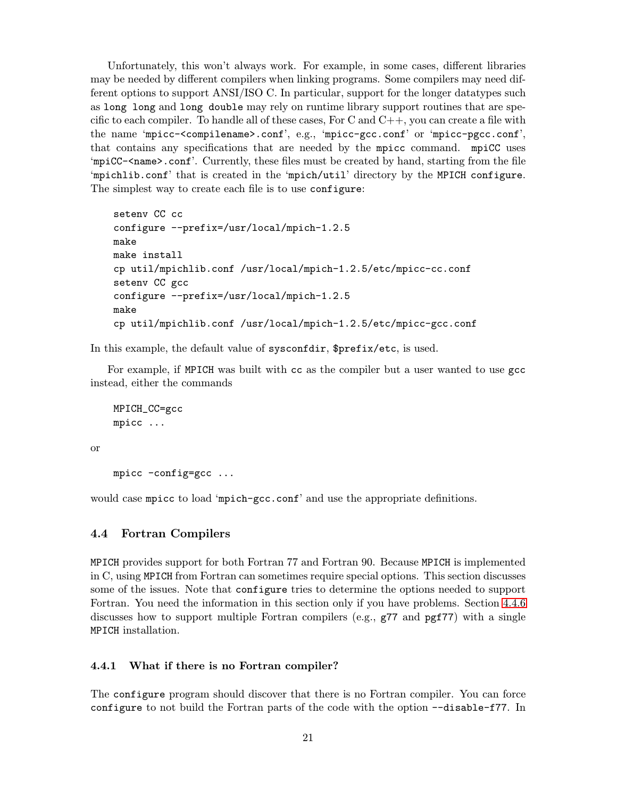<span id="page-24-0"></span>Unfortunately, this won't always work. For example, in some cases, different libraries may be needed by different compilers when linking programs. Some compilers may need different options to support ANSI/ISO C. In particular, support for the longer datatypes such as long long and long double may rely on runtime library support routines that are specific to each compiler. To handle all of these cases, For C and  $C_{++}$ , you can create a file with the name 'mpicc-<compilename>.conf', e.g., 'mpicc-gcc.conf' or 'mpicc-pgcc.conf', that contains any specifications that are needed by the mpicc command. mpiCC uses 'mpiCC-<name>.conf'. Currently, these files must be created by hand, starting from the file 'mpichlib.conf' that is created in the 'mpich/util' directory by the MPICH configure. The simplest way to create each file is to use configure:

```
setenv CC cc
configure --prefix=/usr/local/mpich-1.2.5
make
make install
cp util/mpichlib.conf /usr/local/mpich-1.2.5/etc/mpicc-cc.conf
setenv CC gcc
configure --prefix=/usr/local/mpich-1.2.5
make
cp util/mpichlib.conf /usr/local/mpich-1.2.5/etc/mpicc-gcc.conf
```
In this example, the default value of sysconfdir, \$prefix/etc, is used.

For example, if MPICH was built with cc as the compiler but a user wanted to use gcc instead, either the commands

```
MPICH_CC=gcc
mpicc ...
```
or

mpicc -config=gcc ...

would case mpicc to load 'mpich-gcc.conf' and use the appropriate definitions.

# 4.4 Fortran Compilers

MPICH provides support for both Fortran 77 and Fortran 90. Because MPICH is implemented in C, using MPICH from Fortran can sometimes require special options. This section discusses some of the issues. Note that configure tries to determine the options needed to support Fortran. You need the information in this section only if you have problems. Section [4.4.6](#page-26-0) discusses how to support multiple Fortran compilers (e.g., g77 and pgf77) with a single MPICH installation.

# 4.4.1 What if there is no Fortran compiler?

The configure program should discover that there is no Fortran compiler. You can force configure to not build the Fortran parts of the code with the option --disable-f77. In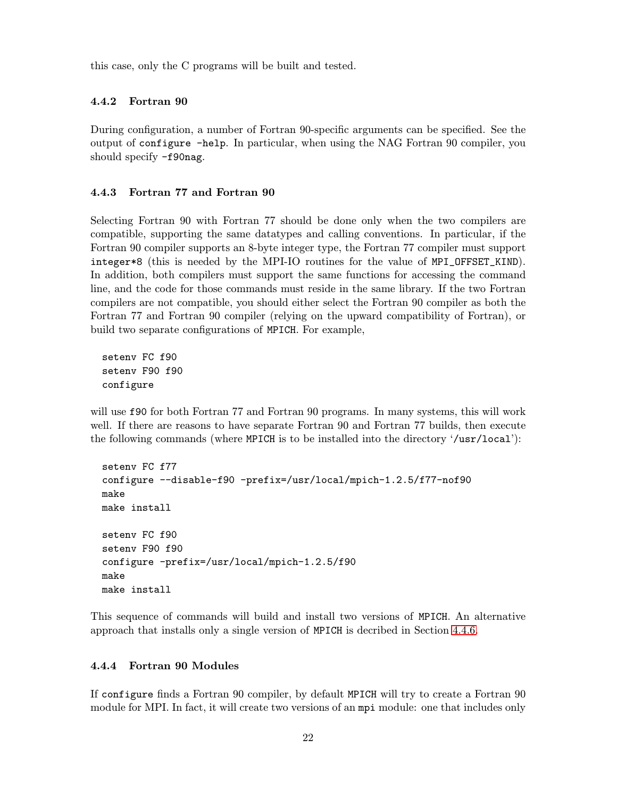<span id="page-25-0"></span>this case, only the C programs will be built and tested.

#### 4.4.2 Fortran 90

During configuration, a number of Fortran 90-specific arguments can be specified. See the output of configure -help. In particular, when using the NAG Fortran 90 compiler, you should specify -f90nag.

#### 4.4.3 Fortran 77 and Fortran 90

Selecting Fortran 90 with Fortran 77 should be done only when the two compilers are compatible, supporting the same datatypes and calling conventions. In particular, if the Fortran 90 compiler supports an 8-byte integer type, the Fortran 77 compiler must support integer\*8 (this is needed by the MPI-IO routines for the value of MPI\_OFFSET\_KIND). In addition, both compilers must support the same functions for accessing the command line, and the code for those commands must reside in the same library. If the two Fortran compilers are not compatible, you should either select the Fortran 90 compiler as both the Fortran 77 and Fortran 90 compiler (relying on the upward compatibility of Fortran), or build two separate configurations of MPICH. For example,

setenv FC f90 setenv F90 f90 configure

will use f90 for both Fortran 77 and Fortran 90 programs. In many systems, this will work well. If there are reasons to have separate Fortran 90 and Fortran 77 builds, then execute the following commands (where MPICH is to be installed into the directory '/usr/local'):

```
setenv FC f77
configure --disable-f90 -prefix=/usr/local/mpich-1.2.5/f77-nof90
make
make install
setenv FC f90
setenv F90 f90
configure -prefix=/usr/local/mpich-1.2.5/f90
make
make install
```
This sequence of commands will build and install two versions of MPICH. An alternative approach that installs only a single version of MPICH is decribed in Section [4.4.6.](#page-26-0)

# 4.4.4 Fortran 90 Modules

If configure finds a Fortran 90 compiler, by default MPICH will try to create a Fortran 90 module for MPI. In fact, it will create two versions of an mpi module: one that includes only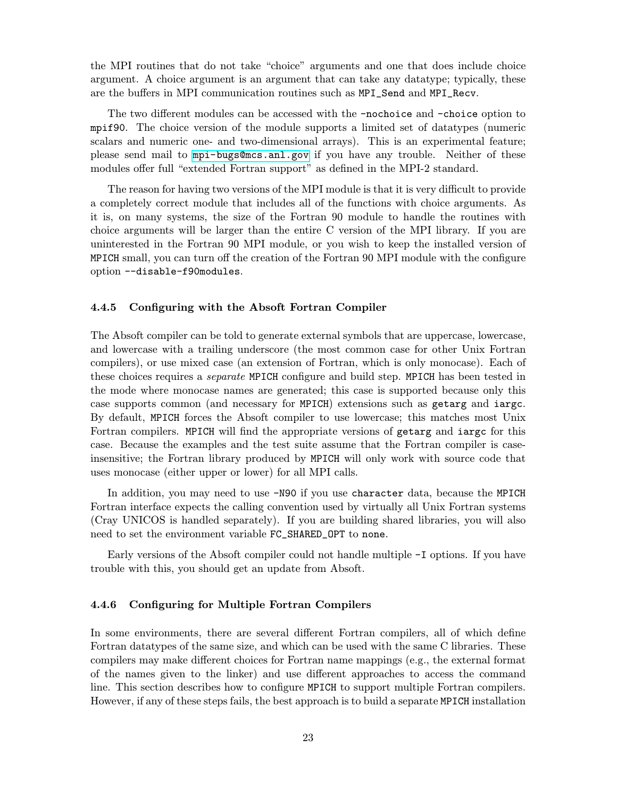<span id="page-26-0"></span>the MPI routines that do not take "choice" arguments and one that does include choice argument. A choice argument is an argument that can take any datatype; typically, these are the buffers in MPI communication routines such as MPI\_Send and MPI\_Recv.

The two different modules can be accessed with the -nochoice and -choice option to mpif90. The choice version of the module supports a limited set of datatypes (numeric scalars and numeric one- and two-dimensional arrays). This is an experimental feature; please send mail to <mpi-bugs@mcs.anl.gov> if you have any trouble. Neither of these modules offer full "extended Fortran support" as defined in the MPI-2 standard.

The reason for having two versions of the MPI module is that it is very difficult to provide a completely correct module that includes all of the functions with choice arguments. As it is, on many systems, the size of the Fortran 90 module to handle the routines with choice arguments will be larger than the entire C version of the MPI library. If you are uninterested in the Fortran 90 MPI module, or you wish to keep the installed version of MPICH small, you can turn off the creation of the Fortran 90 MPI module with the configure option --disable-f90modules.

#### 4.4.5 Configuring with the Absoft Fortran Compiler

The Absoft compiler can be told to generate external symbols that are uppercase, lowercase, and lowercase with a trailing underscore (the most common case for other Unix Fortran compilers), or use mixed case (an extension of Fortran, which is only monocase). Each of these choices requires a *separate* MPICH configure and build step. MPICH has been tested in the mode where monocase names are generated; this case is supported because only this case supports common (and necessary for MPICH) extensions such as getarg and iargc. By default, MPICH forces the Absoft compiler to use lowercase; this matches most Unix Fortran compilers. MPICH will find the appropriate versions of getarg and iargc for this case. Because the examples and the test suite assume that the Fortran compiler is caseinsensitive; the Fortran library produced by MPICH will only work with source code that uses monocase (either upper or lower) for all MPI calls.

In addition, you may need to use -N90 if you use character data, because the MPICH Fortran interface expects the calling convention used by virtually all Unix Fortran systems (Cray UNICOS is handled separately). If you are building shared libraries, you will also need to set the environment variable FC\_SHARED\_OPT to none.

Early versions of the Absoft compiler could not handle multiple -I options. If you have trouble with this, you should get an update from Absoft.

# 4.4.6 Configuring for Multiple Fortran Compilers

In some environments, there are several different Fortran compilers, all of which define Fortran datatypes of the same size, and which can be used with the same C libraries. These compilers may make different choices for Fortran name mappings (e.g., the external format of the names given to the linker) and use different approaches to access the command line. This section describes how to configure MPICH to support multiple Fortran compilers. However, if any of these steps fails, the best approach is to build a separate MPICH installation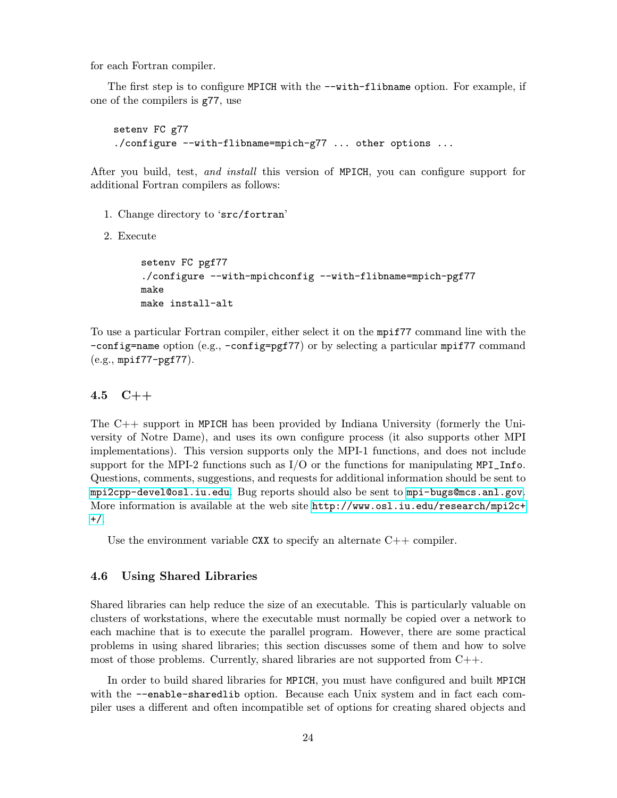<span id="page-27-0"></span>for each Fortran compiler.

The first step is to configure MPICH with the  $-\text{with-flibname option}$ . For example, if one of the compilers is g77, use

```
setenv FC g77
./configure --with-flibname=mpich-g77 ... other options ...
```
After you build, test, and install this version of MPICH, you can configure support for additional Fortran compilers as follows:

- 1. Change directory to 'src/fortran'
- 2. Execute

```
setenv FC pgf77
./configure --with-mpichconfig --with-flibname=mpich-pgf77
make
make install-alt
```
To use a particular Fortran compiler, either select it on the mpif77 command line with the -config=name option (e.g., -config=pgf77) or by selecting a particular mpif77 command (e.g., mpif77-pgf77).

#### 4.5 C++

The C++ support in MPICH has been provided by Indiana University (formerly the University of Notre Dame), and uses its own configure process (it also supports other MPI implementations). This version supports only the MPI-1 functions, and does not include support for the MPI-2 functions such as  $I/O$  or the functions for manipulating MPI\_Info. Questions, comments, suggestions, and requests for additional information should be sent to <mpi2cpp-devel@osl.iu.edu>. Bug reports should also be sent to <mpi-bugs@mcs.anl.gov>. More information is available at the web site [http://www.osl.iu.edu/research/mpi2c+](http://www.osl.iu.edu/research/mpi2c++/) [+/](http://www.osl.iu.edu/research/mpi2c++/).

Use the environment variable CXX to specify an alternate  $C++$  compiler.

#### 4.6 Using Shared Libraries

Shared libraries can help reduce the size of an executable. This is particularly valuable on clusters of workstations, where the executable must normally be copied over a network to each machine that is to execute the parallel program. However, there are some practical problems in using shared libraries; this section discusses some of them and how to solve most of those problems. Currently, shared libraries are not supported from C++.

In order to build shared libraries for MPICH, you must have configured and built MPICH with the  $-$ -enable-sharedlib option. Because each Unix system and in fact each compiler uses a different and often incompatible set of options for creating shared objects and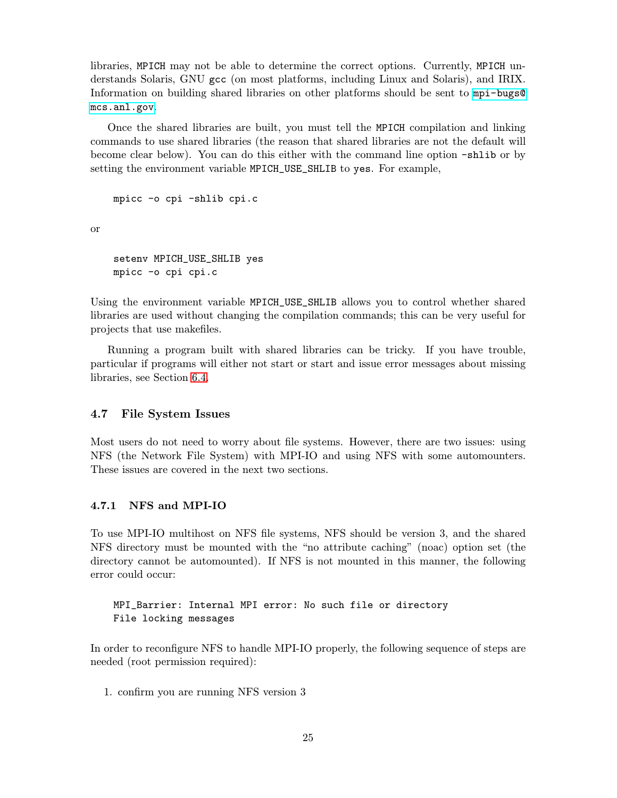<span id="page-28-0"></span>libraries, MPICH may not be able to determine the correct options. Currently, MPICH understands Solaris, GNU gcc (on most platforms, including Linux and Solaris), and IRIX. Information on building shared libraries on other platforms should be sent to [mpi-bugs@](mpi-bugs@mcs.anl.gov) [mcs.anl.gov](mpi-bugs@mcs.anl.gov).

Once the shared libraries are built, you must tell the MPICH compilation and linking commands to use shared libraries (the reason that shared libraries are not the default will become clear below). You can do this either with the command line option -shlib or by setting the environment variable MPICH\_USE\_SHLIB to yes. For example,

```
mpicc -o cpi -shlib cpi.c
```
or

```
setenv MPICH_USE_SHLIB yes
mpicc -o cpi cpi.c
```
Using the environment variable MPICH\_USE\_SHLIB allows you to control whether shared libraries are used without changing the compilation commands; this can be very useful for projects that use makefiles.

Running a program built with shared libraries can be tricky. If you have trouble, particular if programs will either not start or start and issue error messages about missing libraries, see Section [6.4.](#page-36-0)

# 4.7 File System Issues

Most users do not need to worry about file systems. However, there are two issues: using NFS (the Network File System) with MPI-IO and using NFS with some automounters. These issues are covered in the next two sections.

# 4.7.1 NFS and MPI-IO

To use MPI-IO multihost on NFS file systems, NFS should be version 3, and the shared NFS directory must be mounted with the "no attribute caching" (noac) option set (the directory cannot be automounted). If NFS is not mounted in this manner, the following error could occur:

MPI\_Barrier: Internal MPI error: No such file or directory File locking messages

In order to reconfigure NFS to handle MPI-IO properly, the following sequence of steps are needed (root permission required):

1. confirm you are running NFS version 3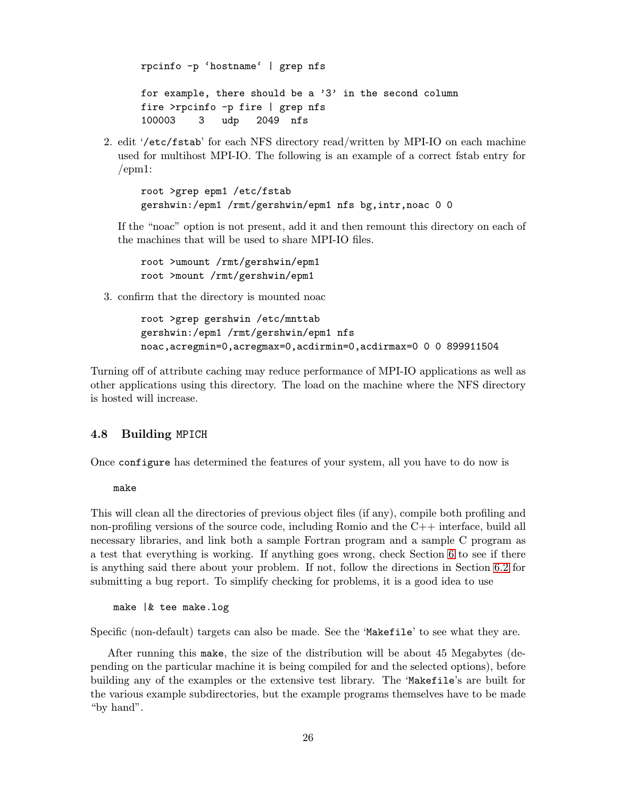<span id="page-29-0"></span>rpcinfo -p 'hostname' | grep nfs for example, there should be a '3' in the second column fire >rpcinfo -p fire | grep nfs 100003 3 udp 2049 nfs

2. edit '/etc/fstab' for each NFS directory read/written by MPI-IO on each machine used for multihost MPI-IO. The following is an example of a correct fstab entry for /epm1:

root >grep epm1 /etc/fstab gershwin:/epm1 /rmt/gershwin/epm1 nfs bg,intr,noac 0 0

If the "noac" option is not present, add it and then remount this directory on each of the machines that will be used to share MPI-IO files.

root >umount /rmt/gershwin/epm1 root >mount /rmt/gershwin/epm1

3. confirm that the directory is mounted noac

root >grep gershwin /etc/mnttab gershwin:/epm1 /rmt/gershwin/epm1 nfs noac,acregmin=0,acregmax=0,acdirmin=0,acdirmax=0 0 0 899911504

Turning off of attribute caching may reduce performance of MPI-IO applications as well as other applications using this directory. The load on the machine where the NFS directory is hosted will increase.

# 4.8 Building MPICH

Once configure has determined the features of your system, all you have to do now is

make

This will clean all the directories of previous object files (if any), compile both profiling and non-profiling versions of the source code, including Romio and the C++ interface, build all necessary libraries, and link both a sample Fortran program and a sample C program as a test that everything is working. If anything goes wrong, check Section [6](#page-35-0) to see if there is anything said there about your problem. If not, follow the directions in Section [6.2](#page-35-0) for submitting a bug report. To simplify checking for problems, it is a good idea to use

make |& tee make.log

Specific (non-default) targets can also be made. See the 'Makefile' to see what they are.

After running this make, the size of the distribution will be about 45 Megabytes (depending on the particular machine it is being compiled for and the selected options), before building any of the examples or the extensive test library. The 'Makefile's are built for the various example subdirectories, but the example programs themselves have to be made "by hand".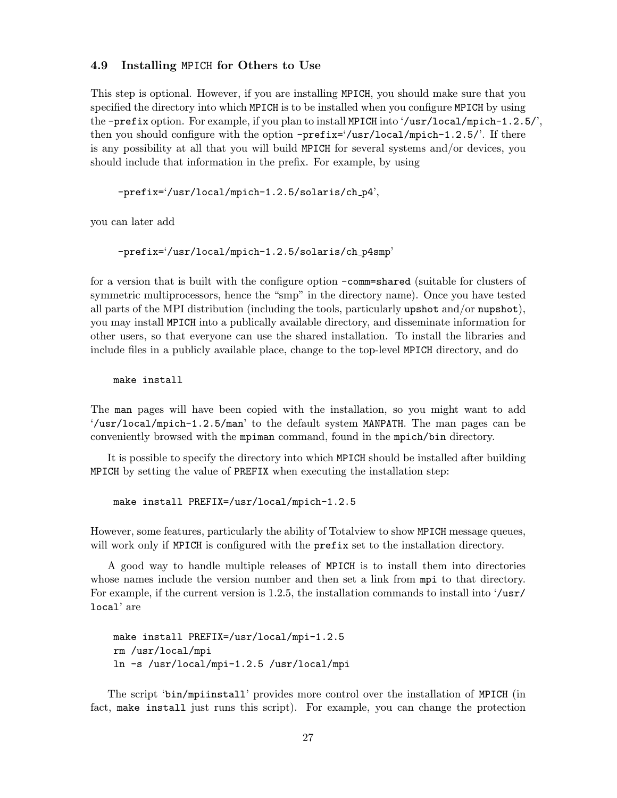#### <span id="page-30-0"></span>4.9 Installing MPICH for Others to Use

This step is optional. However, if you are installing MPICH, you should make sure that you specified the directory into which MPICH is to be installed when you configure MPICH by using the -prefix option. For example, if you plan to install MPICH into '/usr/local/mpich-1.2.5/', then you should configure with the option  $-prefix=(\text{var}/\text{local}/\text{mpich}-1.2.5)'$ . If there is any possibility at all that you will build MPICH for several systems and/or devices, you should include that information in the prefix. For example, by using

-prefix='/usr/local/mpich-1.2.5/solaris/ch p4',

you can later add

-prefix='/usr/local/mpich-1.2.5/solaris/ch p4smp'

for a version that is built with the configure option -comm=shared (suitable for clusters of symmetric multiprocessors, hence the "smp" in the directory name). Once you have tested all parts of the MPI distribution (including the tools, particularly upshot and/or nupshot), you may install MPICH into a publically available directory, and disseminate information for other users, so that everyone can use the shared installation. To install the libraries and include files in a publicly available place, change to the top-level MPICH directory, and do

make install

The man pages will have been copied with the installation, so you might want to add '/usr/local/mpich-1.2.5/man' to the default system MANPATH. The man pages can be conveniently browsed with the mpiman command, found in the mpich/bin directory.

It is possible to specify the directory into which MPICH should be installed after building MPICH by setting the value of PREFIX when executing the installation step:

make install PREFIX=/usr/local/mpich-1.2.5

However, some features, particularly the ability of Totalview to show MPICH message queues, will work only if MPICH is configured with the **prefix** set to the installation directory.

A good way to handle multiple releases of MPICH is to install them into directories whose names include the version number and then set a link from mpi to that directory. For example, if the current version is 1.2.5, the installation commands to install into '/usr/ local' are

```
make install PREFIX=/usr/local/mpi-1.2.5
rm /usr/local/mpi
ln -s /usr/local/mpi-1.2.5 /usr/local/mpi
```
The script 'bin/mpiinstall' provides more control over the installation of MPICH (in fact, make install just runs this script). For example, you can change the protection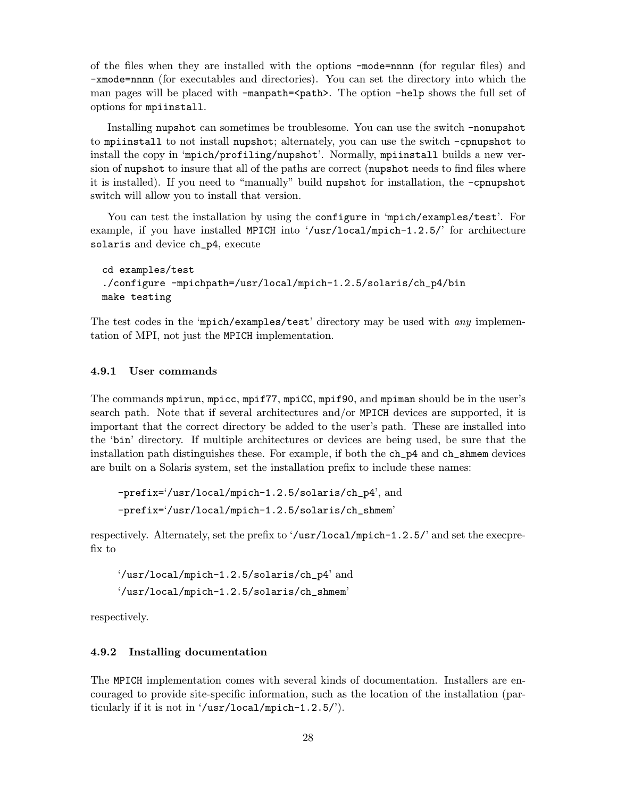<span id="page-31-0"></span>of the files when they are installed with the options -mode=nnnn (for regular files) and -xmode=nnnn (for executables and directories). You can set the directory into which the man pages will be placed with -manpath=<path>. The option -help shows the full set of options for mpiinstall.

Installing nupshot can sometimes be troublesome. You can use the switch -nonupshot to mpiinstall to not install nupshot; alternately, you can use the switch -cpnupshot to install the copy in 'mpich/profiling/nupshot'. Normally, mpiinstall builds a new version of nupshot to insure that all of the paths are correct (nupshot needs to find files where it is installed). If you need to "manually" build nupshot for installation, the -cpnupshot switch will allow you to install that version.

You can test the installation by using the configure in 'mpich/examples/test'. For example, if you have installed MPICH into '/usr/local/mpich-1.2.5/' for architecture solaris and device ch\_p4, execute

```
cd examples/test
./configure -mpichpath=/usr/local/mpich-1.2.5/solaris/ch_p4/bin
make testing
```
The test codes in the 'mpich/examples/test' directory may be used with *any* implementation of MPI, not just the MPICH implementation.

# 4.9.1 User commands

The commands mpirun, mpicc, mpif77, mpiCC, mpif90, and mpiman should be in the user's search path. Note that if several architectures and/or MPICH devices are supported, it is important that the correct directory be added to the user's path. These are installed into the 'bin' directory. If multiple architectures or devices are being used, be sure that the installation path distinguishes these. For example, if both the ch\_p4 and ch\_shmem devices are built on a Solaris system, set the installation prefix to include these names:

-prefix='/usr/local/mpich-1.2.5/solaris/ch\_p4', and -prefix='/usr/local/mpich-1.2.5/solaris/ch\_shmem'

respectively. Alternately, set the prefix to '/usr/local/mpich-1.2.5/' and set the execprefix to

'/usr/local/mpich-1.2.5/solaris/ch\_p4' and '/usr/local/mpich-1.2.5/solaris/ch\_shmem'

respectively.

#### 4.9.2 Installing documentation

The MPICH implementation comes with several kinds of documentation. Installers are encouraged to provide site-specific information, such as the location of the installation (particularly if it is not in '/usr/local/mpich-1.2.5/').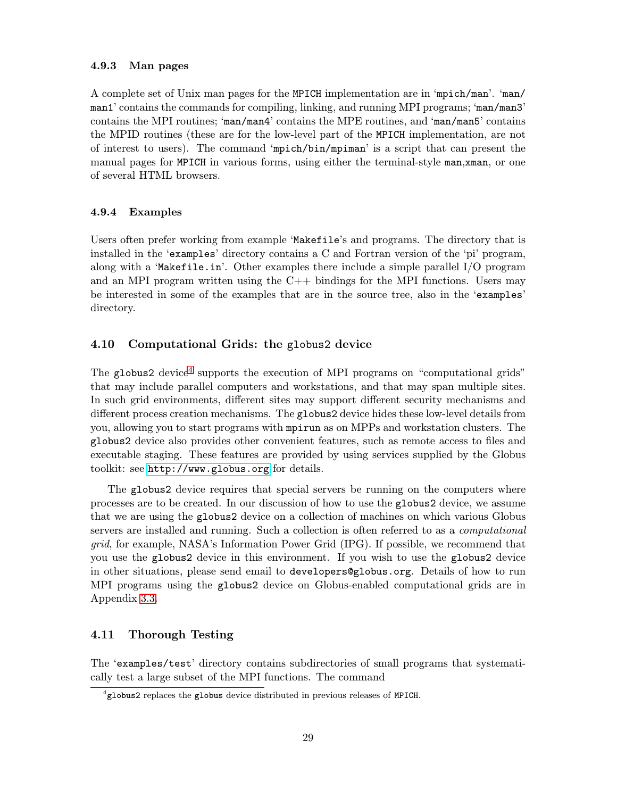#### <span id="page-32-0"></span>4.9.3 Man pages

A complete set of Unix man pages for the MPICH implementation are in 'mpich/man'. 'man/ man1' contains the commands for compiling, linking, and running MPI programs; 'man/man3' contains the MPI routines; 'man/man4' contains the MPE routines, and 'man/man5' contains the MPID routines (these are for the low-level part of the MPICH implementation, are not of interest to users). The command 'mpich/bin/mpiman' is a script that can present the manual pages for MPICH in various forms, using either the terminal-style man,xman, or one of several HTML browsers.

# 4.9.4 Examples

Users often prefer working from example 'Makefile's and programs. The directory that is installed in the 'examples' directory contains a C and Fortran version of the 'pi' program, along with a 'Makefile.in'. Other examples there include a simple parallel  $I/O$  program and an MPI program written using the  $C++$  bindings for the MPI functions. Users may be interested in some of the examples that are in the source tree, also in the 'examples' directory.

# 4.10 Computational Grids: the globus2 device

The globus2 device<sup>4</sup> supports the execution of MPI programs on "computational grids" that may include parallel computers and workstations, and that may span multiple sites. In such grid environments, different sites may support different security mechanisms and different process creation mechanisms. The globus2 device hides these low-level details from you, allowing you to start programs with mpirun as on MPPs and workstation clusters. The globus2 device also provides other convenient features, such as remote access to files and executable staging. These features are provided by using services supplied by the Globus toolkit: see <http://www.globus.org> for details.

The globus2 device requires that special servers be running on the computers where processes are to be created. In our discussion of how to use the globus2 device, we assume that we are using the globus2 device on a collection of machines on which various Globus servers are installed and running. Such a collection is often referred to as a *computational* grid, for example, NASA's Information Power Grid (IPG). If possible, we recommend that you use the globus2 device in this environment. If you wish to use the globus2 device in other situations, please send email to developers@globus.org. Details of how to run MPI programs using the globus2 device on Globus-enabled computational grids are in Appendix [3.3.](#page-12-0)

# 4.11 Thorough Testing

The 'examples/test' directory contains subdirectories of small programs that systematically test a large subset of the MPI functions. The command

<sup>&</sup>lt;sup>4</sup> globus2 replaces the globus device distributed in previous releases of MPICH.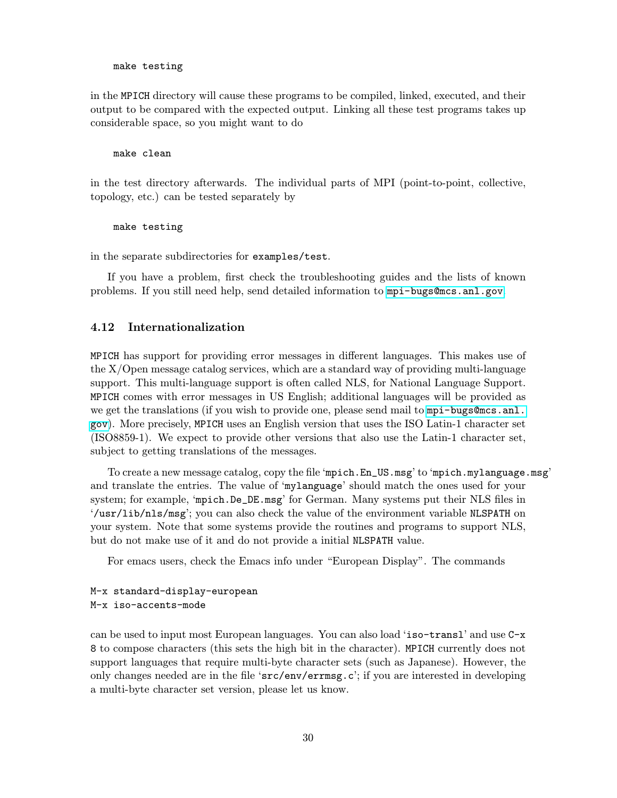make testing

<span id="page-33-0"></span>in the MPICH directory will cause these programs to be compiled, linked, executed, and their output to be compared with the expected output. Linking all these test programs takes up considerable space, so you might want to do

#### make clean

in the test directory afterwards. The individual parts of MPI (point-to-point, collective, topology, etc.) can be tested separately by

make testing

in the separate subdirectories for examples/test.

If you have a problem, first check the troubleshooting guides and the lists of known problems. If you still need help, send detailed information to <mpi-bugs@mcs.anl.gov>.

# 4.12 Internationalization

MPICH has support for providing error messages in different languages. This makes use of the X/Open message catalog services, which are a standard way of providing multi-language support. This multi-language support is often called NLS, for National Language Support. MPICH comes with error messages in US English; additional languages will be provided as we get the translations (if you wish to provide one, please send mail to [mpi-bugs@mcs.anl.](mpi-bugs@mcs.anl.gov) [gov](mpi-bugs@mcs.anl.gov)). More precisely, MPICH uses an English version that uses the ISO Latin-1 character set (ISO8859-1). We expect to provide other versions that also use the Latin-1 character set, subject to getting translations of the messages.

To create a new message catalog, copy the file 'mpich.En\_US.msg' to 'mpich.mylanguage.msg' and translate the entries. The value of 'mylanguage' should match the ones used for your system; for example, 'mpich.De\_DE.msg' for German. Many systems put their NLS files in '/usr/lib/nls/msg'; you can also check the value of the environment variable NLSPATH on your system. Note that some systems provide the routines and programs to support NLS, but do not make use of it and do not provide a initial NLSPATH value.

For emacs users, check the Emacs info under "European Display". The commands

# M-x standard-display-european M-x iso-accents-mode

can be used to input most European languages. You can also load 'iso-transl' and use C-x 8 to compose characters (this sets the high bit in the character). MPICH currently does not support languages that require multi-byte character sets (such as Japanese). However, the only changes needed are in the file 'src/env/errmsg.c'; if you are interested in developing a multi-byte character set version, please let us know.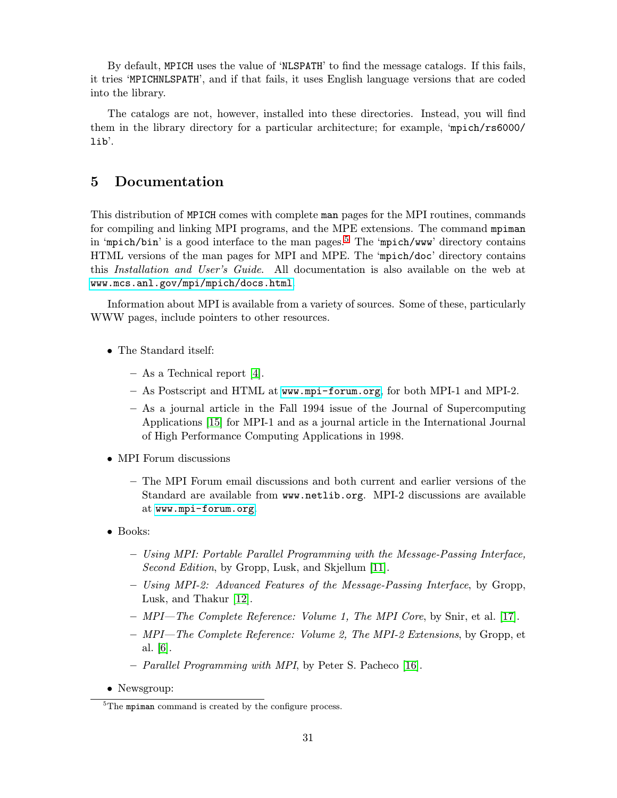<span id="page-34-0"></span>By default, MPICH uses the value of 'NLSPATH' to find the message catalogs. If this fails, it tries 'MPICHNLSPATH', and if that fails, it uses English language versions that are coded into the library.

The catalogs are not, however, installed into these directories. Instead, you will find them in the library directory for a particular architecture; for example, 'mpich/rs6000/ lib'.

# 5 Documentation

This distribution of MPICH comes with complete man pages for the MPI routines, commands for compiling and linking MPI programs, and the MPE extensions. The command mpiman in 'mpich/bin' is a good interface to the man pages.<sup>5</sup> The 'mpich/www' directory contains HTML versions of the man pages for MPI and MPE. The 'mpich/doc' directory contains this Installation and User's Guide. All documentation is also available on the web at <www.mcs.anl.gov/mpi/mpich/docs.html>.

Information about MPI is available from a variety of sources. Some of these, particularly WWW pages, include pointers to other resources.

- The Standard itself:
	- As a Technical report [\[4\]](#page-79-0).
	- As Postscript and HTML at <www.mpi-forum.org>, for both MPI-1 and MPI-2.
	- As a journal article in the Fall 1994 issue of the Journal of Supercomputing Applications [\[15\]](#page-80-0) for MPI-1 and as a journal article in the International Journal of High Performance Computing Applications in 1998.
- MPI Forum discussions
	- The MPI Forum email discussions and both current and earlier versions of the Standard are available from www.netlib.org. MPI-2 discussions are available at <www.mpi-forum.org>.
- Books:
	- Using MPI: Portable Parallel Programming with the Message-Passing Interface, Second Edition, by Gropp, Lusk, and Skjellum [\[11\]](#page-79-0).
	- Using MPI-2: Advanced Features of the Message-Passing Interface, by Gropp, Lusk, and Thakur [\[12\]](#page-79-0).
	- $-$  MPI—The Complete Reference: Volume 1, The MPI Core, by Snir, et al. [\[17\]](#page-80-0).
	- MPI—The Complete Reference: Volume 2, The MPI-2 Extensions, by Gropp, et al. [\[6\]](#page-79-0).
	- Parallel Programming with MPI, by Peter S. Pacheco [\[16\]](#page-80-0).
- Newsgroup:

 ${}^{5}$ The mpiman command is created by the configure process.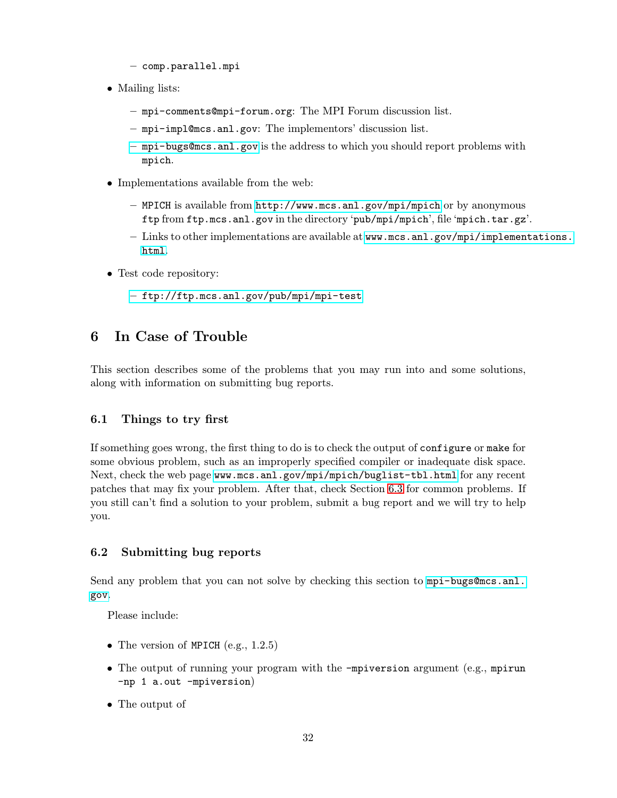- comp.parallel.mpi
- <span id="page-35-0"></span>• Mailing lists:
	- mpi-comments@mpi-forum.org: The MPI Forum discussion list.
	- mpi-impl@mcs.anl.gov: The implementors' discussion list.
	- <mpi-bugs@mcs.anl.gov> is the address to which you should report problems with mpich.
- Implementations available from the web:
	- MPICH is available from <http://www.mcs.anl.gov/mpi/mpich> or by anonymous ftp from ftp.mcs.anl.gov in the directory 'pub/mpi/mpich', file 'mpich.tar.gz'.
	- Links to other implementations are available at [www.mcs.anl.gov/mpi/implementations.](www.mcs.anl.gov/mpi/implementations.html) [html](www.mcs.anl.gov/mpi/implementations.html).
- Test code repository:
	- <ftp://ftp.mcs.anl.gov/pub/mpi/mpi-test>

# 6 In Case of Trouble

This section describes some of the problems that you may run into and some solutions, along with information on submitting bug reports.

# 6.1 Things to try first

If something goes wrong, the first thing to do is to check the output of configure or make for some obvious problem, such as an improperly specified compiler or inadequate disk space. Next, check the web page <www.mcs.anl.gov/mpi/mpich/buglist-tbl.html> for any recent patches that may fix your problem. After that, check Section [6.3](#page-36-0) for common problems. If you still can't find a solution to your problem, submit a bug report and we will try to help you.

# 6.2 Submitting bug reports

Send any problem that you can not solve by checking this section to [mpi-bugs@mcs.anl.](mpi-bugs@mcs.anl.gov) [gov](mpi-bugs@mcs.anl.gov).

Please include:

- The version of MPICH  $(e.g., 1.2.5)$
- The output of running your program with the -mpiversion argument (e.g., mpirun -np 1 a.out -mpiversion)
- The output of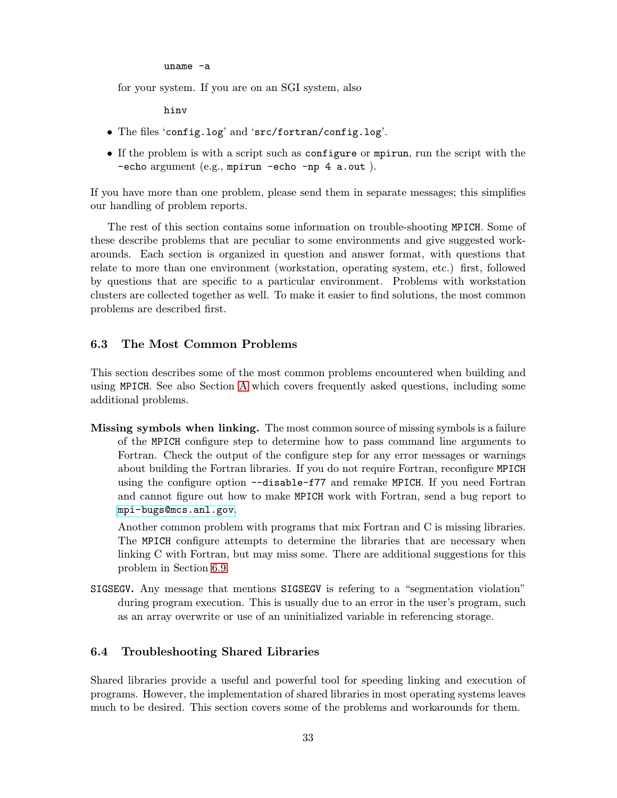uname -a

for your system. If you are on an SGI system, also

hinv

- The files 'config.log' and 'src/fortran/config.log'.
- If the problem is with a script such as configure or mpirun, run the script with the -echo argument (e.g., mpirun -echo -np 4 a.out ).

If you have more than one problem, please send them in separate messages; this simplifies our handling of problem reports.

The rest of this section contains some information on trouble-shooting MPICH. Some of these describe problems that are peculiar to some environments and give suggested workarounds. Each section is organized in question and answer format, with questions that relate to more than one environment (workstation, operating system, etc.) first, followed by questions that are specific to a particular environment. Problems with workstation clusters are collected together as well. To make it easier to find solutions, the most common problems are described first.

# 6.3 The Most Common Problems

This section describes some of the most common problems encountered when building and using MPICH. See also Section [A](#page-55-0) which covers frequently asked questions, including some additional problems.

Missing symbols when linking. The most common source of missing symbols is a failure of the MPICH configure step to determine how to pass command line arguments to Fortran. Check the output of the configure step for any error messages or warnings about building the Fortran libraries. If you do not require Fortran, reconfigure MPICH using the configure option --disable-f77 and remake MPICH. If you need Fortran and cannot figure out how to make MPICH work with Fortran, send a bug report to <mpi-bugs@mcs.anl.gov>.

Another common problem with programs that mix Fortran and C is missing libraries. The MPICH configure attempts to determine the libraries that are necessary when linking C with Fortran, but may miss some. There are additional suggestions for this problem in Section [6.9.](#page-43-0)

SIGSEGV. Any message that mentions SIGSEGV is refering to a "segmentation violation" during program execution. This is usually due to an error in the user's program, such as an array overwrite or use of an uninitialized variable in referencing storage.

# 6.4 Troubleshooting Shared Libraries

Shared libraries provide a useful and powerful tool for speeding linking and execution of programs. However, the implementation of shared libraries in most operating systems leaves much to be desired. This section covers some of the problems and workarounds for them.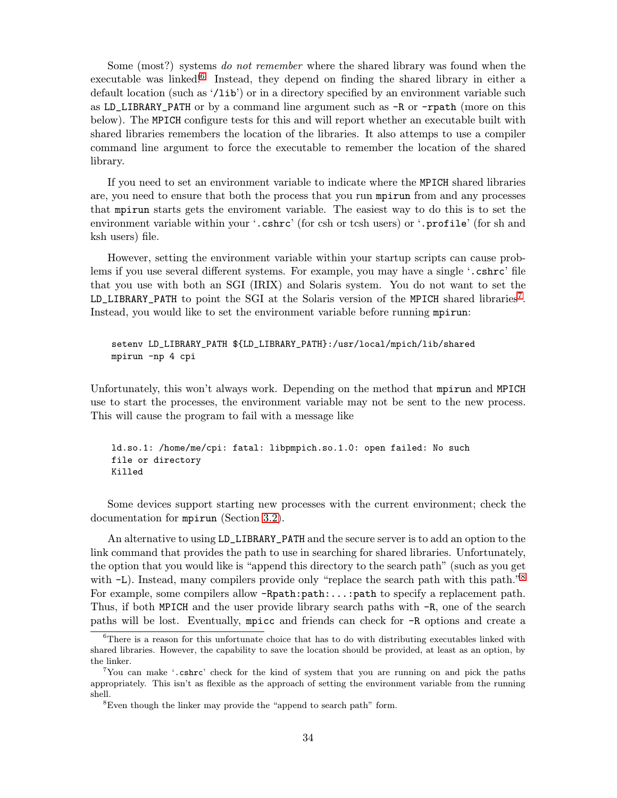Some (most?) systems do not remember where the shared library was found when the executable was linked!<sup>6</sup> Instead, they depend on finding the shared library in either a default location (such as '/lib') or in a directory specified by an environment variable such as LD\_LIBRARY\_PATH or by a command line argument such as -R or -rpath (more on this below). The MPICH configure tests for this and will report whether an executable built with shared libraries remembers the location of the libraries. It also attemps to use a compiler command line argument to force the executable to remember the location of the shared library.

If you need to set an environment variable to indicate where the MPICH shared libraries are, you need to ensure that both the process that you run mpirun from and any processes that mpirun starts gets the enviroment variable. The easiest way to do this is to set the environment variable within your '.cshrc' (for csh or tcsh users) or '.profile' (for sh and ksh users) file.

However, setting the environment variable within your startup scripts can cause problems if you use several different systems. For example, you may have a single '.cshrc' file that you use with both an SGI (IRIX) and Solaris system. You do not want to set the LD\_LIBRARY\_PATH to point the SGI at the Solaris version of the MPICH shared libraries<sup>7</sup>. Instead, you would like to set the environment variable before running mpirun:

# setenv LD\_LIBRARY\_PATH \${LD\_LIBRARY\_PATH}:/usr/local/mpich/lib/shared mpirun -np 4 cpi

Unfortunately, this won't always work. Depending on the method that mpirun and MPICH use to start the processes, the environment variable may not be sent to the new process. This will cause the program to fail with a message like

ld.so.1: /home/me/cpi: fatal: libpmpich.so.1.0: open failed: No such file or directory Killed

Some devices support starting new processes with the current environment; check the documentation for mpirun (Section [3.2\)](#page-12-0).

An alternative to using LD\_LIBRARY\_PATH and the secure server is to add an option to the link command that provides the path to use in searching for shared libraries. Unfortunately, the option that you would like is "append this directory to the search path" (such as you get with  $-L$ ). Instead, many compilers provide only "replace the search path with this path."<sup>8</sup> For example, some compilers allow  $-Rpath:path:\ldots:path$  to specify a replacement path. Thus, if both MPICH and the user provide library search paths with -R, one of the search paths will be lost. Eventually, mpicc and friends can check for -R options and create a

 ${}^{6}$ There is a reason for this unfortunate choice that has to do with distributing executables linked with shared libraries. However, the capability to save the location should be provided, at least as an option, by the linker.

<sup>7</sup>You can make '.cshrc' check for the kind of system that you are running on and pick the paths appropriately. This isn't as flexible as the approach of setting the environment variable from the running shell.

<sup>8</sup>Even though the linker may provide the "append to search path" form.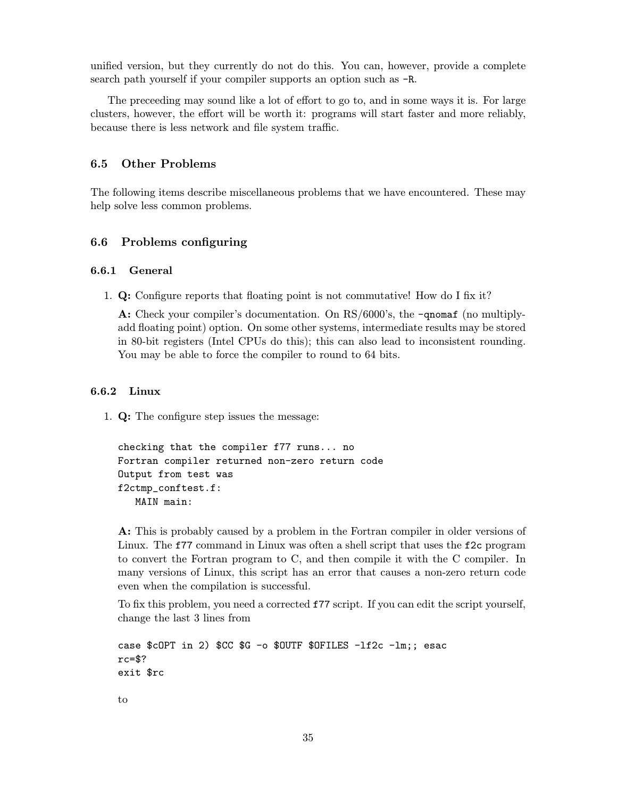unified version, but they currently do not do this. You can, however, provide a complete search path yourself if your compiler supports an option such as -R.

The preceeding may sound like a lot of effort to go to, and in some ways it is. For large clusters, however, the effort will be worth it: programs will start faster and more reliably, because there is less network and file system traffic.

# 6.5 Other Problems

The following items describe miscellaneous problems that we have encountered. These may help solve less common problems.

# 6.6 Problems configuring

#### 6.6.1 General

1. Q: Configure reports that floating point is not commutative! How do I fix it?

A: Check your compiler's documentation. On RS/6000's, the  $\mathsf{\text{-}gnomaf}$  (no multiplyadd floating point) option. On some other systems, intermediate results may be stored in 80-bit registers (Intel CPUs do this); this can also lead to inconsistent rounding. You may be able to force the compiler to round to 64 bits.

# 6.6.2 Linux

1. Q: The configure step issues the message:

```
checking that the compiler f77 runs... no
Fortran compiler returned non-zero return code
Output from test was
f2ctmp_conftest.f:
  MAIN main:
```
A: This is probably caused by a problem in the Fortran compiler in older versions of Linux. The f77 command in Linux was often a shell script that uses the f2c program to convert the Fortran program to C, and then compile it with the C compiler. In many versions of Linux, this script has an error that causes a non-zero return code even when the compilation is successful.

To fix this problem, you need a corrected f77 script. If you can edit the script yourself, change the last 3 lines from

```
case $cOPT in 2) $CC $G -o $OUTF $OFILES -lf2c -lm;; esac
rc=$?
exit $rc
to
```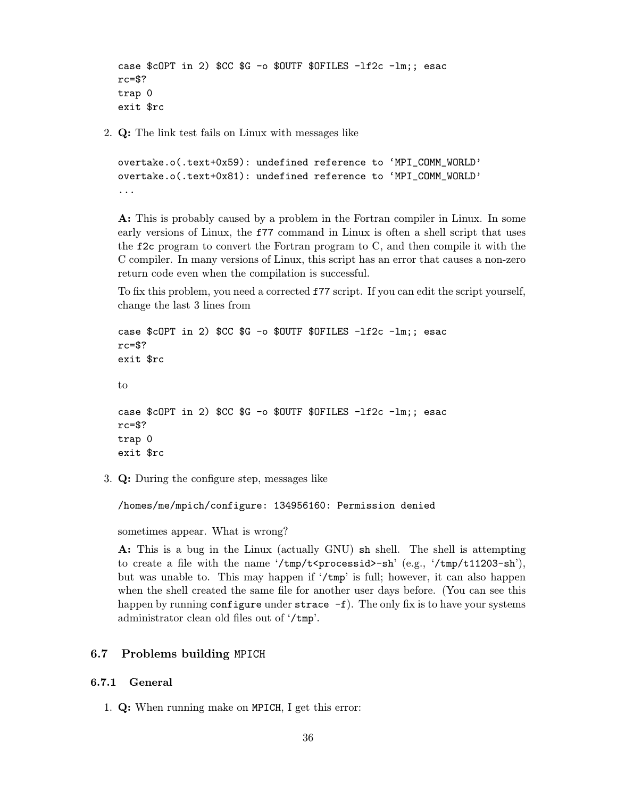```
case $cOPT in 2) $CC $G -o $OUTF $OFILES -1f2c -1m;; esac
rc = $?trap 0
exit $rc
```
2. Q: The link test fails on Linux with messages like

```
overtake.o(.text+0x59): undefined reference to 'MPI_COMM_WORLD'
overtake.o(.text+0x81): undefined reference to 'MPI_COMM_WORLD'
...
```
A: This is probably caused by a problem in the Fortran compiler in Linux. In some early versions of Linux, the f77 command in Linux is often a shell script that uses the f2c program to convert the Fortran program to C, and then compile it with the C compiler. In many versions of Linux, this script has an error that causes a non-zero return code even when the compilation is successful.

To fix this problem, you need a corrected f77 script. If you can edit the script yourself, change the last 3 lines from

```
case $cOPT in 2) $CC $G -o $OUTF $OFILES -1f2c -1m;; esac
rc=$?
exit $rc
to
case C copt in 2) C C G - 0 D D D F L S -1C -1m;; esac
rc=$?
trap 0
exit $rc
```
3. Q: During the configure step, messages like

/homes/me/mpich/configure: 134956160: Permission denied

sometimes appear. What is wrong?

A: This is a bug in the Linux (actually GNU) sh shell. The shell is attempting to create a file with the name '/tmp/t $\epsilon$ processid>-sh' (e.g., '/tmp/t11203-sh'), but was unable to. This may happen if '/tmp' is full; however, it can also happen when the shell created the same file for another user days before. (You can see this happen by running configure under strace  $-f$ ). The only fix is to have your systems administrator clean old files out of '/tmp'.

# 6.7 Problems building MPICH

## 6.7.1 General

1. Q: When running make on MPICH, I get this error: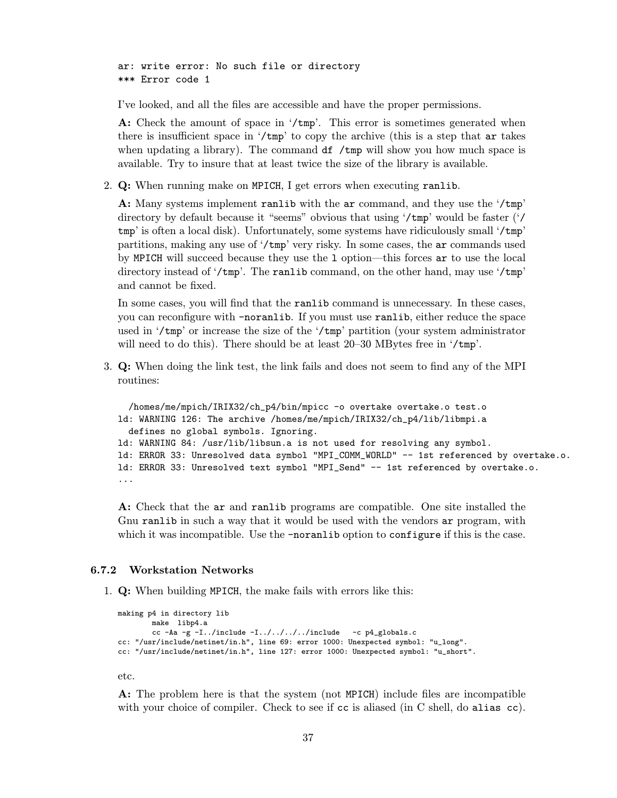ar: write error: No such file or directory \*\*\* Error code 1

I've looked, and all the files are accessible and have the proper permissions.

A: Check the amount of space in '/tmp'. This error is sometimes generated when there is insufficient space in  $\ell$ tmp' to copy the archive (this is a step that ar takes when updating a library). The command  $df /tmp$  will show you how much space is available. Try to insure that at least twice the size of the library is available.

2. Q: When running make on MPICH, I get errors when executing ranlib.

A: Many systems implement ranlib with the ar command, and they use the '/tmp' directory by default because it "seems" obvious that using '/tmp' would be faster ('/ tmp' is often a local disk). Unfortunately, some systems have ridiculously small '/tmp' partitions, making any use of '/tmp' very risky. In some cases, the ar commands used by MPICH will succeed because they use the l option—this forces ar to use the local directory instead of '/tmp'. The ranlib command, on the other hand, may use '/tmp' and cannot be fixed.

In some cases, you will find that the ranlib command is unnecessary. In these cases, you can reconfigure with -noranlib. If you must use ranlib, either reduce the space used in '/tmp' or increase the size of the '/tmp' partition (your system administrator will need to do this). There should be at least 20–30 MBytes free in '/tmp'.

3. Q: When doing the link test, the link fails and does not seem to find any of the MPI routines:

/homes/me/mpich/IRIX32/ch\_p4/bin/mpicc -o overtake overtake.o test.o ld: WARNING 126: The archive /homes/me/mpich/IRIX32/ch\_p4/lib/libmpi.a defines no global symbols. Ignoring. ld: WARNING 84: /usr/lib/libsun.a is not used for resolving any symbol. ld: ERROR 33: Unresolved data symbol "MPI\_COMM\_WORLD" -- 1st referenced by overtake.o. ld: ERROR 33: Unresolved text symbol "MPI\_Send" -- 1st referenced by overtake.o. ...

A: Check that the ar and ranlib programs are compatible. One site installed the Gnu ranlib in such a way that it would be used with the vendors ar program, with which it was incompatible. Use the **-noranlib** option to configure if this is the case.

## 6.7.2 Workstation Networks

1. Q: When building MPICH, the make fails with errors like this:

```
making p4 in directory lib
       make libp4.a
       cc -Aa -g -I../include -I../../../../include -c p4_globals.c
cc: "/usr/include/netinet/in.h", line 69: error 1000: Unexpected symbol: "u_long".
cc: "/usr/include/netinet/in.h", line 127: error 1000: Unexpected symbol: "u_short".
```
etc.

A: The problem here is that the system (not MPICH) include files are incompatible with your choice of compiler. Check to see if cc is aliased (in C shell, do alias cc).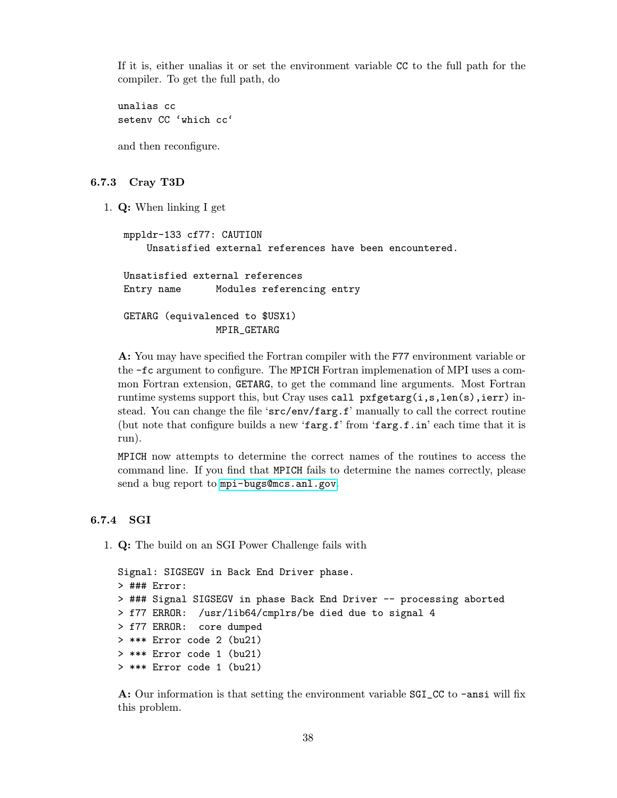If it is, either unalias it or set the environment variable CC to the full path for the compiler. To get the full path, do

unalias cc setenv CC 'which cc'

and then reconfigure.

#### 6.7.3 Cray T3D

1. Q: When linking I get

```
mppldr-133 cf77: CAUTION
    Unsatisfied external references have been encountered.
Unsatisfied external references
Entry name Modules referencing entry
GETARG (equivalenced to $USX1)
               MPIR_GETARG
```
A: You may have specified the Fortran compiler with the F77 environment variable or the -fc argument to configure. The MPICH Fortran implemenation of MPI uses a common Fortran extension, GETARG, to get the command line arguments. Most Fortran runtime systems support this, but Cray uses call pxfgetarg(i,s,len(s),ierr) instead. You can change the file 'src/env/farg.f' manually to call the correct routine (but note that configure builds a new 'farg.f' from 'farg.f.in' each time that it is run).

MPICH now attempts to determine the correct names of the routines to access the command line. If you find that MPICH fails to determine the names correctly, please send a bug report to <mpi-bugs@mcs.anl.gov>.

# 6.7.4 SGI

1. Q: The build on an SGI Power Challenge fails with

```
Signal: SIGSEGV in Back End Driver phase.
> ### Error:
> ### Signal SIGSEGV in phase Back End Driver -- processing aborted
> f77 ERROR: /usr/lib64/cmplrs/be died due to signal 4
> f77 ERROR: core dumped
> *** Error code 2 (bu21)
> *** Error code 1 (bu21)
> *** Error code 1 (bu21)
```
A: Our information is that setting the environment variable SGI\_CC to -ansi will fix this problem.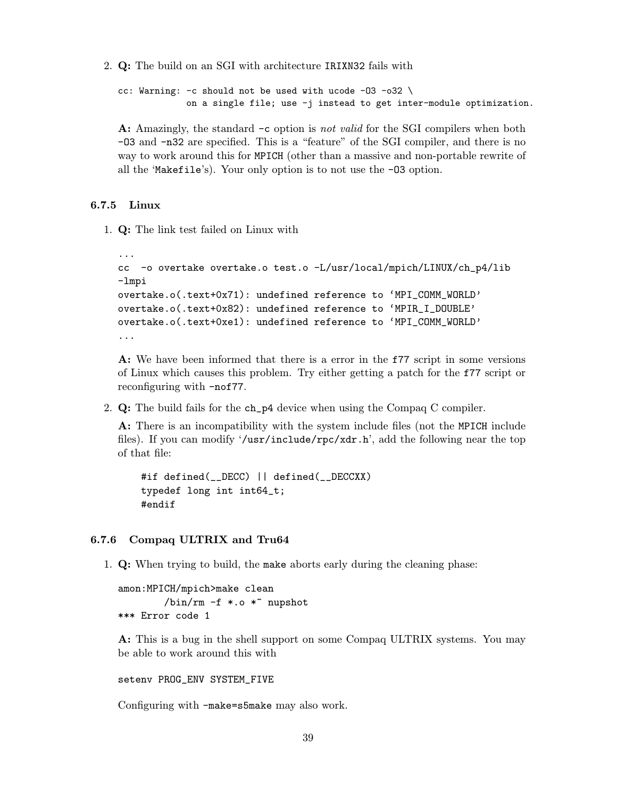2. Q: The build on an SGI with architecture IRIXN32 fails with

```
cc: Warning: -c should not be used with ucode -03 -032on a single file; use -j instead to get inter-module optimization.
```
A: Amazingly, the standard  $-c$  option is not valid for the SGI compilers when both -O3 and -n32 are specified. This is a "feature" of the SGI compiler, and there is no way to work around this for MPICH (other than a massive and non-portable rewrite of all the 'Makefile's). Your only option is to not use the -O3 option.

# 6.7.5 Linux

1. Q: The link test failed on Linux with

```
...
cc -o overtake overtake.o test.o -L/usr/local/mpich/LINUX/ch_p4/lib
-lmpi
overtake.o(.text+0x71): undefined reference to 'MPI_COMM_WORLD'
overtake.o(.text+0x82): undefined reference to 'MPIR_I_DOUBLE'
overtake.o(.text+0xe1): undefined reference to 'MPI_COMM_WORLD'
...
```
A: We have been informed that there is a error in the f77 script in some versions of Linux which causes this problem. Try either getting a patch for the f77 script or reconfiguring with -nof77.

2.  $Q:$  The build fails for the ch\_p4 device when using the Compaq C compiler.

A: There is an incompatibility with the system include files (not the MPICH include files). If you can modify '/usr/include/rpc/xdr.h', add the following near the top of that file:

```
#if defined(__DECC) || defined(__DECCXX)
typedef long int int64_t;
#endif
```
#### 6.7.6 Compaq ULTRIX and Tru64

1. Q: When trying to build, the make aborts early during the cleaning phase:

amon:MPICH/mpich>make clean  $\binom{\text{bin}}{\text{rm}}$  -f \*.o \* nupshot \*\*\* Error code 1

A: This is a bug in the shell support on some Compaq ULTRIX systems. You may be able to work around this with

setenv PROG\_ENV SYSTEM\_FIVE

Configuring with -make=s5make may also work.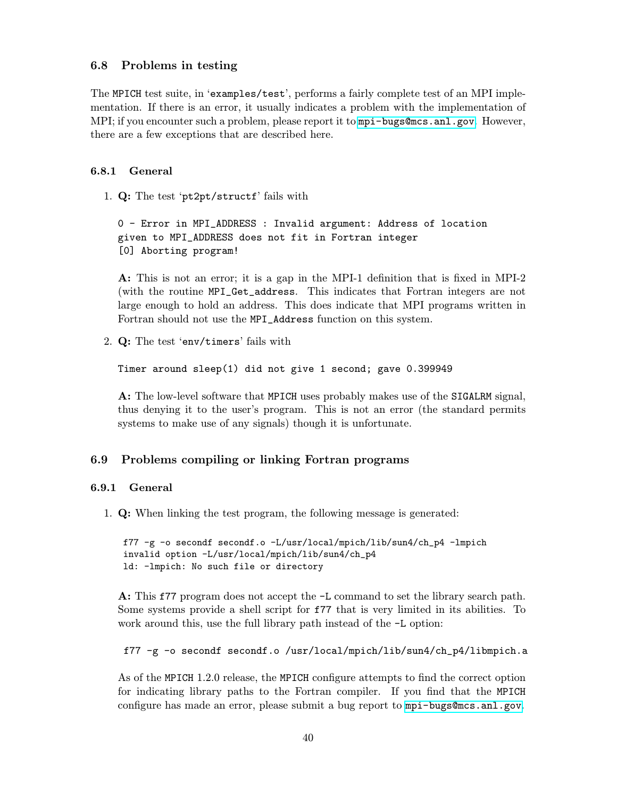# <span id="page-43-0"></span>6.8 Problems in testing

The MPICH test suite, in 'examples/test', performs a fairly complete test of an MPI implementation. If there is an error, it usually indicates a problem with the implementation of MPI; if you encounter such a problem, please report it to <mpi-bugs@mcs.anl.gov>. However, there are a few exceptions that are described here.

# 6.8.1 General

1. Q: The test 'pt2pt/structf' fails with

0 - Error in MPI\_ADDRESS : Invalid argument: Address of location given to MPI\_ADDRESS does not fit in Fortran integer [0] Aborting program!

A: This is not an error; it is a gap in the MPI-1 definition that is fixed in MPI-2 (with the routine MPI\_Get\_address. This indicates that Fortran integers are not large enough to hold an address. This does indicate that MPI programs written in Fortran should not use the MPI\_Address function on this system.

2. Q: The test 'env/timers' fails with

Timer around sleep(1) did not give 1 second; gave 0.399949

A: The low-level software that MPICH uses probably makes use of the SIGALRM signal, thus denying it to the user's program. This is not an error (the standard permits systems to make use of any signals) though it is unfortunate.

# 6.9 Problems compiling or linking Fortran programs

# 6.9.1 General

1. Q: When linking the test program, the following message is generated:

```
f77 -g -o secondf secondf.o -L/usr/local/mpich/lib/sun4/ch_p4 -lmpich
invalid option -L/usr/local/mpich/lib/sun4/ch_p4
ld: -lmpich: No such file or directory
```
A: This f77 program does not accept the -L command to set the library search path. Some systems provide a shell script for f77 that is very limited in its abilities. To work around this, use the full library path instead of the -L option:

f77 -g -o secondf secondf.o /usr/local/mpich/lib/sun4/ch\_p4/libmpich.a

As of the MPICH 1.2.0 release, the MPICH configure attempts to find the correct option for indicating library paths to the Fortran compiler. If you find that the MPICH configure has made an error, please submit a bug report to <mpi-bugs@mcs.anl.gov>.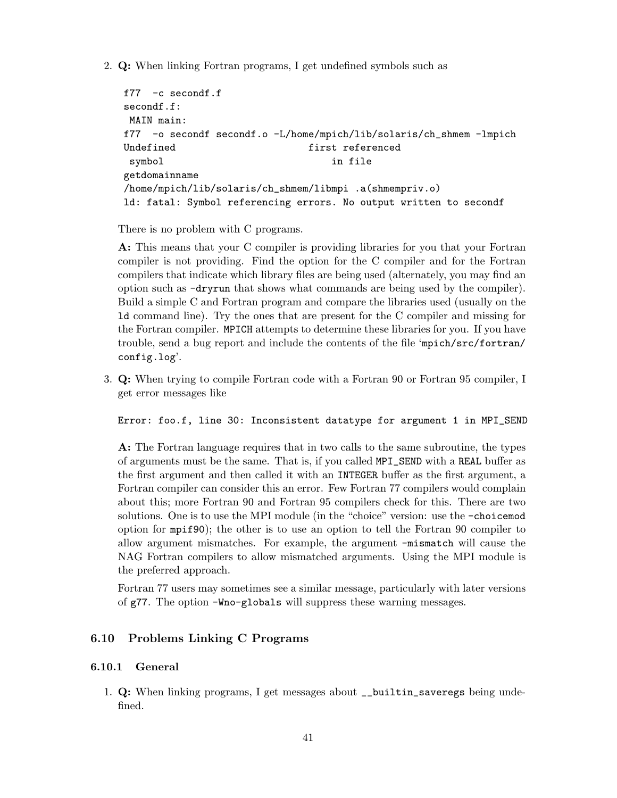2. Q: When linking Fortran programs, I get undefined symbols such as

```
f77 -c secondf.f
secondf.f:
MAIN main:
f77 -o secondf secondf.o -L/home/mpich/lib/solaris/ch_shmem -lmpich
Undefined first referenced
symbol in file
getdomainname
/home/mpich/lib/solaris/ch_shmem/libmpi .a(shmempriv.o)
ld: fatal: Symbol referencing errors. No output written to secondf
```
There is no problem with C programs.

A: This means that your C compiler is providing libraries for you that your Fortran compiler is not providing. Find the option for the C compiler and for the Fortran compilers that indicate which library files are being used (alternately, you may find an option such as -dryrun that shows what commands are being used by the compiler). Build a simple C and Fortran program and compare the libraries used (usually on the ld command line). Try the ones that are present for the C compiler and missing for the Fortran compiler. MPICH attempts to determine these libraries for you. If you have trouble, send a bug report and include the contents of the file 'mpich/src/fortran/ config.log'.

3. Q: When trying to compile Fortran code with a Fortran 90 or Fortran 95 compiler, I get error messages like

Error: foo.f, line 30: Inconsistent datatype for argument 1 in MPI\_SEND

A: The Fortran language requires that in two calls to the same subroutine, the types of arguments must be the same. That is, if you called MPI\_SEND with a REAL buffer as the first argument and then called it with an INTEGER buffer as the first argument, a Fortran compiler can consider this an error. Few Fortran 77 compilers would complain about this; more Fortran 90 and Fortran 95 compilers check for this. There are two solutions. One is to use the MPI module (in the "choice" version: use the -choicemod option for mpif90); the other is to use an option to tell the Fortran 90 compiler to allow argument mismatches. For example, the argument -mismatch will cause the NAG Fortran compilers to allow mismatched arguments. Using the MPI module is the preferred approach.

Fortran 77 users may sometimes see a similar message, particularly with later versions of g77. The option -Wno-globals will suppress these warning messages.

# 6.10 Problems Linking C Programs

# 6.10.1 General

1. Q: When linking programs, I get messages about \_\_builtin\_saveregs being undefined.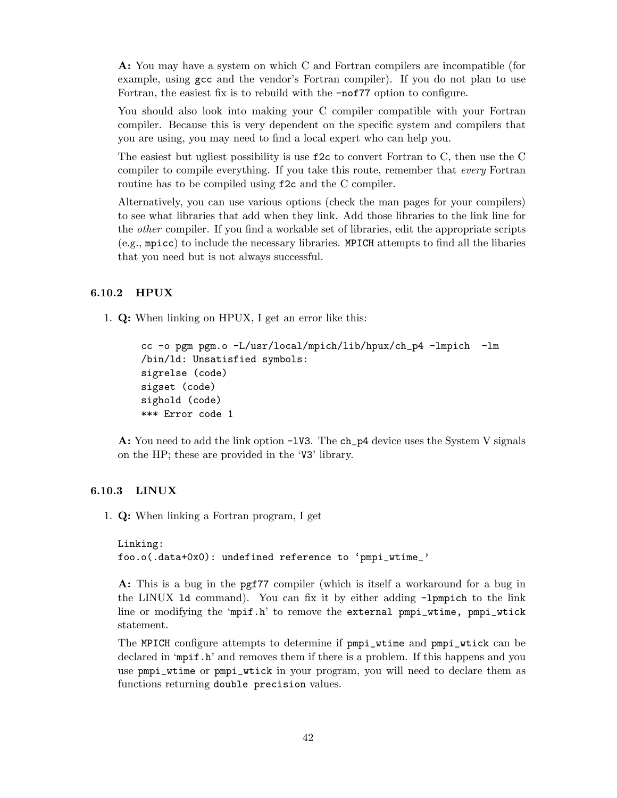A: You may have a system on which C and Fortran compilers are incompatible (for example, using gcc and the vendor's Fortran compiler). If you do not plan to use Fortran, the easiest fix is to rebuild with the -nof77 option to configure.

You should also look into making your C compiler compatible with your Fortran compiler. Because this is very dependent on the specific system and compilers that you are using, you may need to find a local expert who can help you.

The easiest but ugliest possibility is use f2c to convert Fortran to C, then use the C compiler to compile everything. If you take this route, remember that every Fortran routine has to be compiled using f2c and the C compiler.

Alternatively, you can use various options (check the man pages for your compilers) to see what libraries that add when they link. Add those libraries to the link line for the other compiler. If you find a workable set of libraries, edit the appropriate scripts (e.g., mpicc) to include the necessary libraries. MPICH attempts to find all the libaries that you need but is not always successful.

# 6.10.2 HPUX

1. Q: When linking on HPUX, I get an error like this:

```
cc -o pgm pgm.o -L/usr/local/mpich/lib/hpux/ch_p4 -lmpich -lm
/bin/ld: Unsatisfied symbols:
sigrelse (code)
sigset (code)
sighold (code)
*** Error code 1
```
A: You need to add the link option  $-1V3$ . The ch\_p4 device uses the System V signals on the HP; these are provided in the 'V3' library.

#### 6.10.3 LINUX

1. Q: When linking a Fortran program, I get

```
Linking:
foo.o(.data+0x0): undefined reference to 'pmpi_wtime_'
```
A: This is a bug in the pgf77 compiler (which is itself a workaround for a bug in the LINUX ld command). You can fix it by either adding -lpmpich to the link line or modifying the 'mpif.h' to remove the external pmpi\_wtime, pmpi\_wtick statement.

The MPICH configure attempts to determine if pmpi\_wtime and pmpi\_wtick can be declared in 'mpif.h' and removes them if there is a problem. If this happens and you use pmpi\_wtime or pmpi\_wtick in your program, you will need to declare them as functions returning double precision values.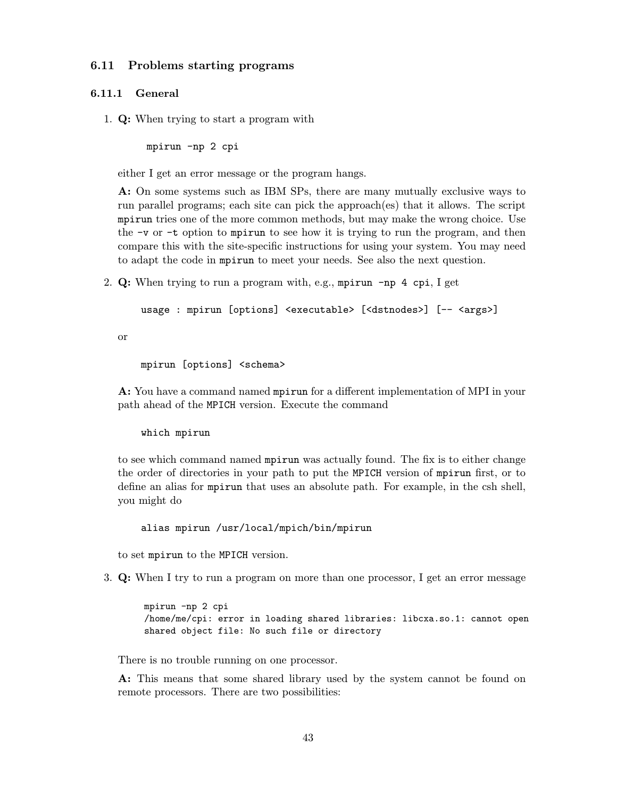# 6.11 Problems starting programs

#### 6.11.1 General

1. Q: When trying to start a program with

mpirun -np 2 cpi

either I get an error message or the program hangs.

A: On some systems such as IBM SPs, there are many mutually exclusive ways to run parallel programs; each site can pick the approach(es) that it allows. The script mpirun tries one of the more common methods, but may make the wrong choice. Use the -v or -t option to mpirun to see how it is trying to run the program, and then compare this with the site-specific instructions for using your system. You may need to adapt the code in mpirun to meet your needs. See also the next question.

2. Q: When trying to run a program with, e.g., mpirun -np 4 cpi, I get

```
usage : mpirun [options] <executable> [<dstnodes>] [-- <args>]
```
or

mpirun [options] <schema>

A: You have a command named mpirun for a different implementation of MPI in your path ahead of the MPICH version. Execute the command

which mpirun

to see which command named mpirun was actually found. The fix is to either change the order of directories in your path to put the MPICH version of mpirun first, or to define an alias for mpirun that uses an absolute path. For example, in the csh shell, you might do

alias mpirun /usr/local/mpich/bin/mpirun

to set mpirun to the MPICH version.

3. Q: When I try to run a program on more than one processor, I get an error message

mpirun -np 2 cpi /home/me/cpi: error in loading shared libraries: libcxa.so.1: cannot open shared object file: No such file or directory

There is no trouble running on one processor.

A: This means that some shared library used by the system cannot be found on remote processors. There are two possibilities: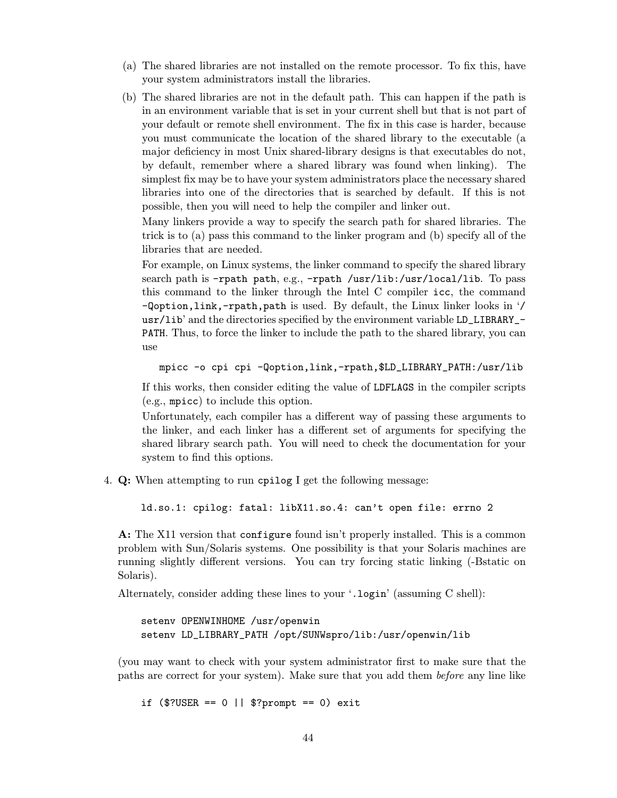- (a) The shared libraries are not installed on the remote processor. To fix this, have your system administrators install the libraries.
- (b) The shared libraries are not in the default path. This can happen if the path is in an environment variable that is set in your current shell but that is not part of your default or remote shell environment. The fix in this case is harder, because you must communicate the location of the shared library to the executable (a major deficiency in most Unix shared-library designs is that executables do not, by default, remember where a shared library was found when linking). The simplest fix may be to have your system administrators place the necessary shared libraries into one of the directories that is searched by default. If this is not possible, then you will need to help the compiler and linker out.

Many linkers provide a way to specify the search path for shared libraries. The trick is to (a) pass this command to the linker program and (b) specify all of the libraries that are needed.

For example, on Linux systems, the linker command to specify the shared library search path is -rpath path, e.g., -rpath /usr/lib:/usr/local/lib. To pass this command to the linker through the Intel C compiler icc, the command -Qoption,link,-rpath,path is used. By default, the Linux linker looks in '/ usr/lib' and the directories specified by the environment variable LD\_LIBRARY\_- PATH. Thus, to force the linker to include the path to the shared library, you can use

```
mpicc -o cpi cpi -Qoption,link,-rpath,$LD_LIBRARY_PATH:/usr/lib
```
If this works, then consider editing the value of LDFLAGS in the compiler scripts (e.g., mpicc) to include this option.

Unfortunately, each compiler has a different way of passing these arguments to the linker, and each linker has a different set of arguments for specifying the shared library search path. You will need to check the documentation for your system to find this options.

4. Q: When attempting to run cpilog I get the following message:

ld.so.1: cpilog: fatal: libX11.so.4: can't open file: errno 2

A: The X11 version that configure found isn't properly installed. This is a common problem with Sun/Solaris systems. One possibility is that your Solaris machines are running slightly different versions. You can try forcing static linking (-Bstatic on Solaris).

Alternately, consider adding these lines to your '.login' (assuming C shell):

setenv OPENWINHOME /usr/openwin setenv LD\_LIBRARY\_PATH /opt/SUNWspro/lib:/usr/openwin/lib

(you may want to check with your system administrator first to make sure that the paths are correct for your system). Make sure that you add them before any line like

if  $($?USER == 0 || $?prompt == 0) exit$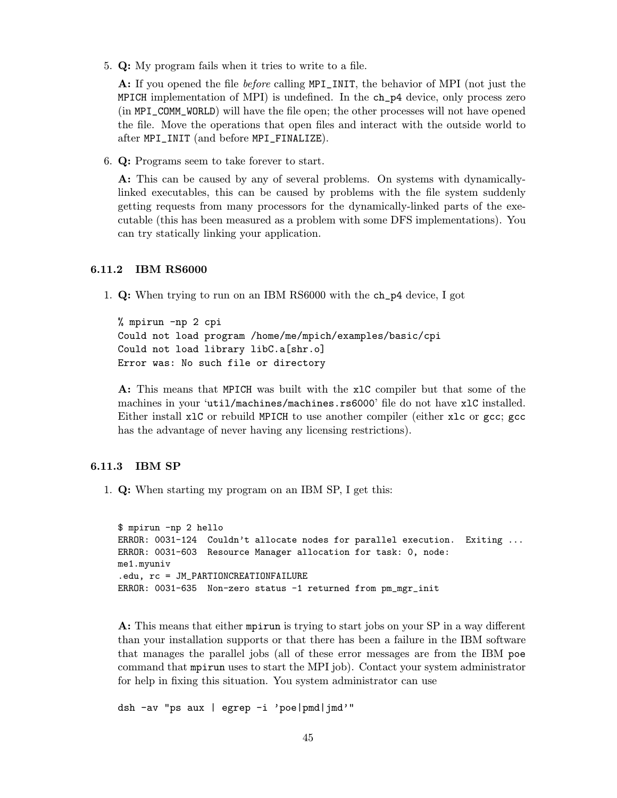5. Q: My program fails when it tries to write to a file.

A: If you opened the file *before* calling MPI\_INIT, the behavior of MPI (not just the MPICH implementation of MPI) is undefined. In the ch\_p4 device, only process zero (in MPI\_COMM\_WORLD) will have the file open; the other processes will not have opened the file. Move the operations that open files and interact with the outside world to after MPI\_INIT (and before MPI\_FINALIZE).

6. Q: Programs seem to take forever to start.

A: This can be caused by any of several problems. On systems with dynamicallylinked executables, this can be caused by problems with the file system suddenly getting requests from many processors for the dynamically-linked parts of the executable (this has been measured as a problem with some DFS implementations). You can try statically linking your application.

#### 6.11.2 IBM RS6000

1. Q: When trying to run on an IBM RS6000 with the ch\_p4 device, I got

% mpirun -np 2 cpi Could not load program /home/me/mpich/examples/basic/cpi Could not load library libC.a[shr.o] Error was: No such file or directory

A: This means that MPICH was built with the xlC compiler but that some of the machines in your 'util/machines/machines.rs6000' file do not have xlC installed. Either install xlC or rebuild MPICH to use another compiler (either xlc or gcc; gcc has the advantage of never having any licensing restrictions).

# 6.11.3 IBM SP

1. Q: When starting my program on an IBM SP, I get this:

```
$ mpirun -np 2 hello
ERROR: 0031-124 Couldn't allocate nodes for parallel execution. Exiting ...
ERROR: 0031-603 Resource Manager allocation for task: 0, node:
me1.myuniv
.edu, rc = JM_PARTIONCREATIONFAILURE
ERROR: 0031-635 Non-zero status -1 returned from pm_mgr_init
```
A: This means that either mpirun is trying to start jobs on your SP in a way different than your installation supports or that there has been a failure in the IBM software that manages the parallel jobs (all of these error messages are from the IBM poe command that mpirun uses to start the MPI job). Contact your system administrator for help in fixing this situation. You system administrator can use

dsh -av "ps aux | egrep -i 'poe|pmd|jmd'"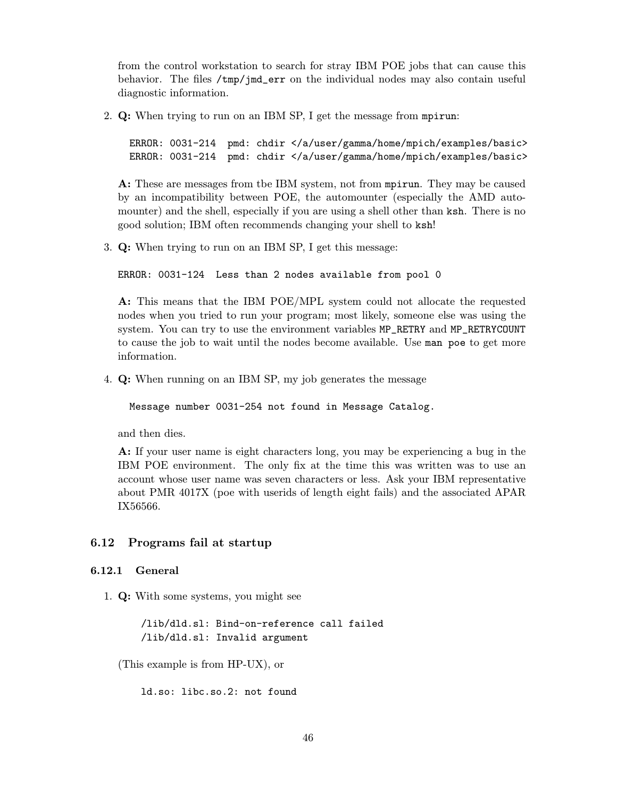from the control workstation to search for stray IBM POE jobs that can cause this behavior. The files /tmp/jmd\_err on the individual nodes may also contain useful diagnostic information.

2. Q: When trying to run on an IBM SP, I get the message from mpirun:

ERROR: 0031-214 pmd: chdir </a/user/gamma/home/mpich/examples/basic> ERROR: 0031-214 pmd: chdir </a/user/gamma/home/mpich/examples/basic>

A: These are messages from tbe IBM system, not from mpirun. They may be caused by an incompatibility between POE, the automounter (especially the AMD automounter) and the shell, especially if you are using a shell other than ksh. There is no good solution; IBM often recommends changing your shell to ksh!

3. Q: When trying to run on an IBM SP, I get this message:

```
ERROR: 0031-124 Less than 2 nodes available from pool 0
```
A: This means that the IBM POE/MPL system could not allocate the requested nodes when you tried to run your program; most likely, someone else was using the system. You can try to use the environment variables MP\_RETRY and MP\_RETRYCOUNT to cause the job to wait until the nodes become available. Use man poe to get more information.

4. Q: When running on an IBM SP, my job generates the message

```
Message number 0031-254 not found in Message Catalog.
```
and then dies.

A: If your user name is eight characters long, you may be experiencing a bug in the IBM POE environment. The only fix at the time this was written was to use an account whose user name was seven characters or less. Ask your IBM representative about PMR 4017X (poe with userids of length eight fails) and the associated APAR IX56566.

# 6.12 Programs fail at startup

# 6.12.1 General

1. Q: With some systems, you might see

/lib/dld.sl: Bind-on-reference call failed /lib/dld.sl: Invalid argument

(This example is from HP-UX), or

ld.so: libc.so.2: not found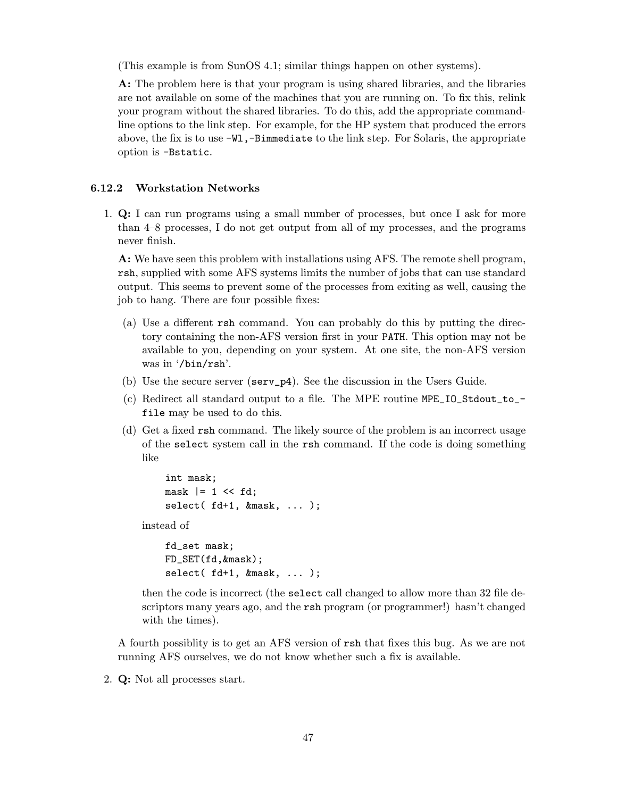(This example is from SunOS 4.1; similar things happen on other systems).

A: The problem here is that your program is using shared libraries, and the libraries are not available on some of the machines that you are running on. To fix this, relink your program without the shared libraries. To do this, add the appropriate commandline options to the link step. For example, for the HP system that produced the errors above, the fix is to use -Wl,-Bimmediate to the link step. For Solaris, the appropriate option is -Bstatic.

# 6.12.2 Workstation Networks

1. Q: I can run programs using a small number of processes, but once I ask for more than 4–8 processes, I do not get output from all of my processes, and the programs never finish.

A: We have seen this problem with installations using AFS. The remote shell program, rsh, supplied with some AFS systems limits the number of jobs that can use standard output. This seems to prevent some of the processes from exiting as well, causing the job to hang. There are four possible fixes:

- (a) Use a different rsh command. You can probably do this by putting the directory containing the non-AFS version first in your PATH. This option may not be available to you, depending on your system. At one site, the non-AFS version was in '/bin/rsh'.
- (b) Use the secure server (serv\_p4). See the discussion in the Users Guide.
- (c) Redirect all standard output to a file. The MPE routine MPE\_IO\_Stdout\_to\_ file may be used to do this.
- (d) Get a fixed rsh command. The likely source of the problem is an incorrect usage of the select system call in the rsh command. If the code is doing something like

int mask; mask  $|= 1 \lt < fd$ ; select( fd+1, &mask, ... );

instead of

```
fd_set mask;
FD_SET(fd,&mask);
select( fd+1, &mask, ... );
```
then the code is incorrect (the select call changed to allow more than 32 file descriptors many years ago, and the rsh program (or programmer!) hasn't changed with the times).

A fourth possiblity is to get an AFS version of rsh that fixes this bug. As we are not running AFS ourselves, we do not know whether such a fix is available.

2. Q: Not all processes start.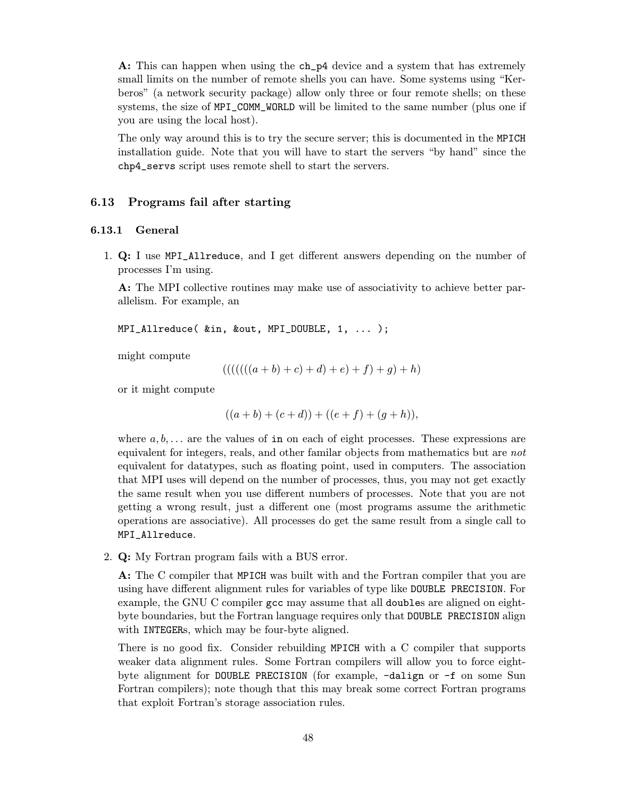A: This can happen when using the ch\_p4 device and a system that has extremely small limits on the number of remote shells you can have. Some systems using "Kerberos" (a network security package) allow only three or four remote shells; on these systems, the size of MPI\_COMM\_WORLD will be limited to the same number (plus one if you are using the local host).

The only way around this is to try the secure server; this is documented in the MPICH installation guide. Note that you will have to start the servers "by hand" since the chp4\_servs script uses remote shell to start the servers.

# 6.13 Programs fail after starting

#### 6.13.1 General

1. Q: I use MPI\_Allreduce, and I get different answers depending on the number of processes I'm using.

A: The MPI collective routines may make use of associativity to achieve better parallelism. For example, an

```
MPI_Allreduce( &in, &out, MPI_DOUBLE, 1, ... );
```
might compute

$$
((((((a+b)+c)+d)+e)+f)+g)+h)
$$

or it might compute

$$
((a + b) + (c + d)) + ((e + f) + (g + h)),
$$

where  $a, b, \ldots$  are the values of in on each of eight processes. These expressions are equivalent for integers, reals, and other familar objects from mathematics but are not equivalent for datatypes, such as floating point, used in computers. The association that MPI uses will depend on the number of processes, thus, you may not get exactly the same result when you use different numbers of processes. Note that you are not getting a wrong result, just a different one (most programs assume the arithmetic operations are associative). All processes do get the same result from a single call to MPI\_Allreduce.

2. Q: My Fortran program fails with a BUS error.

A: The C compiler that MPICH was built with and the Fortran compiler that you are using have different alignment rules for variables of type like DOUBLE PRECISION. For example, the GNU C compiler gcc may assume that all doubles are aligned on eightbyte boundaries, but the Fortran language requires only that DOUBLE PRECISION align with **INTEGERs**, which may be four-byte aligned.

There is no good fix. Consider rebuilding MPICH with a C compiler that supports weaker data alignment rules. Some Fortran compilers will allow you to force eightbyte alignment for DOUBLE PRECISION (for example, -dalign or -f on some Sun Fortran compilers); note though that this may break some correct Fortran programs that exploit Fortran's storage association rules.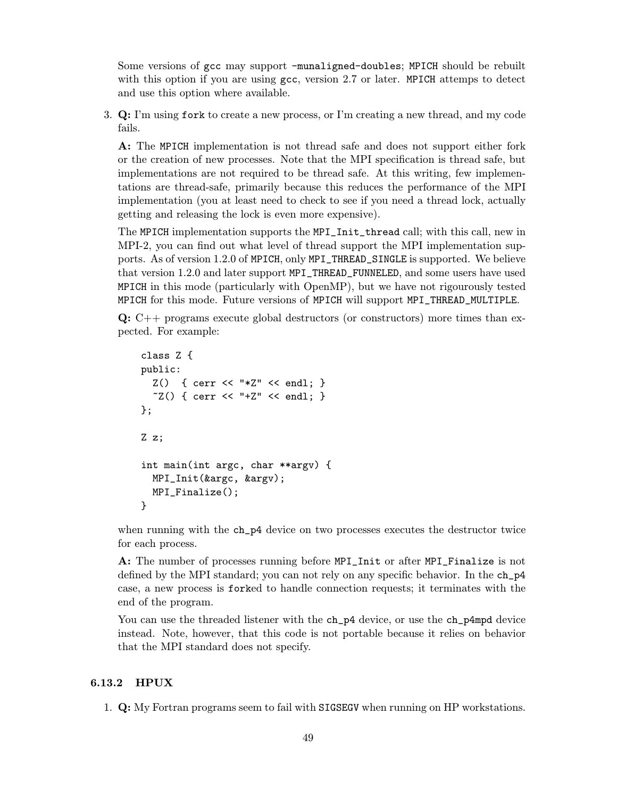Some versions of gcc may support -munaligned-doubles; MPICH should be rebuilt with this option if you are using gcc, version 2.7 or later. MPICH attemps to detect and use this option where available.

3. Q: I'm using fork to create a new process, or I'm creating a new thread, and my code fails.

A: The MPICH implementation is not thread safe and does not support either fork or the creation of new processes. Note that the MPI specification is thread safe, but implementations are not required to be thread safe. At this writing, few implementations are thread-safe, primarily because this reduces the performance of the MPI implementation (you at least need to check to see if you need a thread lock, actually getting and releasing the lock is even more expensive).

The MPICH implementation supports the MPI\_Init\_thread call; with this call, new in MPI-2, you can find out what level of thread support the MPI implementation supports. As of version 1.2.0 of MPICH, only MPI\_THREAD\_SINGLE is supported. We believe that version 1.2.0 and later support MPI\_THREAD\_FUNNELED, and some users have used MPICH in this mode (particularly with OpenMP), but we have not rigourously tested MPICH for this mode. Future versions of MPICH will support MPI\_THREAD\_MULTIPLE.

 $Q: C++$  programs execute global destructors (or constructors) more times than expected. For example:

```
class Z {
public:
  Z() { cerr << "*Z" << endl; }
  ~Z() { cerr << "+Z" << endl; }
};
Z z;
int main(int argc, char **argv) {
  MPI_Init(&argc, &argv);
  MPI_Finalize();
}
```
when running with the  $ch_p4$  device on two processes executes the destructor twice for each process.

A: The number of processes running before MPI\_Init or after MPI\_Finalize is not defined by the MPI standard; you can not rely on any specific behavior. In the ch\_p4 case, a new process is forked to handle connection requests; it terminates with the end of the program.

You can use the threaded listener with the ch\_p4 device, or use the ch\_p4mpd device instead. Note, however, that this code is not portable because it relies on behavior that the MPI standard does not specify.

# 6.13.2 HPUX

1. Q: My Fortran programs seem to fail with SIGSEGV when running on HP workstations.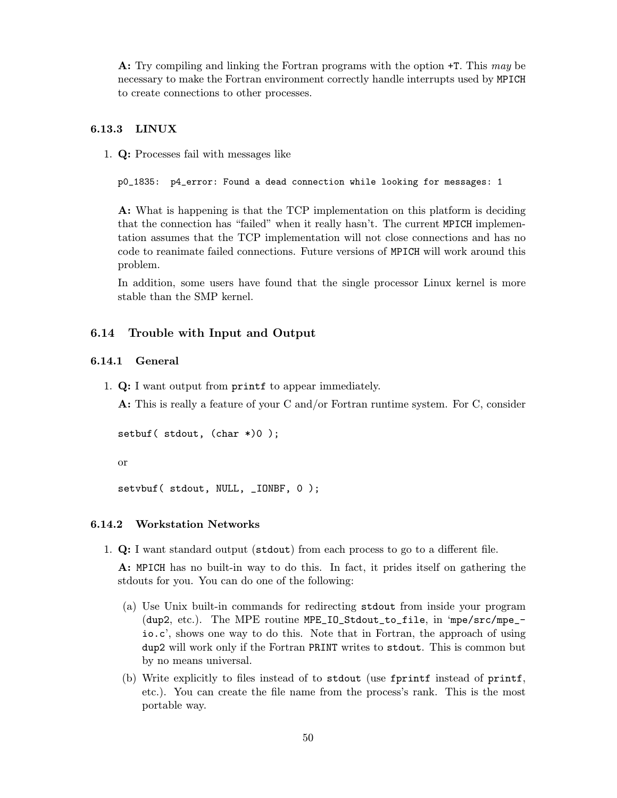A: Try compiling and linking the Fortran programs with the option +T. This may be necessary to make the Fortran environment correctly handle interrupts used by MPICH to create connections to other processes.

# 6.13.3 LINUX

1. Q: Processes fail with messages like

p0\_1835: p4\_error: Found a dead connection while looking for messages: 1

A: What is happening is that the TCP implementation on this platform is deciding that the connection has "failed" when it really hasn't. The current MPICH implementation assumes that the TCP implementation will not close connections and has no code to reanimate failed connections. Future versions of MPICH will work around this problem.

In addition, some users have found that the single processor Linux kernel is more stable than the SMP kernel.

# 6.14 Trouble with Input and Output

#### 6.14.1 General

1. Q: I want output from printf to appear immediately.

A: This is really a feature of your C and/or Fortran runtime system. For C, consider

```
setbuf (stdout, (char *)0);
```
or

setvbuf( stdout, NULL, \_IONBF, 0 );

#### 6.14.2 Workstation Networks

1. Q: I want standard output (stdout) from each process to go to a different file.

A: MPICH has no built-in way to do this. In fact, it prides itself on gathering the stdouts for you. You can do one of the following:

- (a) Use Unix built-in commands for redirecting stdout from inside your program (dup2, etc.). The MPE routine MPE\_IO\_Stdout\_to\_file, in 'mpe/src/mpe\_ io.c', shows one way to do this. Note that in Fortran, the approach of using dup2 will work only if the Fortran PRINT writes to stdout. This is common but by no means universal.
- (b) Write explicitly to files instead of to stdout (use fprintf instead of printf, etc.). You can create the file name from the process's rank. This is the most portable way.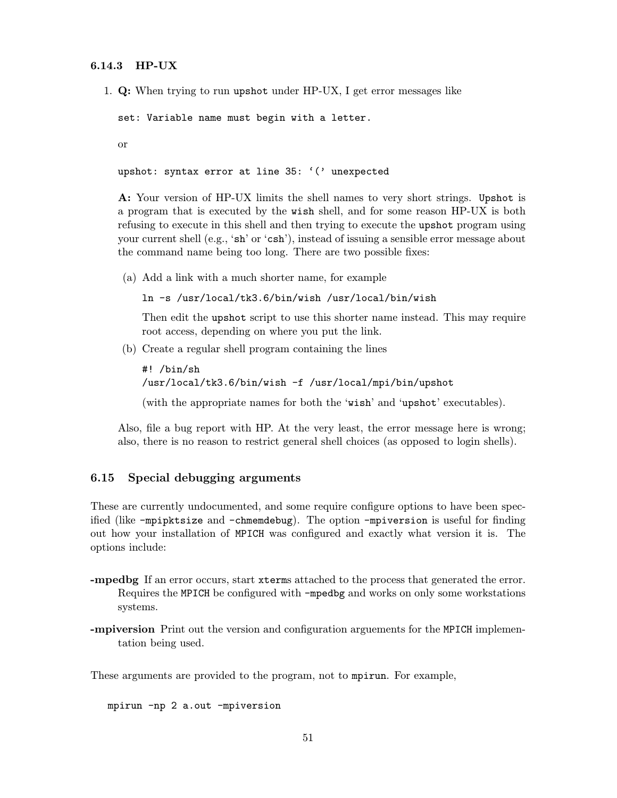# 6.14.3 HP-UX

1. Q: When trying to run upshot under HP-UX, I get error messages like

set: Variable name must begin with a letter.

or

```
upshot: syntax error at line 35: '(' unexpected
```
A: Your version of HP-UX limits the shell names to very short strings. Upshot is a program that is executed by the wish shell, and for some reason HP-UX is both refusing to execute in this shell and then trying to execute the upshot program using your current shell (e.g., 'sh' or 'csh'), instead of issuing a sensible error message about the command name being too long. There are two possible fixes:

(a) Add a link with a much shorter name, for example

ln -s /usr/local/tk3.6/bin/wish /usr/local/bin/wish

Then edit the upshot script to use this shorter name instead. This may require root access, depending on where you put the link.

(b) Create a regular shell program containing the lines

```
#! /bin/sh
/usr/local/tk3.6/bin/wish -f /usr/local/mpi/bin/upshot
(with the appropriate names for both the 'wish' and 'upshot' executables).
```
Also, file a bug report with HP. At the very least, the error message here is wrong; also, there is no reason to restrict general shell choices (as opposed to login shells).

# 6.15 Special debugging arguments

These are currently undocumented, and some require configure options to have been specified (like -mpipktsize and -chmemdebug). The option -mpiversion is useful for finding out how your installation of MPICH was configured and exactly what version it is. The options include:

- -mpedbg If an error occurs, start xterms attached to the process that generated the error. Requires the MPICH be configured with -mpedbg and works on only some workstations systems.
- -mpiversion Print out the version and configuration arguements for the MPICH implementation being used.

These arguments are provided to the program, not to mpirun. For example,

mpirun -np 2 a.out -mpiversion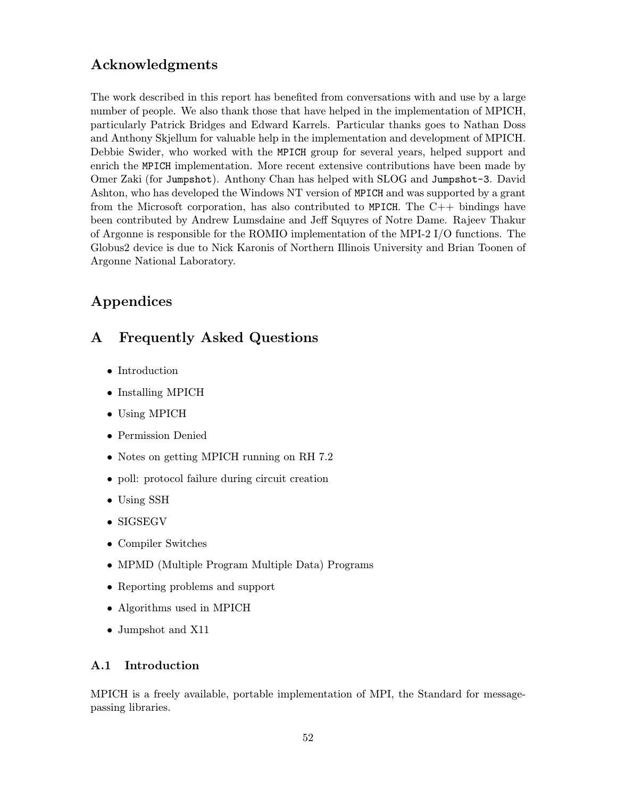# <span id="page-55-0"></span>Acknowledgments

The work described in this report has benefited from conversations with and use by a large number of people. We also thank those that have helped in the implementation of MPICH, particularly Patrick Bridges and Edward Karrels. Particular thanks goes to Nathan Doss and Anthony Skjellum for valuable help in the implementation and development of MPICH. Debbie Swider, who worked with the MPICH group for several years, helped support and enrich the MPICH implementation. More recent extensive contributions have been made by Omer Zaki (for Jumpshot). Anthony Chan has helped with SLOG and Jumpshot-3. David Ashton, who has developed the Windows NT version of MPICH and was supported by a grant from the Microsoft corporation, has also contributed to MPICH. The  $C_{++}$  bindings have been contributed by Andrew Lumsdaine and Jeff Squyres of Notre Dame. Rajeev Thakur of Argonne is responsible for the ROMIO implementation of the MPI-2 I/O functions. The Globus2 device is due to Nick Karonis of Northern Illinois University and Brian Toonen of Argonne National Laboratory.

# Appendices

# A Frequently Asked Questions

- Introduction
- Installing MPICH
- Using MPICH
- Permission Denied
- Notes on getting MPICH running on RH 7.2
- poll: protocol failure during circuit creation
- Using SSH
- SIGSEGV
- Compiler Switches
- MPMD (Multiple Program Multiple Data) Programs
- Reporting problems and support
- Algorithms used in MPICH
- Jumpshot and X11

# A.1 Introduction

MPICH is a freely available, portable implementation of MPI, the Standard for messagepassing libraries.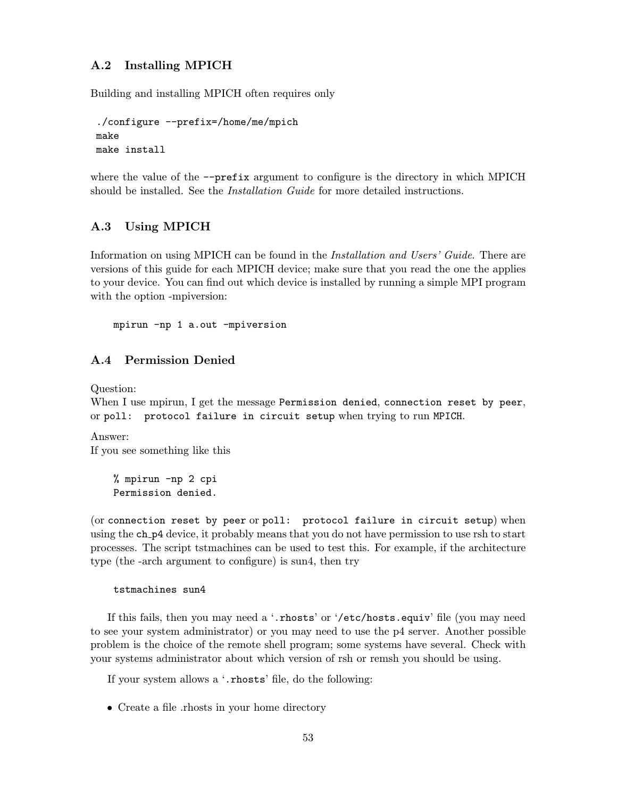# A.2 Installing MPICH

Building and installing MPICH often requires only

```
./configure --prefix=/home/me/mpich
make
make install
```
where the value of the  $-\text{prefix argument}$  to configure is the directory in which MPICH should be installed. See the *Installation Guide* for more detailed instructions.

# A.3 Using MPICH

Information on using MPICH can be found in the Installation and Users' Guide. There are versions of this guide for each MPICH device; make sure that you read the one the applies to your device. You can find out which device is installed by running a simple MPI program with the option -mpiversion:

mpirun -np 1 a.out -mpiversion

# A.4 Permission Denied

Question:

When I use mpirun, I get the message Permission denied, connection reset by peer, or poll: protocol failure in circuit setup when trying to run MPICH.

Answer: If you see something like this

> % mpirun -np 2 cpi Permission denied.

(or connection reset by peer or poll: protocol failure in circuit setup) when using the ch p4 device, it probably means that you do not have permission to use rsh to start processes. The script tstmachines can be used to test this. For example, if the architecture type (the -arch argument to configure) is sun4, then try

tstmachines sun4

If this fails, then you may need a '.rhosts' or '/etc/hosts.equiv' file (you may need to see your system administrator) or you may need to use the p4 server. Another possible problem is the choice of the remote shell program; some systems have several. Check with your systems administrator about which version of rsh or remsh you should be using.

If your system allows a '.rhosts' file, do the following:

• Create a file .rhosts in your home directory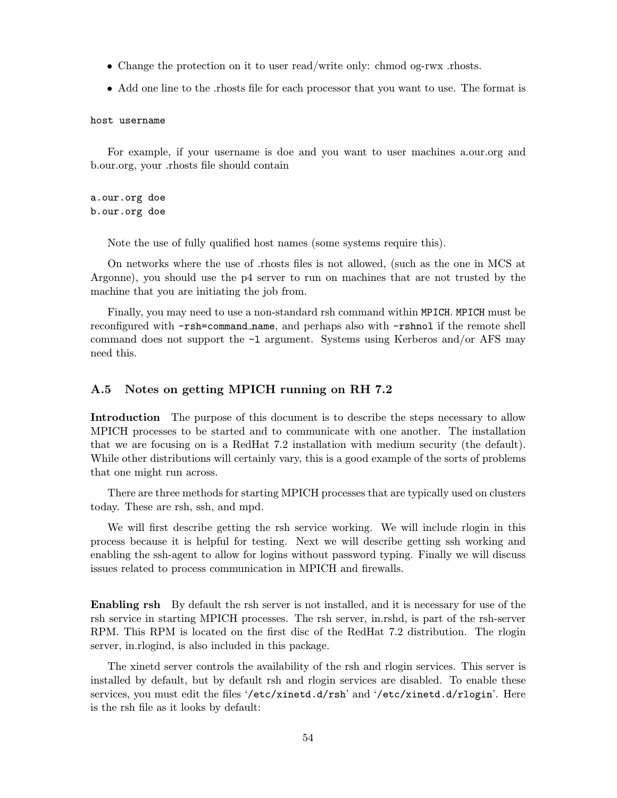- Change the protection on it to user read/write only: chmod og-rwx .rhosts.
- Add one line to the rhosts file for each processor that you want to use. The format is

host username

For example, if your username is doe and you want to user machines a.our.org and b.our.org, your .rhosts file should contain

a.our.org doe b.our.org doe

Note the use of fully qualified host names (some systems require this).

On networks where the use of .rhosts files is not allowed, (such as the one in MCS at Argonne), you should use the p4 server to run on machines that are not trusted by the machine that you are initiating the job from.

Finally, you may need to use a non-standard rsh command within MPICH. MPICH must be reconfigured with -rsh=command name, and perhaps also with -rshnol if the remote shell command does not support the  $-1$  argument. Systems using Kerberos and/or AFS may need this.

## A.5 Notes on getting MPICH running on RH 7.2

Introduction The purpose of this document is to describe the steps necessary to allow MPICH processes to be started and to communicate with one another. The installation that we are focusing on is a RedHat 7.2 installation with medium security (the default). While other distributions will certainly vary, this is a good example of the sorts of problems that one might run across.

There are three methods for starting MPICH processes that are typically used on clusters today. These are rsh, ssh, and mpd.

We will first describe getting the rsh service working. We will include rlogin in this process because it is helpful for testing. Next we will describe getting ssh working and enabling the ssh-agent to allow for logins without password typing. Finally we will discuss issues related to process communication in MPICH and firewalls.

Enabling rsh By default the rsh server is not installed, and it is necessary for use of the rsh service in starting MPICH processes. The rsh server, in.rshd, is part of the rsh-server RPM. This RPM is located on the first disc of the RedHat 7.2 distribution. The rlogin server, in.rlogind, is also included in this package.

The xinetd server controls the availability of the rsh and rlogin services. This server is installed by default, but by default rsh and rlogin services are disabled. To enable these services, you must edit the files '/etc/xinetd.d/rsh' and '/etc/xinetd.d/rlogin'. Here is the rsh file as it looks by default: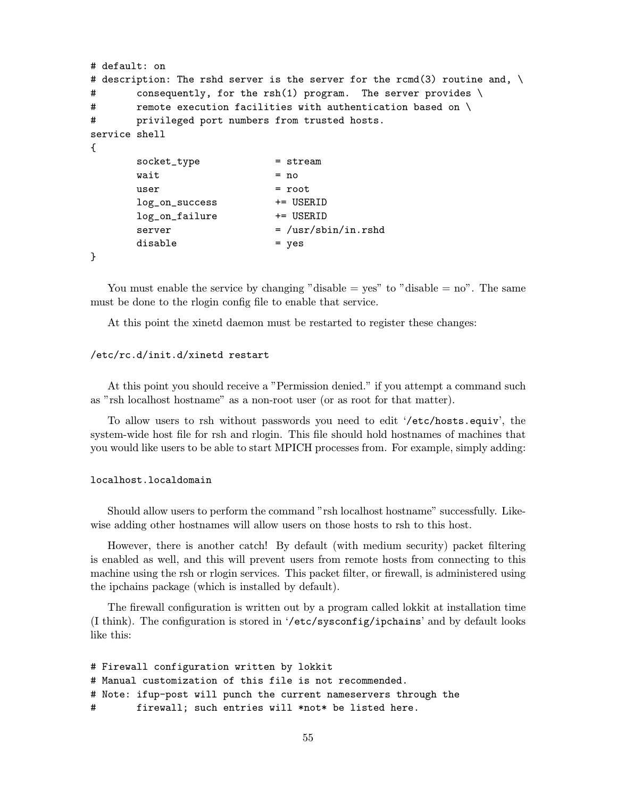```
# default: on
# description: The rshd server is the server for the rcmd(3) routine and, \setminus# consequently, for the rsh(1) program. The server provides \
# remote execution facilities with authentication based on \
# privileged port numbers from trusted hosts.
service shell
{
      socket_type = stream
      wait = no
      user = rootlog_on_success += USERID
      log_on_failure += USERID
      server = /usr/sbin/in.rshddisable = yes
}
```
You must enable the service by changing "disable  $=$  yes" to "disable  $=$  no". The same must be done to the rlogin config file to enable that service.

At this point the xinetd daemon must be restarted to register these changes:

# /etc/rc.d/init.d/xinetd restart

At this point you should receive a "Permission denied." if you attempt a command such as "rsh localhost hostname" as a non-root user (or as root for that matter).

To allow users to rsh without passwords you need to edit '/etc/hosts.equiv', the system-wide host file for rsh and rlogin. This file should hold hostnames of machines that you would like users to be able to start MPICH processes from. For example, simply adding:

### localhost.localdomain

Should allow users to perform the command "rsh localhost hostname" successfully. Likewise adding other hostnames will allow users on those hosts to rsh to this host.

However, there is another catch! By default (with medium security) packet filtering is enabled as well, and this will prevent users from remote hosts from connecting to this machine using the rsh or rlogin services. This packet filter, or firewall, is administered using the ipchains package (which is installed by default).

The firewall configuration is written out by a program called lokkit at installation time (I think). The configuration is stored in '/etc/sysconfig/ipchains' and by default looks like this:

```
# Firewall configuration written by lokkit
# Manual customization of this file is not recommended.
# Note: ifup-post will punch the current nameservers through the
# firewall; such entries will *not* be listed here.
```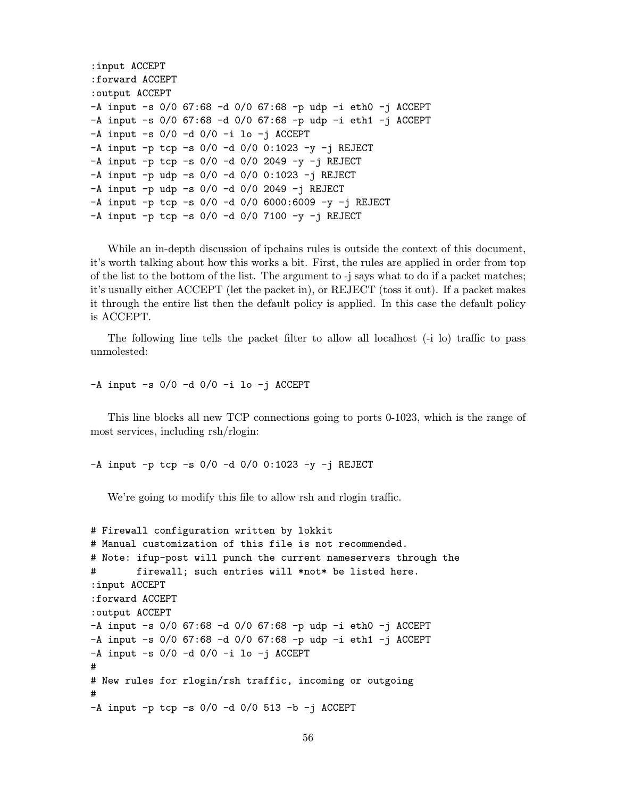```
:input ACCEPT
:forward ACCEPT
:output ACCEPT
-A input -s 0/0 67:68 -d 0/0 67:68 -p udp -i eth0 -j ACCEPT
-A input -s 0/0 67:68 -d 0/0 67:68 -p udp -i eth1 -j ACCEPT
-A input -s 0/0 -d 0/0 -i lo -i ACCEPT
-A input -p tcp -s 0/0 -d 0/0 0:1023 -y -j REJECT
-A input -p tcp -s 0/0 -d 0/0 2049 -y -j REJECT
-A input -p udp -s 0/0 -d 0/0 0:1023 -j REJECT
-A input -p udp -s 0/0 -d 0/0 2049 -j REJECT
-A input -p tcp -s 0/0 -d 0/0 6000:6009 -y -i REJECT
-A input -p tcp -s 0/0 -d 0/0 7100 -y -j REJECT
```
While an in-depth discussion of ipchains rules is outside the context of this document, it's worth talking about how this works a bit. First, the rules are applied in order from top of the list to the bottom of the list. The argument to -j says what to do if a packet matches; it's usually either ACCEPT (let the packet in), or REJECT (toss it out). If a packet makes it through the entire list then the default policy is applied. In this case the default policy is ACCEPT.

The following line tells the packet filter to allow all localhost (-i lo) traffic to pass unmolested:

 $-A$  input  $-s$  0/0  $-d$  0/0  $-i$  lo  $-j$  ACCEPT

This line blocks all new TCP connections going to ports 0-1023, which is the range of most services, including rsh/rlogin:

 $-A$  input  $-p$  tcp  $-s$  0/0  $-d$  0/0 0:1023  $-y$   $-j$  REJECT

We're going to modify this file to allow rsh and rlogin traffic.

```
# Firewall configuration written by lokkit
# Manual customization of this file is not recommended.
# Note: ifup-post will punch the current nameservers through the
# firewall; such entries will *not* be listed here.
:input ACCEPT
:forward ACCEPT
:output ACCEPT
-A input -s 0/0 67:68 -d 0/0 67:68 -p udp -i eth0 -j ACCEPT
-A input -s 0/0 67:68 -d 0/0 67:68 -p udp -i eth1 -j ACCEPT
-A input -s 0/0 -d 0/0 -i lo -j ACCEPT
#
# New rules for rlogin/rsh traffic, incoming or outgoing
#
-A input -p tcp -s 0/0 -d 0/0 513 -b -j ACCEPT
```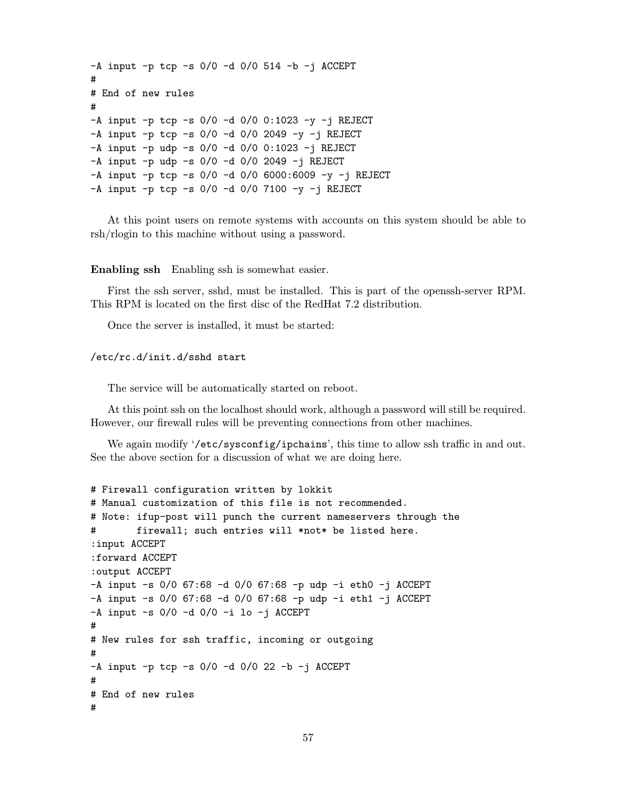```
-A input -p tcp -s 0/0 -d 0/0 514 -b -j ACCEPT
#
# End of new rules
#
-A input -p tcp -s 0/0 -d 0/0 0:1023 -y -j REJECT
-A input -p tcp -s 0/0 -d 0/0 2049 -y -i REJECT
-A input -p udp -s 0/0 -d 0/0 0:1023 -j REJECT
-A input -p udp -s 0/0 -d 0/0 2049 -j REJECT
-A input -p tcp -s 0/0 -d 0/0 6000:6009 -y -j REJECT
-A input -p tcp -s 0/0 -d 0/0 7100 -y -j REJECT
```
At this point users on remote systems with accounts on this system should be able to rsh/rlogin to this machine without using a password.

Enabling ssh Enabling ssh is somewhat easier.

First the ssh server, sshd, must be installed. This is part of the openssh-server RPM. This RPM is located on the first disc of the RedHat 7.2 distribution.

Once the server is installed, it must be started:

#### /etc/rc.d/init.d/sshd start

The service will be automatically started on reboot.

At this point ssh on the localhost should work, although a password will still be required. However, our firewall rules will be preventing connections from other machines.

We again modify '/etc/sysconfig/ipchains', this time to allow ssh traffic in and out. See the above section for a discussion of what we are doing here.

```
# Firewall configuration written by lokkit
# Manual customization of this file is not recommended.
# Note: ifup-post will punch the current nameservers through the
# firewall; such entries will *not* be listed here.
:input ACCEPT
:forward ACCEPT
:output ACCEPT
-A input -s 0/0 67:68 -d 0/0 67:68 -p udp -i eth0 -j ACCEPT
-A input -s 0/0 67:68 -d 0/0 67:68 -p udp -i eth1 -j ACCEPT
-A input -s 0/0 -d 0/0 -i lo -j ACCEPT
#
# New rules for ssh traffic, incoming or outgoing
#
-A input -p tcp -s 0/0 -d 0/0 22 -b -j ACCEPT
#
# End of new rules
#
```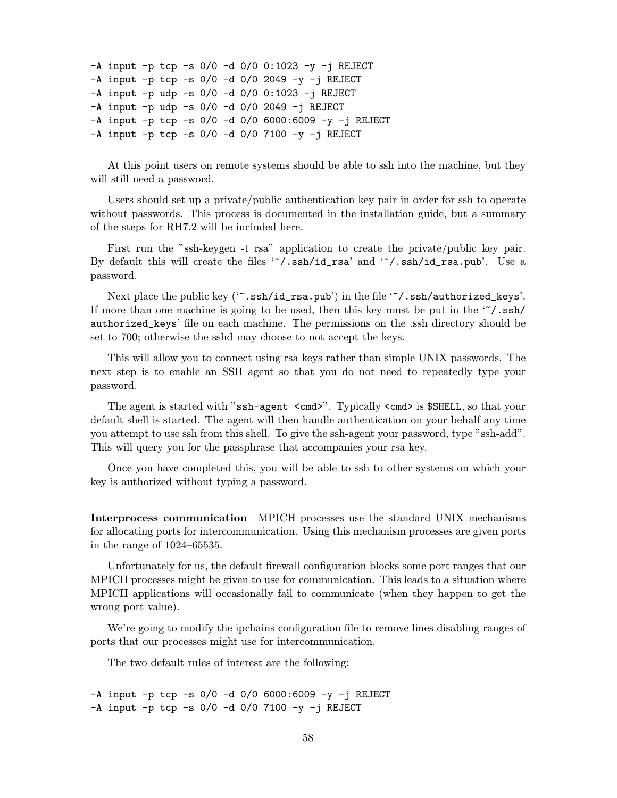```
-A input -p tcp -s 0/0 -d 0/0 0:1023 -y -j REJECT
-A input -p tcp -s 0/0 -d 0/0 2049 -y -j REJECT
-A input -p udp -s 0/0 -d 0/0 0:1023 -j REJECT
-A input -p udp -s 0/0 -d 0/0 2049 -j REJECT
-A input -p tcp -s 0/0 -d 0/0 6000:6009 -y -j REJECT
-A input -p tcp -s 0/0 -d 0/0 7100 -y -j REJECT
```
At this point users on remote systems should be able to ssh into the machine, but they will still need a password.

Users should set up a private/public authentication key pair in order for ssh to operate without passwords. This process is documented in the installation guide, but a summary of the steps for RH7.2 will be included here.

First run the "ssh-keygen -t rsa" application to create the private/public key pair. By default this will create the files '~/.ssh/id\_rsa' and '~/.ssh/id\_rsa.pub'. Use a password.

Next place the public key ('".ssh/id\_rsa.pub') in the file '"/.ssh/authorized\_keys'. If more than one machine is going to be used, then this key must be put in the  $\lq\lq$ . ssh/ authorized\_keys' file on each machine. The permissions on the .ssh directory should be set to 700; otherwise the sshd may choose to not accept the keys.

This will allow you to connect using rsa keys rather than simple UNIX passwords. The next step is to enable an SSH agent so that you do not need to repeatedly type your password.

The agent is started with "ssh-agent <cmd>". Typically <cmd> is \$SHELL, so that your default shell is started. The agent will then handle authentication on your behalf any time you attempt to use ssh from this shell. To give the ssh-agent your password, type "ssh-add". This will query you for the passphrase that accompanies your rsa key.

Once you have completed this, you will be able to ssh to other systems on which your key is authorized without typing a password.

Interprocess communication MPICH processes use the standard UNIX mechanisms for allocating ports for intercommunication. Using this mechanism processes are given ports in the range of 1024–65535.

Unfortunately for us, the default firewall configuration blocks some port ranges that our MPICH processes might be given to use for communication. This leads to a situation where MPICH applications will occasionally fail to communicate (when they happen to get the wrong port value).

We're going to modify the ipchains configuration file to remove lines disabling ranges of ports that our processes might use for intercommunication.

The two default rules of interest are the following:

 $-A$  input  $-p$  tcp  $-s$  0/0  $-d$  0/0 6000:6009  $-y$   $-i$  REJECT  $-A$  input  $-p$  tcp  $-s$  0/0  $-d$  0/0 7100  $-y$   $-j$  REJECT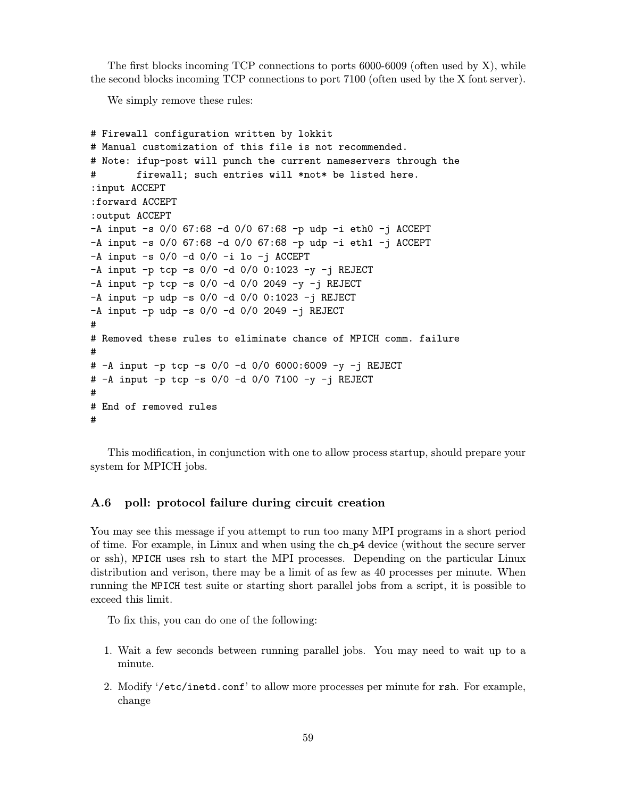The first blocks incoming TCP connections to ports 6000-6009 (often used by X), while the second blocks incoming TCP connections to port 7100 (often used by the X font server).

We simply remove these rules:

```
# Firewall configuration written by lokkit
# Manual customization of this file is not recommended.
# Note: ifup-post will punch the current nameservers through the
# firewall; such entries will *not* be listed here.
:input ACCEPT
:forward ACCEPT
:output ACCEPT
-A input -s 0/0 67:68 -d 0/0 67:68 -p udp -i eth0 -j ACCEPT
-A input -s 0/0 67:68 -d 0/0 67:68 -p udp -i eth1 -j ACCEPT
-A input -s 0/0 -d 0/0 -i lo -j ACCEPT
-A input -p tcp -s 0/0 -d 0/0 0:1023 -y -j REJECT
-A input -p tcp -s 0/0 -d 0/0 2049 -y -i REJECT
-A input -p udp -s 0/0 -d 0/0 0:1023 -j REJECT
-A input -p udp -s 0/0 -d 0/0 2049 -j REJECT
#
# Removed these rules to eliminate chance of MPICH comm. failure
#
# -A input -p tcp -s 0/0 -d 0/0 6000:6009 -y -j REJECT
# -A input -p tcp -s 0/0 -d 0/0 7100 -y -j REJECT
#
# End of removed rules
#
```
This modification, in conjunction with one to allow process startup, should prepare your system for MPICH jobs.

# A.6 poll: protocol failure during circuit creation

You may see this message if you attempt to run too many MPI programs in a short period of time. For example, in Linux and when using the ch p4 device (without the secure server or ssh), MPICH uses rsh to start the MPI processes. Depending on the particular Linux distribution and verison, there may be a limit of as few as 40 processes per minute. When running the MPICH test suite or starting short parallel jobs from a script, it is possible to exceed this limit.

To fix this, you can do one of the following:

- 1. Wait a few seconds between running parallel jobs. You may need to wait up to a minute.
- 2. Modify '/etc/inetd.conf' to allow more processes per minute for rsh. For example, change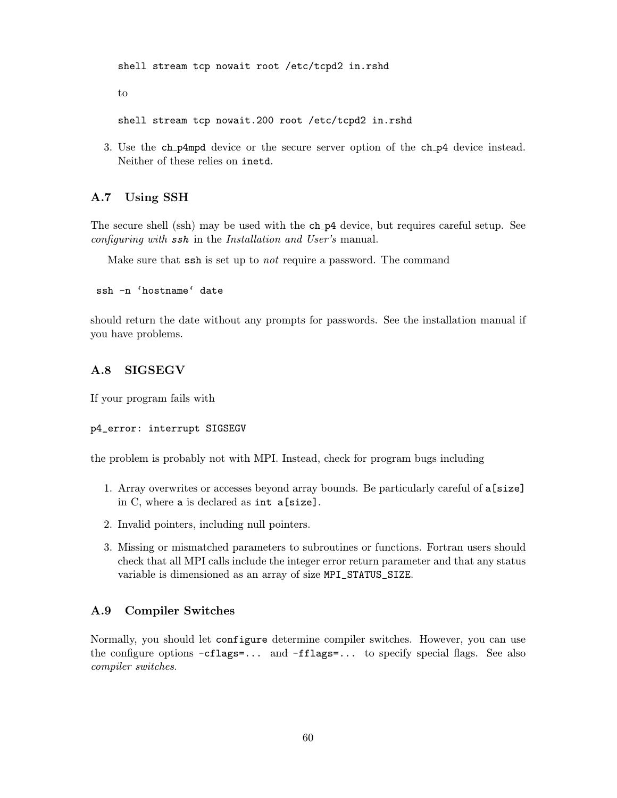shell stream tcp nowait root /etc/tcpd2 in.rshd to shell stream tcp nowait.200 root /etc/tcpd2 in.rshd

3. Use the ch p4mpd device or the secure server option of the ch p4 device instead. Neither of these relies on inetd.

# A.7 Using SSH

The secure shell (ssh) may be used with the ch p4 device, but requires careful setup. See configuring with ssh in the Installation and User's manual.

Make sure that ssh is set up to not require a password. The command

ssh -n 'hostname' date

should return the date without any prompts for passwords. See the installation manual if you have problems.

## A.8 SIGSEGV

If your program fails with

#### p4\_error: interrupt SIGSEGV

the problem is probably not with MPI. Instead, check for program bugs including

- 1. Array overwrites or accesses beyond array bounds. Be particularly careful of a[size] in C, where a is declared as int a[size].
- 2. Invalid pointers, including null pointers.
- 3. Missing or mismatched parameters to subroutines or functions. Fortran users should check that all MPI calls include the integer error return parameter and that any status variable is dimensioned as an array of size MPI\_STATUS\_SIZE.

# A.9 Compiler Switches

Normally, you should let configure determine compiler switches. However, you can use the configure options -cflags=... and -fflags=... to specify special flags. See also compiler switches.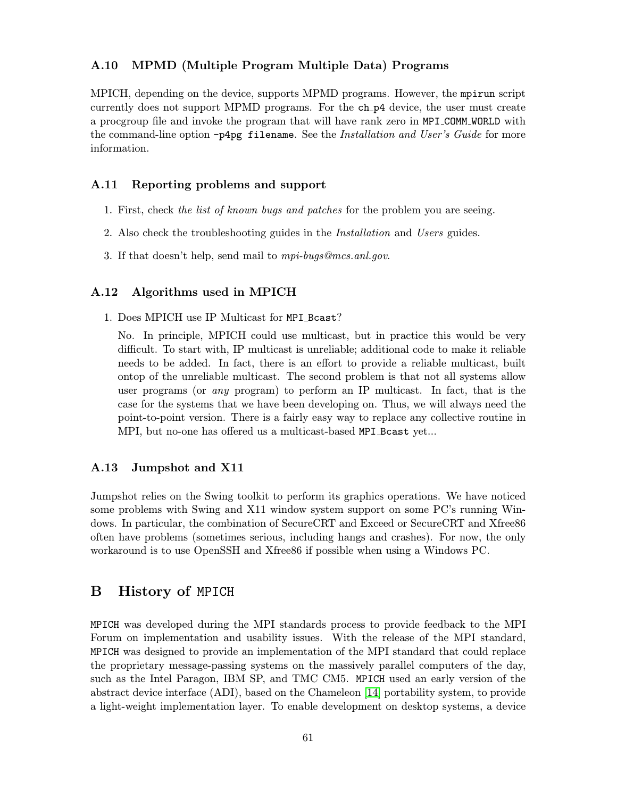# A.10 MPMD (Multiple Program Multiple Data) Programs

MPICH, depending on the device, supports MPMD programs. However, the mpirun script currently does not support MPMD programs. For the ch p4 device, the user must create a procgroup file and invoke the program that will have rank zero in MPI COMM WORLD with the command-line option  $-p4pp$  filename. See the Installation and User's Guide for more information.

# A.11 Reporting problems and support

- 1. First, check the list of known bugs and patches for the problem you are seeing.
- 2. Also check the troubleshooting guides in the Installation and Users guides.
- 3. If that doesn't help, send mail to mpi-bugs@mcs.anl.gov.

#### A.12 Algorithms used in MPICH

1. Does MPICH use IP Multicast for MPI Bcast?

No. In principle, MPICH could use multicast, but in practice this would be very difficult. To start with, IP multicast is unreliable; additional code to make it reliable needs to be added. In fact, there is an effort to provide a reliable multicast, built ontop of the unreliable multicast. The second problem is that not all systems allow user programs (or any program) to perform an IP multicast. In fact, that is the case for the systems that we have been developing on. Thus, we will always need the point-to-point version. There is a fairly easy way to replace any collective routine in MPI, but no-one has offered us a multicast-based MPI Bcast yet...

#### A.13 Jumpshot and X11

Jumpshot relies on the Swing toolkit to perform its graphics operations. We have noticed some problems with Swing and X11 window system support on some PC's running Windows. In particular, the combination of SecureCRT and Exceed or SecureCRT and Xfree86 often have problems (sometimes serious, including hangs and crashes). For now, the only workaround is to use OpenSSH and Xfree86 if possible when using a Windows PC.

# B History of MPICH

MPICH was developed during the MPI standards process to provide feedback to the MPI Forum on implementation and usability issues. With the release of the MPI standard, MPICH was designed to provide an implementation of the MPI standard that could replace the proprietary message-passing systems on the massively parallel computers of the day, such as the Intel Paragon, IBM SP, and TMC CM5. MPICH used an early version of the abstract device interface (ADI), based on the Chameleon [\[14\]](#page-80-0) portability system, to provide a light-weight implementation layer. To enable development on desktop systems, a device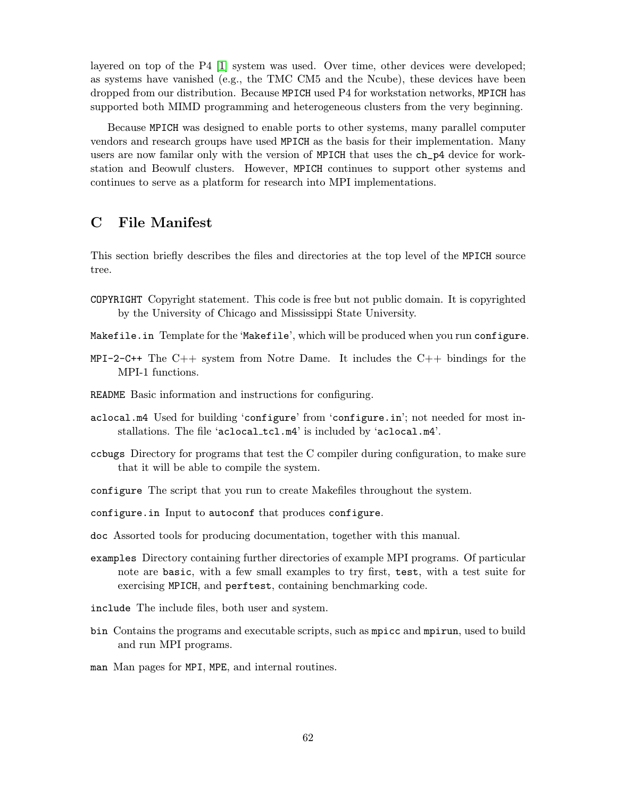layered on top of the P4 [\[1\]](#page-79-0) system was used. Over time, other devices were developed; as systems have vanished (e.g., the TMC  $CM5$  and the Ncube), these devices have been dropped from our distribution. Because MPICH used P4 for workstation networks, MPICH has supported both MIMD programming and heterogeneous clusters from the very beginning.

Because MPICH was designed to enable ports to other systems, many parallel computer vendors and research groups have used MPICH as the basis for their implementation. Many users are now familar only with the version of MPICH that uses the ch\_p4 device for workstation and Beowulf clusters. However, MPICH continues to support other systems and continues to serve as a platform for research into MPI implementations.

# C File Manifest

This section briefly describes the files and directories at the top level of the MPICH source tree.

- COPYRIGHT Copyright statement. This code is free but not public domain. It is copyrighted by the University of Chicago and Mississippi State University.
- Makefile.in Template for the 'Makefile', which will be produced when you run configure.
- MPI-2-C++ The  $C_{++}$  system from Notre Dame. It includes the  $C_{++}$  bindings for the MPI-1 functions.
- README Basic information and instructions for configuring.
- aclocal.m4 Used for building 'configure' from 'configure.in'; not needed for most installations. The file 'aclocal\_tcl.m4' is included by 'aclocal.m4'.
- ccbugs Directory for programs that test the C compiler during configuration, to make sure that it will be able to compile the system.
- configure The script that you run to create Makefiles throughout the system.
- configure.in Input to autoconf that produces configure.
- doc Assorted tools for producing documentation, together with this manual.
- examples Directory containing further directories of example MPI programs. Of particular note are basic, with a few small examples to try first, test, with a test suite for exercising MPICH, and perftest, containing benchmarking code.
- include The include files, both user and system.
- bin Contains the programs and executable scripts, such as mpicc and mpirun, used to build and run MPI programs.
- man Man pages for MPI, MPE, and internal routines.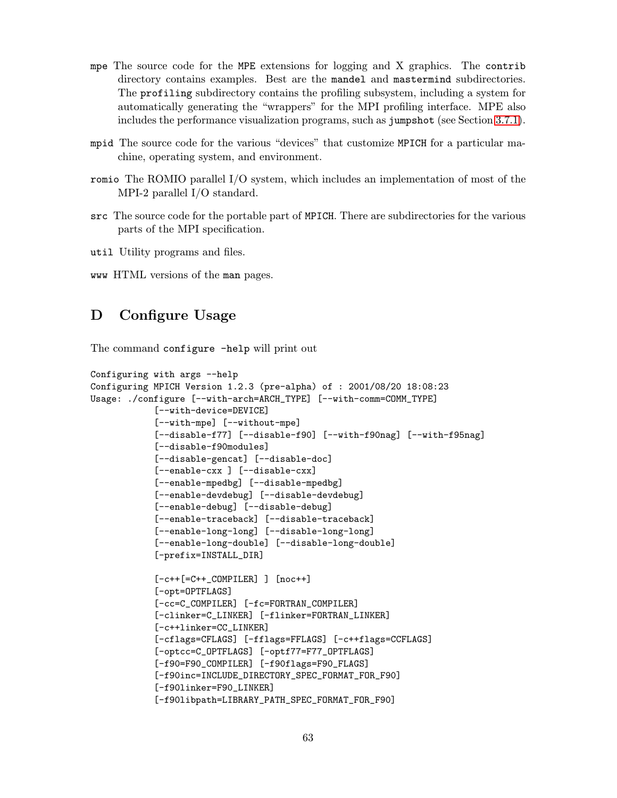- mpe The source code for the MPE extensions for logging and X graphics. The contrib directory contains examples. Best are the mandel and mastermind subdirectories. The profiling subdirectory contains the profiling subsystem, including a system for automatically generating the "wrappers" for the MPI profiling interface. MPE also includes the performance visualization programs, such as jumpshot (see Section [3.7.1\)](#page-19-0).
- mpid The source code for the various "devices" that customize MPICH for a particular machine, operating system, and environment.
- romio The ROMIO parallel I/O system, which includes an implementation of most of the MPI-2 parallel I/O standard.
- src The source code for the portable part of MPICH. There are subdirectories for the various parts of the MPI specification.
- util Utility programs and files.
- www HTML versions of the man pages.

# D Configure Usage

The command configure -help will print out

```
Configuring with args --help
Configuring MPICH Version 1.2.3 (pre-alpha) of : 2001/08/20 18:08:23
Usage: ./configure [--with-arch=ARCH_TYPE] [--with-comm=COMM_TYPE]
            [--with-device=DEVICE]
            [--with-mpe] [--without-mpe]
            [--disable-f77] [--disable-f90] [--with-f90nag] [--with-f95nag]
            [--disable-f90modules]
            [--disable-gencat] [--disable-doc]
            [--enable-cxx ] [--disable-cxx]
            [--enable-mpedbg] [--disable-mpedbg]
            [--enable-devdebug] [--disable-devdebug]
            [--enable-debug] [--disable-debug]
            [--enable-traceback] [--disable-traceback]
            [--enable-long-long] [--disable-long-long]
            [--enable-long-double] [--disable-long-double]
            [-prefix=INSTALL_DIR]
            [-c++[=C++_COMPILER] ] [noc++]
            [-opt=OPTFLAGS]
            [-cc=C_COMPILER] [-fc=FORTRAN_COMPILER]
            [-clinker=C_LINKER] [-flinker=FORTRAN_LINKER]
            [-c++linker=CC_LINKER]
            [-cflags=CFLAGS] [-fflags=FFLAGS] [-c++flags=CCFLAGS]
            [-optcc=C_OPTFLAGS] [-optf77=F77_OPTFLAGS]
            [-f90=F90_COMPILER] [-f90flags=F90_FLAGS]
            [-f90inc=INCLUDE_DIRECTORY_SPEC_FORMAT_FOR_F90]
            [-f90linker=F90_LINKER]
            [-f90libpath=LIBRARY_PATH_SPEC_FORMAT_FOR_F90]
```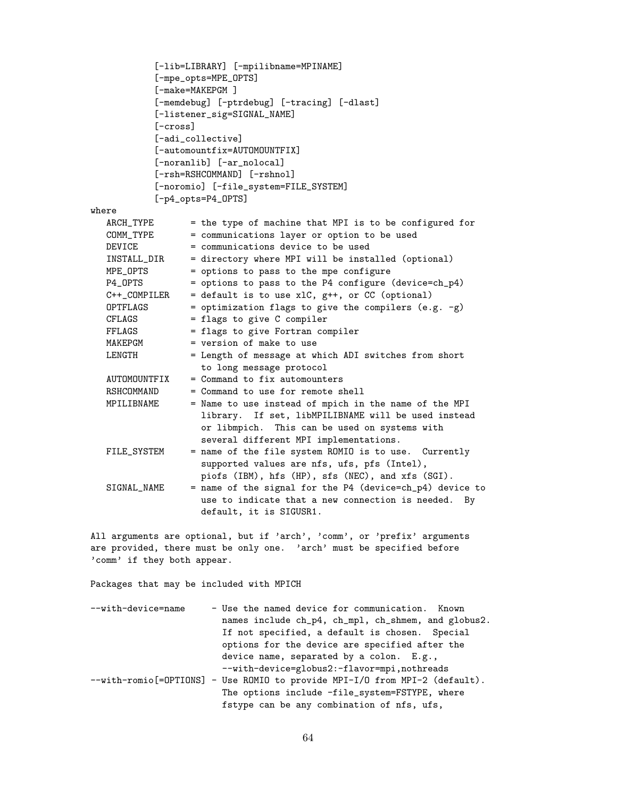```
[-lib=LIBRARY] [-mpilibname=MPINAME]
           [-mpe_opts=MPE_OPTS]
           [-make=MAKEPGM ]
           [-memdebug] [-ptrdebug] [-tracing] [-dlast]
           [-listener_sig=SIGNAL_NAME]
           [-cross]
           [-adi_collective]
           [-automountfix=AUTOMOUNTFIX]
           [-noranlib] [-ar_nolocal]
           [-rsh=RSHCOMMAND] [-rshnol]
           [-noromio] [-file_system=FILE_SYSTEM]
           [-p4_opts=P4_OPTS]
where
  ARCH_TYPE = the type of machine that MPI is to be configured for
  COMM_TYPE = communications layer or option to be used
  DEVICE = communications device to be used
  INSTALL_DIR = directory where MPI will be installed (optional)
  MPE_OPTS = options to pass to the mpe configure
  P4_OPTS = options to pass to the P4 configure (device=ch_p4)
  C++\_COMPILER = default is to use xlC, g++, or CC (optional)
  OPTFLAGS = optimization flags to give the compilers (e.g. -g)CFLAGS = flags to give C compiler
  FFLAGS = flags to give Fortran compiler
  MAKEPGM = version of make to use
  LENGTH = Length of message at which ADI switches from short
                  to long message protocol
  AUTOMOUNTFIX = Command to fix automountersRSHCOMMAND = Command to use for remote shell
  MPILIBNAME = Name to use instead of mpich in the name of the MPI
                   library. If set, libMPILIBNAME will be used instead
                   or libmpich. This can be used on systems with
                   several different MPI implementations.
  FILE_SYSTEM = name of the file system ROMIO is to use. Currently
                   supported values are nfs, ufs, pfs (Intel),
                   piofs (IBM), hfs (HP), sfs (NEC), and xfs (SGI).
  SIGNAL_NAME = name of the signal for the P4 (device=ch_p4) device to
                   use to indicate that a new connection is needed. By
                   default, it is SIGUSR1.
```
All arguments are optional, but if 'arch', 'comm', or 'prefix' arguments are provided, there must be only one. 'arch' must be specified before 'comm' if they both appear.

Packages that may be included with MPICH

| - Use the named device for communication. Known                              |
|------------------------------------------------------------------------------|
| names include ch_p4, ch_mp1, ch_shmem, and globus2.                          |
| If not specified, a default is chosen. Special                               |
| options for the device are specified after the                               |
| device name, separated by a colon. E.g.,                                     |
| --with-device=globus2:-flavor=mpi,nothreads                                  |
| --with-romio [=OPTIONS] - Use ROMIO to provide MPI-I/O from MPI-2 (default). |
| The options include -file_system=FSTYPE, where                               |
| fstype can be any combination of nfs, ufs,                                   |
|                                                                              |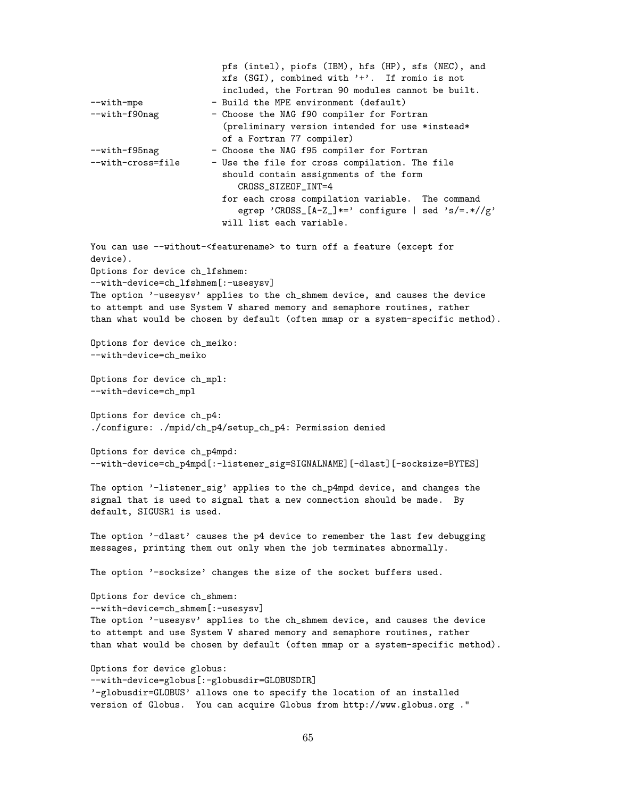pfs (intel), piofs (IBM), hfs (HP), sfs (NEC), and xfs (SGI), combined with '+'. If romio is not included, the Fortran 90 modules cannot be built. --with-mpe - Build the MPE environment (default) --with-f90nag - Choose the NAG f90 compiler for Fortran (preliminary version intended for use \*instead\* of a Fortran 77 compiler) --with-f95nag - Choose the NAG f95 compiler for Fortran --with-cross=file - Use the file for cross compilation. The file should contain assignments of the form CROSS\_SIZEOF\_INT=4 for each cross compilation variable. The command egrep 'CROSS\_[A-Z\_]\*=' configure | sed 's/=.\*//g' will list each variable. You can use --without-<featurename> to turn off a feature (except for device). Options for device ch\_lfshmem: --with-device=ch\_lfshmem[:-usesysv] The option '-usesysv' applies to the ch\_shmem device, and causes the device to attempt and use System V shared memory and semaphore routines, rather than what would be chosen by default (often mmap or a system-specific method). Options for device ch\_meiko: --with-device=ch\_meiko Options for device ch\_mpl: --with-device=ch\_mpl Options for device ch\_p4: ./configure: ./mpid/ch\_p4/setup\_ch\_p4: Permission denied Options for device ch\_p4mpd: --with-device=ch\_p4mpd[:-listener\_sig=SIGNALNAME][-dlast][-socksize=BYTES] The option '-listener\_sig' applies to the ch\_p4mpd device, and changes the signal that is used to signal that a new connection should be made. By default, SIGUSR1 is used. The option '-dlast' causes the p4 device to remember the last few debugging messages, printing them out only when the job terminates abnormally. The option '-socksize' changes the size of the socket buffers used. Options for device ch\_shmem: --with-device=ch\_shmem[:-usesysv] The option '-usesysv' applies to the ch\_shmem device, and causes the device to attempt and use System V shared memory and semaphore routines, rather than what would be chosen by default (often mmap or a system-specific method). Options for device globus: --with-device=globus[:-globusdir=GLOBUSDIR] '-globusdir=GLOBUS' allows one to specify the location of an installed version of Globus. You can acquire Globus from http://www.globus.org ."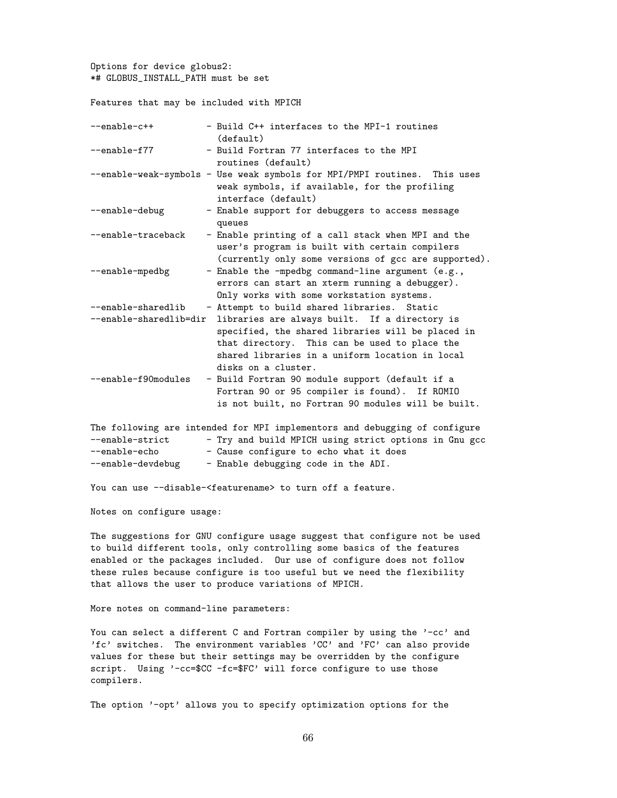Options for device globus2: \*# GLOBUS\_INSTALL\_PATH must be set

Features that may be included with MPICH

| $--enable-c++$         | - Build C++ interfaces to the MPI-1 routines<br>(default)                                                                                                                                                                     |
|------------------------|-------------------------------------------------------------------------------------------------------------------------------------------------------------------------------------------------------------------------------|
| --enable-f77           | - Build Fortran 77 interfaces to the MPI<br>routines (default)                                                                                                                                                                |
|                        | --enable-weak-symbols - Use weak symbols for MPI/PMPI routines.<br>This uses<br>weak symbols, if available, for the profiling<br>interface (default)                                                                          |
| --enable-debug         | - Enable support for debuggers to access message<br>queues                                                                                                                                                                    |
| --enable-traceback     | - Enable printing of a call stack when MPI and the<br>user's program is built with certain compilers<br>(currently only some versions of gcc are supported).                                                                  |
| --enable-mpedbg        | - Enable the -mpedbg command-line argument (e.g.,<br>errors can start an xterm running a debugger).<br>Only works with some workstation systems.                                                                              |
| --enable-sharedlib     | - Attempt to build shared libraries. Static                                                                                                                                                                                   |
| --enable-sharedlib=dir | libraries are always built. If a directory is<br>specified, the shared libraries will be placed in<br>that directory. This can be used to place the<br>shared libraries in a uniform location in local<br>disks on a cluster. |
| --enable-f90modules    | - Build Fortran 90 module support (default if a<br>Fortran 90 or 95 compiler is found). If ROMIO<br>is not built, no Fortran 90 modules will be built.                                                                        |
|                        | The following are intended for MPI implementors and debugging of configure                                                                                                                                                    |
| --enable-strict        | - Try and build MPICH using strict options in Gnu gcc                                                                                                                                                                         |
| --enable-echo          | - Cause configure to echo what it does                                                                                                                                                                                        |

--enable-devdebug - Enable debugging code in the ADI.

You can use --disable-<featurename> to turn off a feature.

Notes on configure usage:

The suggestions for GNU configure usage suggest that configure not be used to build different tools, only controlling some basics of the features enabled or the packages included. Our use of configure does not follow these rules because configure is too useful but we need the flexibility that allows the user to produce variations of MPICH.

More notes on command-line parameters:

You can select a different C and Fortran compiler by using the '-cc' and 'fc' switches. The environment variables 'CC' and 'FC' can also provide values for these but their settings may be overridden by the configure script. Using '-cc=\$CC -fc=\$FC' will force configure to use those compilers.

The option '-opt' allows you to specify optimization options for the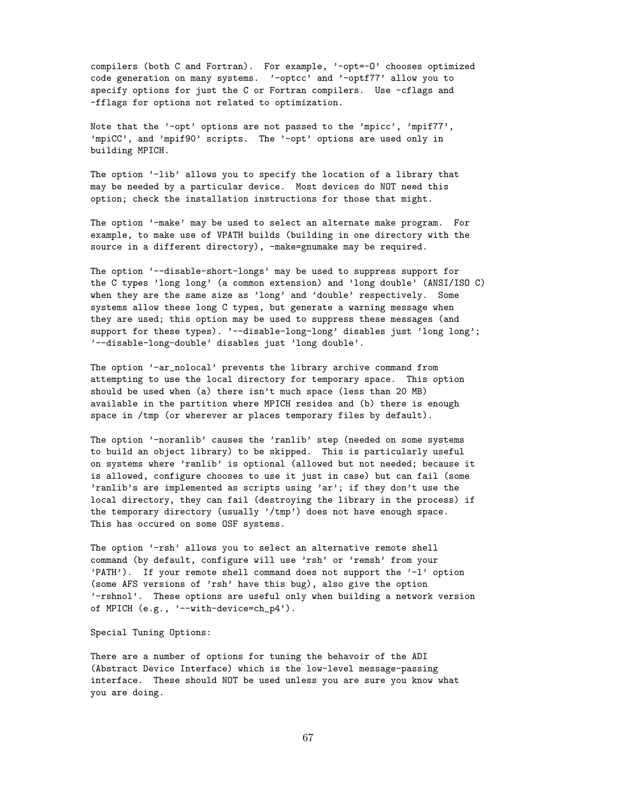compilers (both C and Fortran). For example, '-opt=-O' chooses optimized code generation on many systems. '-optcc' and '-optf77' allow you to specify options for just the C or Fortran compilers. Use -cflags and -fflags for options not related to optimization.

Note that the '-opt' options are not passed to the 'mpicc', 'mpif77', 'mpiCC', and 'mpif90' scripts. The '-opt' options are used only in building MPICH.

The option '-lib' allows you to specify the location of a library that may be needed by a particular device. Most devices do NOT need this option; check the installation instructions for those that might.

The option '-make' may be used to select an alternate make program. For example, to make use of VPATH builds (building in one directory with the source in a different directory), -make=gnumake may be required.

The option '--disable-short-longs' may be used to suppress support for the C types 'long long' (a common extension) and 'long double' (ANSI/ISO C) when they are the same size as 'long' and 'double' respectively. Some systems allow these long C types, but generate a warning message when they are used; this option may be used to suppress these messages (and support for these types). '--disable-long-long' disables just 'long long'; '--disable-long-double' disables just 'long double'.

The option '-ar\_nolocal' prevents the library archive command from attempting to use the local directory for temporary space. This option should be used when (a) there isn't much space (less than 20 MB) available in the partition where MPICH resides and (b) there is enough space in /tmp (or wherever ar places temporary files by default).

The option '-noranlib' causes the 'ranlib' step (needed on some systems to build an object library) to be skipped. This is particularly useful on systems where 'ranlib' is optional (allowed but not needed; because it is allowed, configure chooses to use it just in case) but can fail (some 'ranlib's are implemented as scripts using 'ar'; if they don't use the local directory, they can fail (destroying the library in the process) if the temporary directory (usually '/tmp') does not have enough space. This has occured on some OSF systems.

The option '-rsh' allows you to select an alternative remote shell command (by default, configure will use 'rsh' or 'remsh' from your 'PATH'). If your remote shell command does not support the '-l' option (some AFS versions of 'rsh' have this bug), also give the option '-rshnol'. These options are useful only when building a network version of MPICH (e.g., '--with-device=ch\_p4').

#### Special Tuning Options:

There are a number of options for tuning the behavoir of the ADI (Abstract Device Interface) which is the low-level message-passing interface. These should NOT be used unless you are sure you know what you are doing.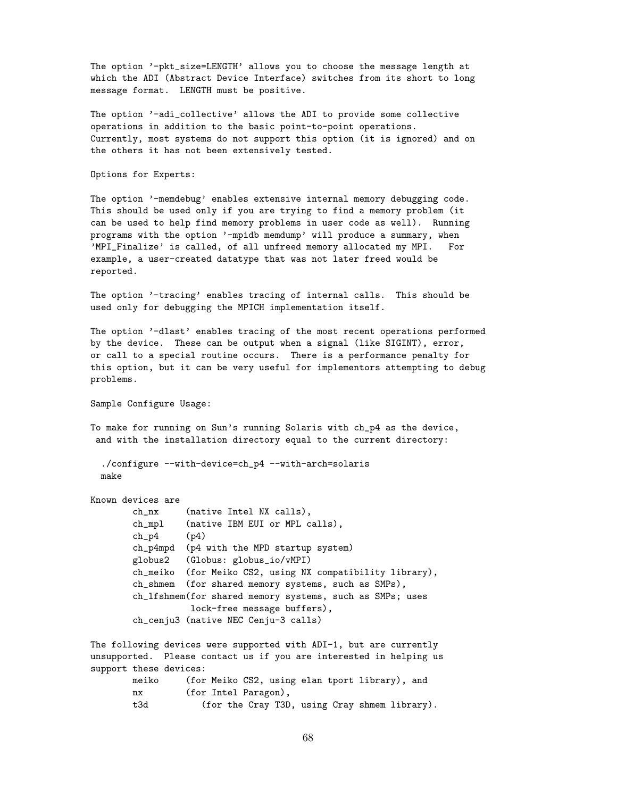The option '-pkt\_size=LENGTH' allows you to choose the message length at which the ADI (Abstract Device Interface) switches from its short to long message format. LENGTH must be positive.

The option '-adi\_collective' allows the ADI to provide some collective operations in addition to the basic point-to-point operations. Currently, most systems do not support this option (it is ignored) and on the others it has not been extensively tested.

Options for Experts:

The option '-memdebug' enables extensive internal memory debugging code. This should be used only if you are trying to find a memory problem (it can be used to help find memory problems in user code as well). Running programs with the option '-mpidb memdump' will produce a summary, when 'MPI\_Finalize' is called, of all unfreed memory allocated my MPI. For example, a user-created datatype that was not later freed would be reported.

The option '-tracing' enables tracing of internal calls. This should be used only for debugging the MPICH implementation itself.

The option '-dlast' enables tracing of the most recent operations performed by the device. These can be output when a signal (like SIGINT), error, or call to a special routine occurs. There is a performance penalty for this option, but it can be very useful for implementors attempting to debug problems.

Sample Configure Usage:

To make for running on Sun's running Solaris with ch\_p4 as the device, and with the installation directory equal to the current directory:

```
./configure --with-device=ch_p4 --with-arch=solaris
make
```

```
Known devices are
       ch_nx (native Intel NX calls),
       ch_mpl (native IBM EUI or MPL calls),
       ch_p4 (p4)
       ch_p4mpd (p4 with the MPD startup system)
       globus2 (Globus: globus_io/vMPI)
       ch_meiko (for Meiko CS2, using NX compatibility library),
       ch_shmem (for shared memory systems, such as SMPs),
       ch_lfshmem(for shared memory systems, such as SMPs; uses
                 lock-free message buffers),
       ch_cenju3 (native NEC Cenju-3 calls)
```
The following devices were supported with ADI-1, but are currently unsupported. Please contact us if you are interested in helping us support these devices:

| meiko | (for Meiko CS2, using elan tport library), and |
|-------|------------------------------------------------|
| nx    | (for Intel Paragon),                           |
| t3d   | (for the Cray T3D, using Cray shmem library).  |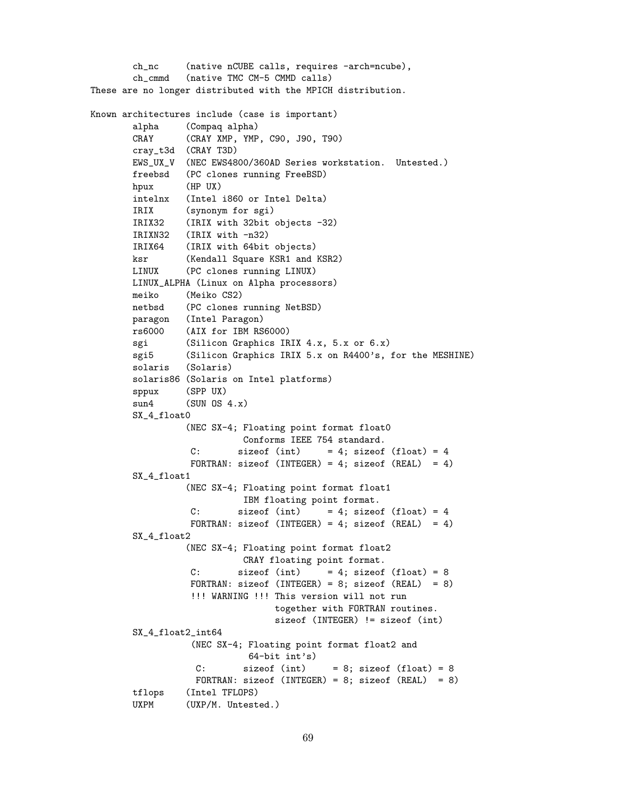```
ch_nc (native nCUBE calls, requires -arch=ncube),
       ch_cmmd (native TMC CM-5 CMMD calls)
These are no longer distributed with the MPICH distribution.
Known architectures include (case is important)
       alpha (Compaq alpha)
       CRAY (CRAY XMP, YMP, C90, J90, T90)
       cray_t3d (CRAY T3D)
       EWS_UX_V (NEC EWS4800/360AD Series workstation. Untested.)
       freebsd (PC clones running FreeBSD)
       hpux (HP UX)
       intelnx (Intel i860 or Intel Delta)
       IRIX (synonym for sgi)
       IRIX32 (IRIX with 32bit objects -32)
       IRIXN32 (IRIX with -n32)
       IRIX64 (IRIX with 64bit objects)
       ksr (Kendall Square KSR1 and KSR2)
       LINUX (PC clones running LINUX)
       LINUX_ALPHA (Linux on Alpha processors)
       meiko (Meiko CS2)
       netbsd (PC clones running NetBSD)
       paragon (Intel Paragon)
       rs6000 (AIX for IBM RS6000)
       sgi (Silicon Graphics IRIX 4.x, 5.x or 6.x)
       sgi5 (Silicon Graphics IRIX 5.x on R4400's, for the MESHINE)
       solaris (Solaris)
       solaris86 (Solaris on Intel platforms)
       sppux (SPP UX)
       sun4 (SUN 0S 4.x)
       SX_4_float0
                 (NEC SX-4; Floating point format float0
                           Conforms IEEE 754 standard.
                 C: sizeof (int) = 4; sizeof (float) = 4
                 FORTRAN: sizeof (INTEGER) = 4; sizeof (REAL) = 4)
       SX_4_float1
                 (NEC SX-4; Floating point format float1
                           IBM floating point format.
                 C: sizeof (int) = 4; sizeof (float) = 4
                 FORTRAN: sizeof (INTEGER) = 4; sizeof (REAL) = 4)
       SX_4_float2
                 (NEC SX-4; Floating point format float2
                           CRAY floating point format.
                 C: sizeof (int) = 4; sizeof (float) = 8
                 FORTRAN: sizeof (INTEGER) = 8; sizeof (REAL) = 8)
                 !!! WARNING !!! This version will not run
                                together with FORTRAN routines.
                                sizeof (INTEGER) != sizeof (int)
       SX_4_float2_int64
                  (NEC SX-4; Floating point format float2 and
                            64-bit int's)
                  C: sizeof (int) = 8; sizeof (float) = 8
                  FORTRAN: sizeof (INTEGER) = 8; sizeof (REAL) = 8)
       tflops (Intel TFLOPS)
       UXPM (UXP/M. Untested.)
```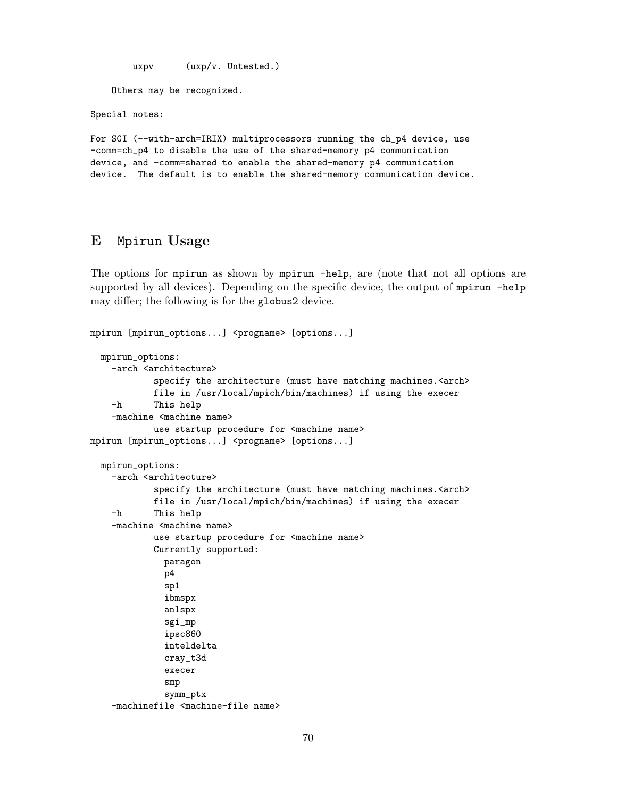uxpv (uxp/v. Untested.) Others may be recognized. Special notes:

For SGI (--with-arch=IRIX) multiprocessors running the ch\_p4 device, use -comm=ch\_p4 to disable the use of the shared-memory p4 communication device, and -comm=shared to enable the shared-memory p4 communication device. The default is to enable the shared-memory communication device.

# E Mpirun Usage

The options for mpirun as shown by mpirun -help, are (note that not all options are supported by all devices). Depending on the specific device, the output of mpirun -help may differ; the following is for the globus2 device.

```
mpirun [mpirun_options...] <progname> [options...]
 mpirun_options:
   -arch <architecture>
            specify the architecture (must have matching machines.<arch>
            file in /usr/local/mpich/bin/machines) if using the execer
    -h This help
    -machine <machine name>
            use startup procedure for <machine name>
mpirun [mpirun_options...] <progname> [options...]
 mpirun_options:
    -arch <architecture>
            specify the architecture (must have matching machines.<arch>
            file in /usr/local/mpich/bin/machines) if using the execer
    -h This help
    -machine <machine name>
            use startup procedure for <machine name>
            Currently supported:
             paragon
             p4
              sp1
              ibmspx
              anlspx
              sgi_mp
              ipsc860
              inteldelta
              cray_t3d
              execer
              smp
              symm_ptx
    -machinefile <machine-file name>
```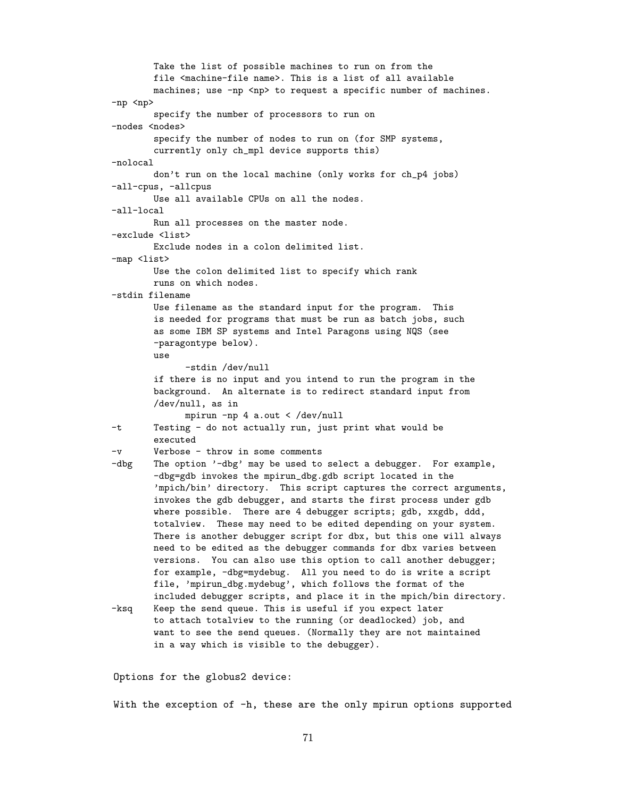Take the list of possible machines to run on from the file <machine-file name>. This is a list of all available machines; use -np <np> to request a specific number of machines. -np <np> specify the number of processors to run on -nodes <nodes> specify the number of nodes to run on (for SMP systems, currently only ch\_mpl device supports this) -nolocal don't run on the local machine (only works for ch\_p4 jobs) -all-cpus, -allcpus Use all available CPUs on all the nodes. -all-local Run all processes on the master node. -exclude <list> Exclude nodes in a colon delimited list. -map <list> Use the colon delimited list to specify which rank runs on which nodes. -stdin filename Use filename as the standard input for the program. This is needed for programs that must be run as batch jobs, such as some IBM SP systems and Intel Paragons using NQS (see -paragontype below). use -stdin /dev/null if there is no input and you intend to run the program in the background. An alternate is to redirect standard input from /dev/null, as in mpirun -np 4 a.out < /dev/null -t Testing - do not actually run, just print what would be executed -v Verbose - throw in some comments -dbg The option '-dbg' may be used to select a debugger. For example, -dbg=gdb invokes the mpirun\_dbg.gdb script located in the 'mpich/bin' directory. This script captures the correct arguments, invokes the gdb debugger, and starts the first process under gdb where possible. There are 4 debugger scripts; gdb, xxgdb, ddd, totalview. These may need to be edited depending on your system. There is another debugger script for dbx, but this one will always need to be edited as the debugger commands for dbx varies between versions. You can also use this option to call another debugger; for example, -dbg=mydebug. All you need to do is write a script file, 'mpirun\_dbg.mydebug', which follows the format of the included debugger scripts, and place it in the mpich/bin directory. -ksq Keep the send queue. This is useful if you expect later to attach totalview to the running (or deadlocked) job, and want to see the send queues. (Normally they are not maintained in a way which is visible to the debugger).

Options for the globus2 device:

With the exception of -h, these are the only mpirun options supported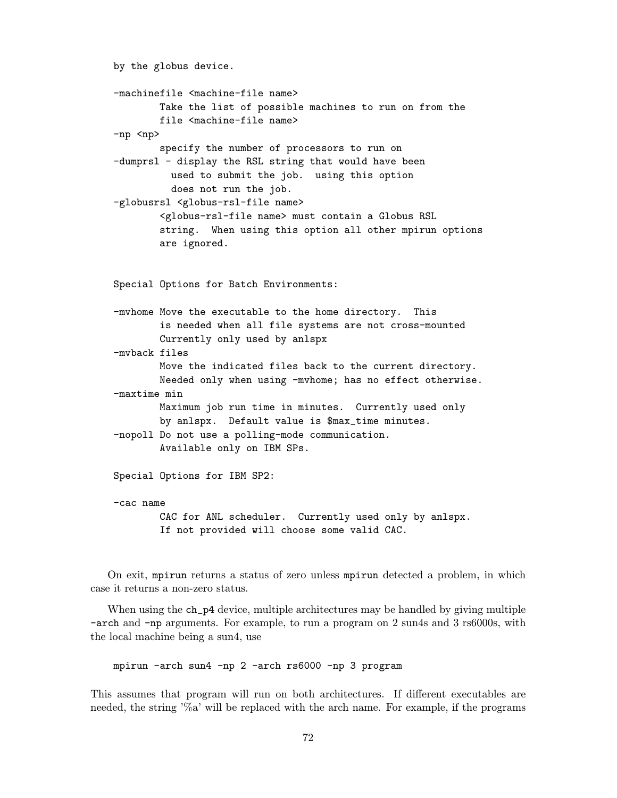```
by the globus device.
-machinefile <machine-file name>
        Take the list of possible machines to run on from the
        file <machine-file name>
-np <np>
        specify the number of processors to run on
-dumprsl - display the RSL string that would have been
          used to submit the job. using this option
         does not run the job.
-globusrsl <globus-rsl-file name>
        <globus-rsl-file name> must contain a Globus RSL
        string. When using this option all other mpirun options
        are ignored.
Special Options for Batch Environments:
-mvhome Move the executable to the home directory. This
        is needed when all file systems are not cross-mounted
        Currently only used by anlspx
-mvback files
        Move the indicated files back to the current directory.
        Needed only when using -mvhome; has no effect otherwise.
-maxtime min
        Maximum job run time in minutes. Currently used only
        by anlspx. Default value is $max_time minutes.
-nopoll Do not use a polling-mode communication.
        Available only on IBM SPs.
Special Options for IBM SP2:
-cac name
        CAC for ANL scheduler. Currently used only by anlspx.
        If not provided will choose some valid CAC.
```
On exit, mpirun returns a status of zero unless mpirun detected a problem, in which case it returns a non-zero status.

When using the ch\_p4 device, multiple architectures may be handled by giving multiple -arch and -np arguments. For example, to run a program on 2 sun4s and 3 rs6000s, with the local machine being a sun4, use

mpirun -arch sun4 -np 2 -arch rs6000 -np 3 program

This assumes that program will run on both architectures. If different executables are needed, the string '%a' will be replaced with the arch name. For example, if the programs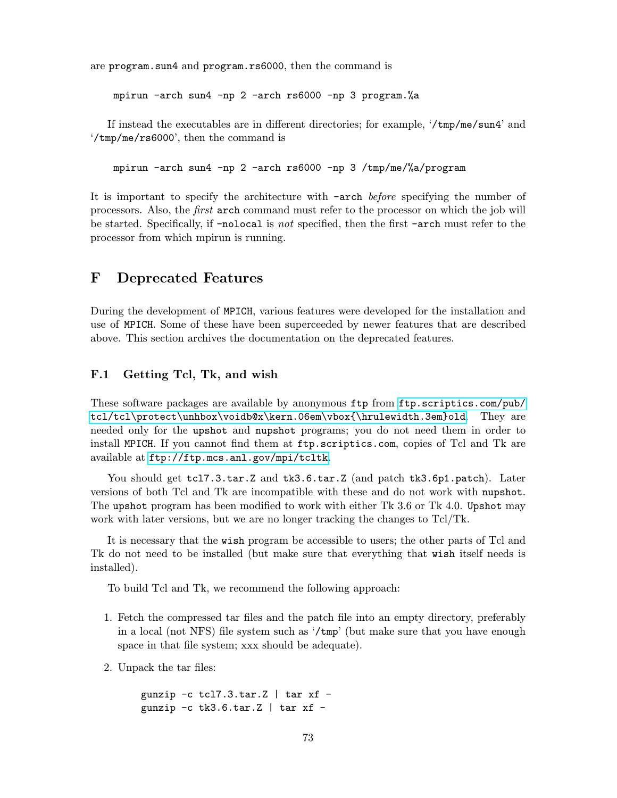are program.sun4 and program.rs6000, then the command is

mpirun -arch sun4 -np 2 -arch rs6000 -np 3 program.%a

If instead the executables are in different directories; for example, '/tmp/me/sun4' and '/tmp/me/rs6000', then the command is

mpirun -arch sun4 -np 2 -arch rs6000 -np 3 /tmp/me/%a/program

It is important to specify the architecture with -arch before specifying the number of processors. Also, the first arch command must refer to the processor on which the job will be started. Specifically, if -nolocal is not specified, then the first -arch must refer to the processor from which mpirun is running.

### F Deprecated Features

During the development of MPICH, various features were developed for the installation and use of MPICH. Some of these have been superceeded by newer features that are described above. This section archives the documentation on the deprecated features.

#### F.1 Getting Tcl, Tk, and wish

These software packages are available by anonymous ftp from [ftp.scriptics.com/pub/](ftp.scriptics.com/pub/tcl/tclprotect unhbox voidb@x kern .06emvbox {hrule width.3em}old) [tcl/tcl\protect\unhbox\voidb@x\kern.06em\vbox{\hrulewidth.3em}old](ftp.scriptics.com/pub/tcl/tclprotect unhbox voidb@x kern .06emvbox {hrule width.3em}old). They are needed only for the upshot and nupshot programs; you do not need them in order to install MPICH. If you cannot find them at ftp.scriptics.com, copies of Tcl and Tk are available at <ftp://ftp.mcs.anl.gov/mpi/tcltk>.

You should get tcl7.3.tar.Z and tk3.6.tar.Z (and patch tk3.6p1.patch). Later versions of both Tcl and Tk are incompatible with these and do not work with nupshot. The upshot program has been modified to work with either Tk 3.6 or Tk 4.0. Upshot may work with later versions, but we are no longer tracking the changes to Tcl/Tk.

It is necessary that the wish program be accessible to users; the other parts of Tcl and Tk do not need to be installed (but make sure that everything that wish itself needs is installed).

To build Tcl and Tk, we recommend the following approach:

- 1. Fetch the compressed tar files and the patch file into an empty directory, preferably in a local (not NFS) file system such as '/tmp' (but make sure that you have enough space in that file system; xxx should be adequate).
- 2. Unpack the tar files:

gunzip  $-c$  tcl7.3.tar.Z | tar xf  $$ gunzip  $-c$  tk3.6.tar.Z | tar xf -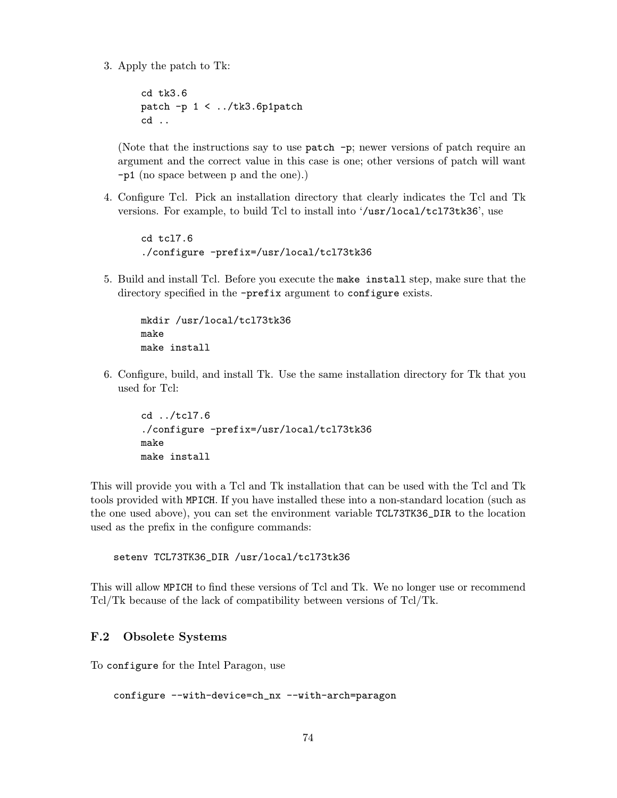3. Apply the patch to Tk:

```
cd tk3.6
patch -p 1 < ../tk3.6p1patch
cd ..
```
(Note that the instructions say to use patch -p; newer versions of patch require an argument and the correct value in this case is one; other versions of patch will want -p1 (no space between p and the one).)

4. Configure Tcl. Pick an installation directory that clearly indicates the Tcl and Tk versions. For example, to build Tcl to install into '/usr/local/tcl73tk36', use

```
cd tcl7.6
./configure -prefix=/usr/local/tcl73tk36
```
5. Build and install Tcl. Before you execute the make install step, make sure that the directory specified in the -prefix argument to configure exists.

```
mkdir /usr/local/tcl73tk36
make
make install
```
6. Configure, build, and install Tk. Use the same installation directory for Tk that you used for Tcl:

```
cd ../tcl7.6
./configure -prefix=/usr/local/tcl73tk36
make
make install
```
This will provide you with a Tcl and Tk installation that can be used with the Tcl and Tk tools provided with MPICH. If you have installed these into a non-standard location (such as the one used above), you can set the environment variable TCL73TK36\_DIR to the location used as the prefix in the configure commands:

```
setenv TCL73TK36_DIR /usr/local/tcl73tk36
```
This will allow MPICH to find these versions of Tcl and Tk. We no longer use or recommend Tcl/Tk because of the lack of compatibility between versions of Tcl/Tk.

### F.2 Obsolete Systems

To configure for the Intel Paragon, use

```
configure --with-device=ch_nx --with-arch=paragon
```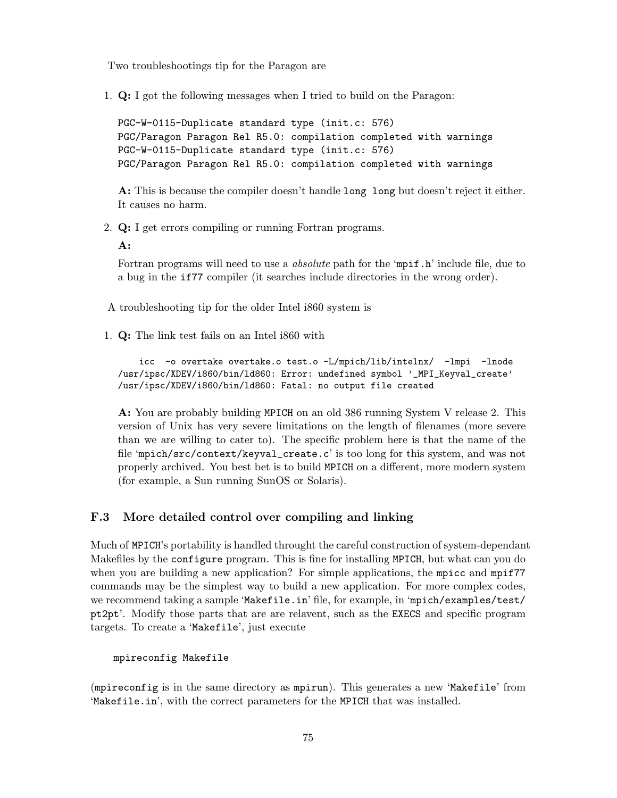Two troubleshootings tip for the Paragon are

1. Q: I got the following messages when I tried to build on the Paragon:

PGC-W-0115-Duplicate standard type (init.c: 576) PGC/Paragon Paragon Rel R5.0: compilation completed with warnings PGC-W-0115-Duplicate standard type (init.c: 576) PGC/Paragon Paragon Rel R5.0: compilation completed with warnings

A: This is because the compiler doesn't handle long long but doesn't reject it either. It causes no harm.

2. Q: I get errors compiling or running Fortran programs.

A:

Fortran programs will need to use a *absolute* path for the 'mpif.h' include file, due to a bug in the if77 compiler (it searches include directories in the wrong order).

A troubleshooting tip for the older Intel i860 system is

1. Q: The link test fails on an Intel i860 with

icc -o overtake overtake.o test.o -L/mpich/lib/intelnx/ -lmpi -lnode /usr/ipsc/XDEV/i860/bin/ld860: Error: undefined symbol '\_MPI\_Keyval\_create' /usr/ipsc/XDEV/i860/bin/ld860: Fatal: no output file created

A: You are probably building MPICH on an old 386 running System V release 2. This version of Unix has very severe limitations on the length of filenames (more severe than we are willing to cater to). The specific problem here is that the name of the file 'mpich/src/context/keyval\_create.c' is too long for this system, and was not properly archived. You best bet is to build MPICH on a different, more modern system (for example, a Sun running SunOS or Solaris).

#### F.3 More detailed control over compiling and linking

Much of MPICH's portability is handled throught the careful construction of system-dependant Makefiles by the configure program. This is fine for installing MPICH, but what can you do when you are building a new application? For simple applications, the mpicc and mpif77 commands may be the simplest way to build a new application. For more complex codes, we recommend taking a sample 'Makefile.in' file, for example, in 'mpich/examples/test/ pt2pt'. Modify those parts that are are relavent, such as the EXECS and specific program targets. To create a 'Makefile', just execute

mpireconfig Makefile

(mpireconfig is in the same directory as mpirun). This generates a new 'Makefile' from 'Makefile.in', with the correct parameters for the MPICH that was installed.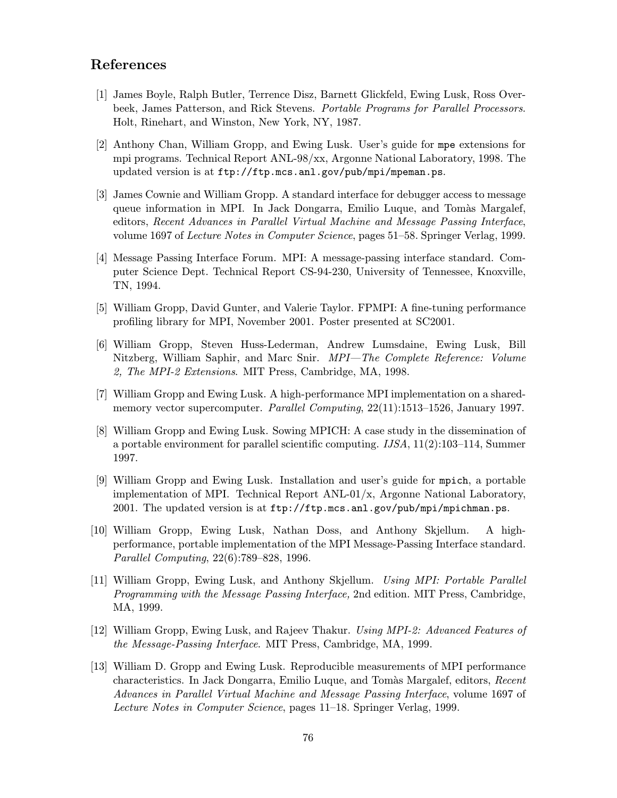# References

- [1] James Boyle, Ralph Butler, Terrence Disz, Barnett Glickfeld, Ewing Lusk, Ross Overbeek, James Patterson, and Rick Stevens. Portable Programs for Parallel Processors. Holt, Rinehart, and Winston, New York, NY, 1987.
- [2] Anthony Chan, William Gropp, and Ewing Lusk. User's guide for mpe extensions for mpi programs. Technical Report ANL-98/xx, Argonne National Laboratory, 1998. The updated version is at ftp://ftp.mcs.anl.gov/pub/mpi/mpeman.ps.
- [3] James Cownie and William Gropp. A standard interface for debugger access to message queue information in MPI. In Jack Dongarra, Emilio Luque, and Tomàs Margalef, editors, Recent Advances in Parallel Virtual Machine and Message Passing Interface, volume 1697 of Lecture Notes in Computer Science, pages 51–58. Springer Verlag, 1999.
- [4] Message Passing Interface Forum. MPI: A message-passing interface standard. Computer Science Dept. Technical Report CS-94-230, University of Tennessee, Knoxville, TN, 1994.
- [5] William Gropp, David Gunter, and Valerie Taylor. FPMPI: A fine-tuning performance profiling library for MPI, November 2001. Poster presented at SC2001.
- [6] William Gropp, Steven Huss-Lederman, Andrew Lumsdaine, Ewing Lusk, Bill Nitzberg, William Saphir, and Marc Snir. MPI—The Complete Reference: Volume 2, The MPI-2 Extensions. MIT Press, Cambridge, MA, 1998.
- [7] William Gropp and Ewing Lusk. A high-performance MPI implementation on a sharedmemory vector supercomputer. *Parallel Computing*, 22(11):1513–1526, January 1997.
- [8] William Gropp and Ewing Lusk. Sowing MPICH: A case study in the dissemination of a portable environment for parallel scientific computing. IJSA, 11(2):103–114, Summer 1997.
- [9] William Gropp and Ewing Lusk. Installation and user's guide for mpich, a portable implementation of MPI. Technical Report ANL-01/x, Argonne National Laboratory, 2001. The updated version is at ftp://ftp.mcs.anl.gov/pub/mpi/mpichman.ps.
- [10] William Gropp, Ewing Lusk, Nathan Doss, and Anthony Skjellum. A highperformance, portable implementation of the MPI Message-Passing Interface standard. Parallel Computing, 22(6):789–828, 1996.
- [11] William Gropp, Ewing Lusk, and Anthony Skjellum. Using MPI: Portable Parallel Programming with the Message Passing Interface, 2nd edition. MIT Press, Cambridge, MA, 1999.
- [12] William Gropp, Ewing Lusk, and Rajeev Thakur. Using MPI-2: Advanced Features of the Message-Passing Interface. MIT Press, Cambridge, MA, 1999.
- [13] William D. Gropp and Ewing Lusk. Reproducible measurements of MPI performance characteristics. In Jack Dongarra, Emilio Luque, and Tomàs Margalef, editors, Recent Advances in Parallel Virtual Machine and Message Passing Interface, volume 1697 of Lecture Notes in Computer Science, pages 11–18. Springer Verlag, 1999.